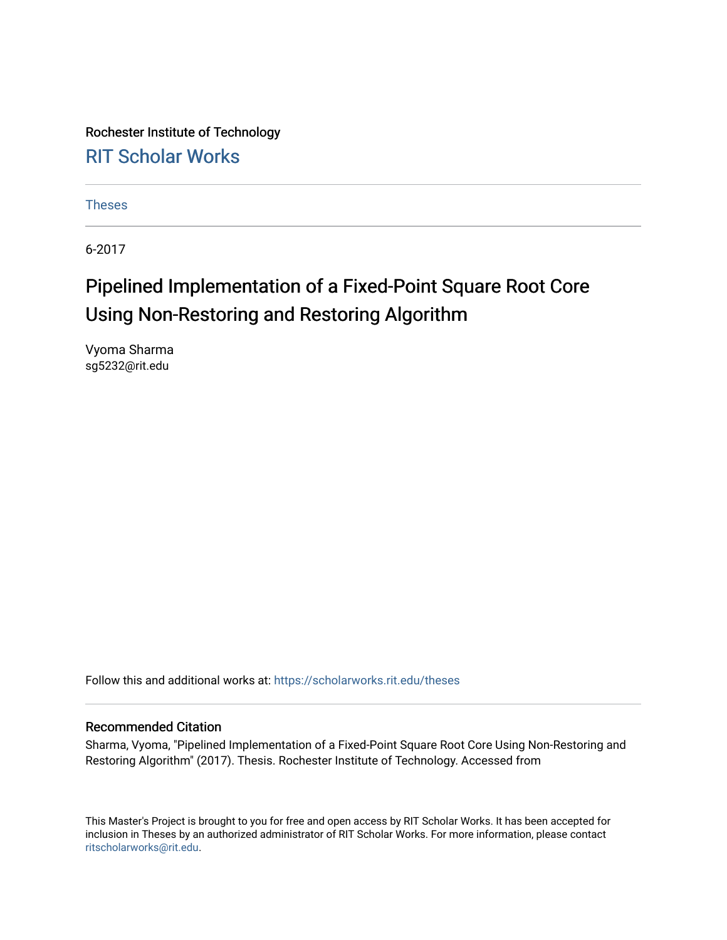Rochester Institute of Technology [RIT Scholar Works](https://scholarworks.rit.edu/)

[Theses](https://scholarworks.rit.edu/theses) 

6-2017

### Pipelined Implementation of a Fixed-Point Square Root Core Using Non-Restoring and Restoring Algorithm

Vyoma Sharma sg5232@rit.edu

Follow this and additional works at: [https://scholarworks.rit.edu/theses](https://scholarworks.rit.edu/theses?utm_source=scholarworks.rit.edu%2Ftheses%2F9703&utm_medium=PDF&utm_campaign=PDFCoverPages) 

#### Recommended Citation

Sharma, Vyoma, "Pipelined Implementation of a Fixed-Point Square Root Core Using Non-Restoring and Restoring Algorithm" (2017). Thesis. Rochester Institute of Technology. Accessed from

This Master's Project is brought to you for free and open access by RIT Scholar Works. It has been accepted for inclusion in Theses by an authorized administrator of RIT Scholar Works. For more information, please contact [ritscholarworks@rit.edu](mailto:ritscholarworks@rit.edu).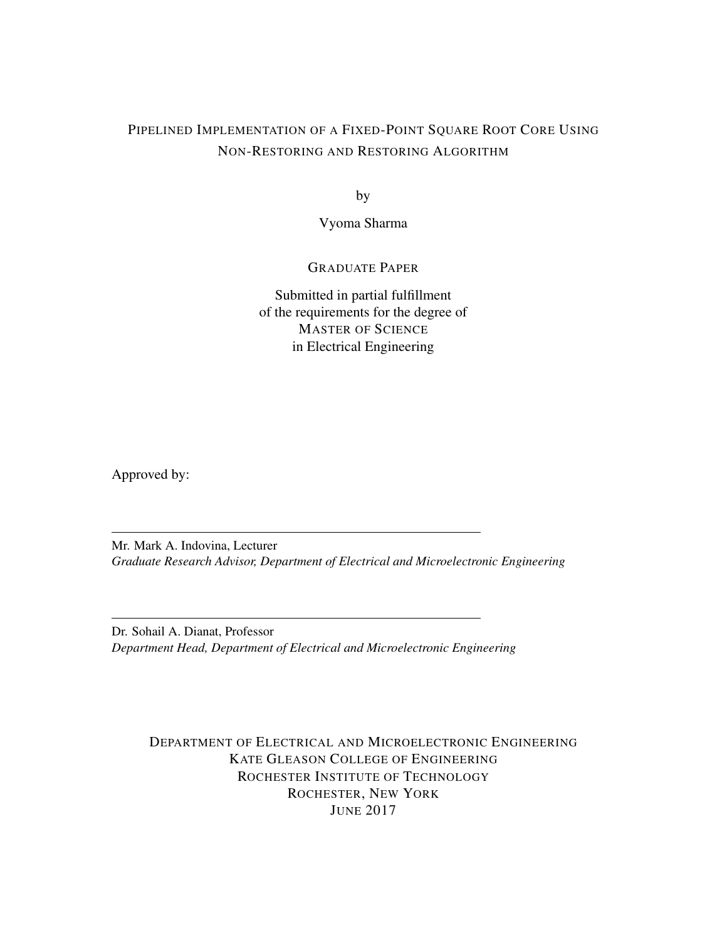### PIPELINED IMPLEMENTATION OF A FIXED-POINT SQUARE ROOT CORE USING NON-RESTORING AND RESTORING ALGORITHM

by

Vyoma Sharma

#### GRADUATE PAPER

Submitted in partial fulfillment of the requirements for the degree of MASTER OF SCIENCE in Electrical Engineering

Approved by:

Mr. Mark A. Indovina, Lecturer *Graduate Research Advisor, Department of Electrical and Microelectronic Engineering*

Dr. Sohail A. Dianat, Professor *Department Head, Department of Electrical and Microelectronic Engineering*

DEPARTMENT OF ELECTRICAL AND MICROELECTRONIC ENGINEERING KATE GLEASON COLLEGE OF ENGINEERING ROCHESTER INSTITUTE OF TECHNOLOGY ROCHESTER, NEW YORK JUNE 2017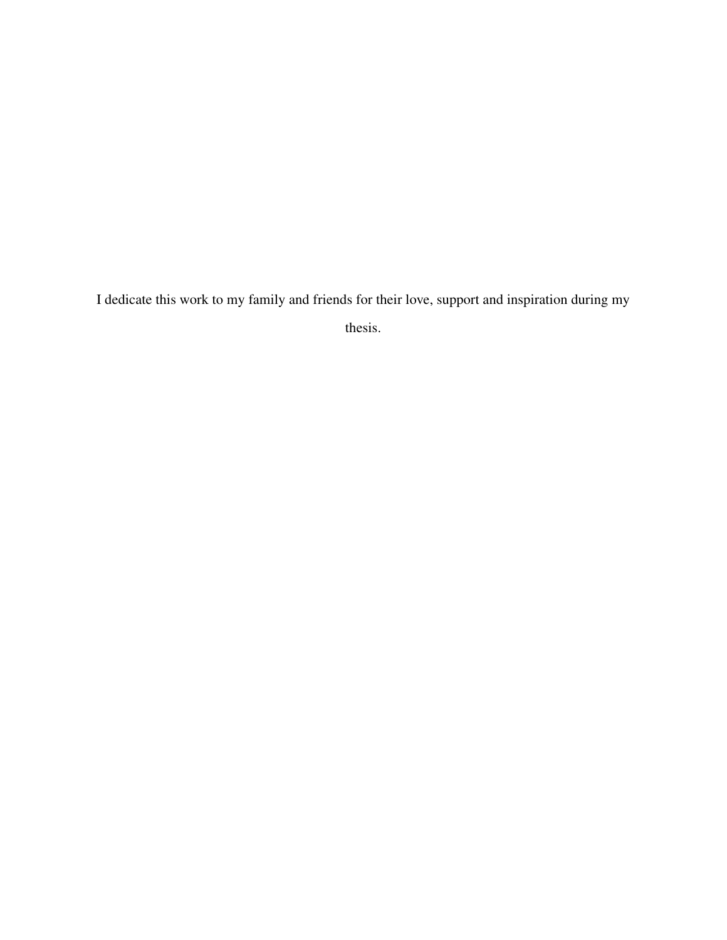I dedicate this work to my family and friends for their love, support and inspiration during my

thesis.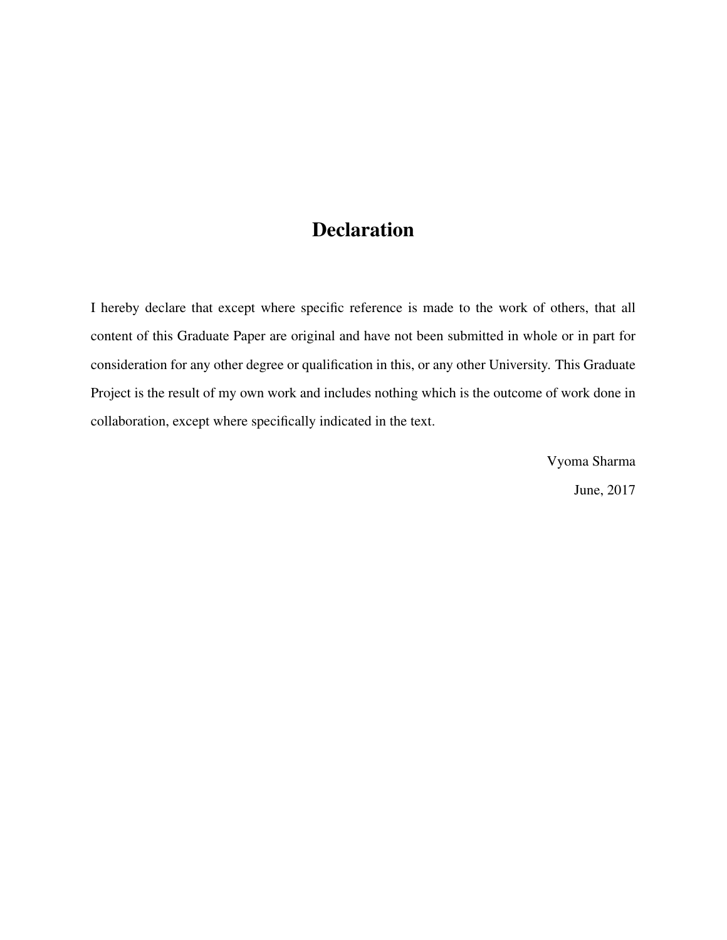### Declaration

I hereby declare that except where specific reference is made to the work of others, that all content of this Graduate Paper are original and have not been submitted in whole or in part for consideration for any other degree or qualification in this, or any other University. This Graduate Project is the result of my own work and includes nothing which is the outcome of work done in collaboration, except where specifically indicated in the text.

> Vyoma Sharma June, 2017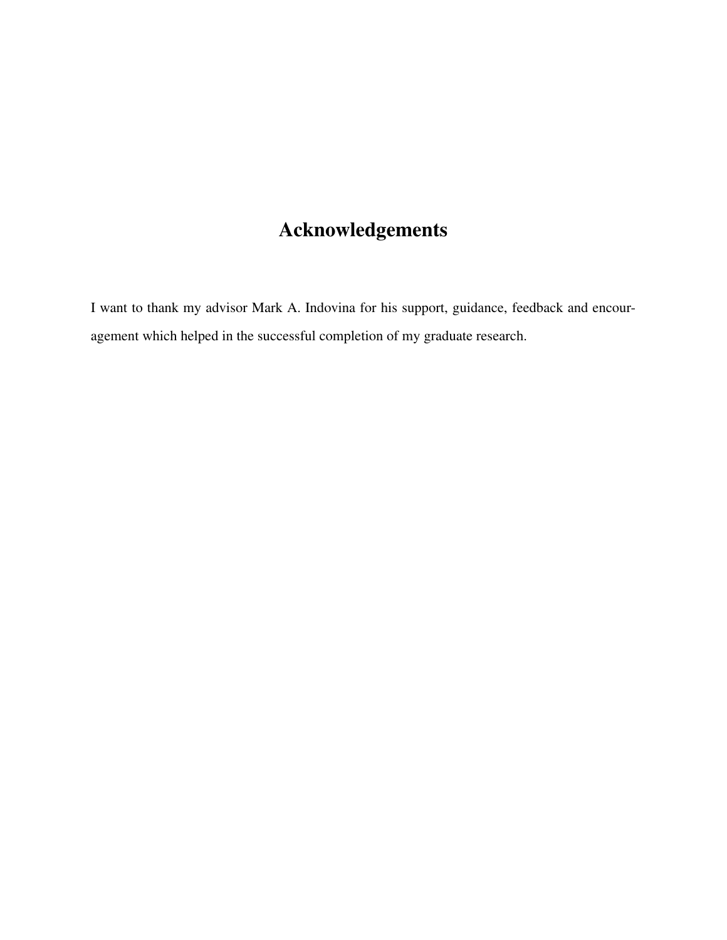### Acknowledgements

I want to thank my advisor Mark A. Indovina for his support, guidance, feedback and encouragement which helped in the successful completion of my graduate research.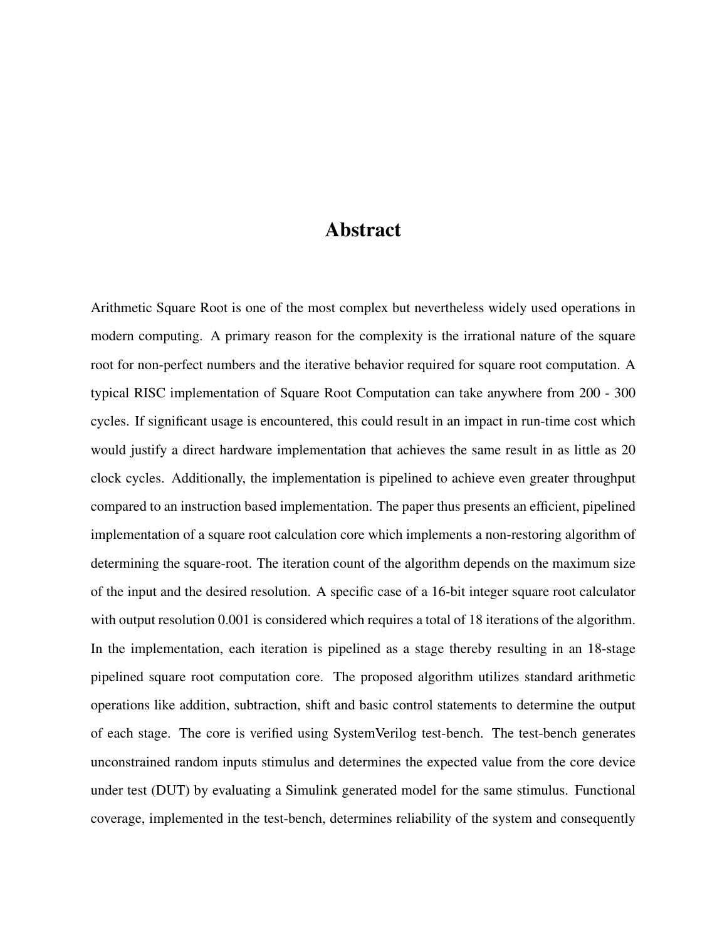### Abstract

Arithmetic Square Root is one of the most complex but nevertheless widely used operations in modern computing. A primary reason for the complexity is the irrational nature of the square root for non-perfect numbers and the iterative behavior required for square root computation. A typical RISC implementation of Square Root Computation can take anywhere from 200 - 300 cycles. If significant usage is encountered, this could result in an impact in run-time cost which would justify a direct hardware implementation that achieves the same result in as little as 20 clock cycles. Additionally, the implementation is pipelined to achieve even greater throughput compared to an instruction based implementation. The paper thus presents an efficient, pipelined implementation of a square root calculation core which implements a non-restoring algorithm of determining the square-root. The iteration count of the algorithm depends on the maximum size of the input and the desired resolution. A specific case of a 16-bit integer square root calculator with output resolution 0.001 is considered which requires a total of 18 iterations of the algorithm. In the implementation, each iteration is pipelined as a stage thereby resulting in an 18-stage pipelined square root computation core. The proposed algorithm utilizes standard arithmetic operations like addition, subtraction, shift and basic control statements to determine the output of each stage. The core is verified using SystemVerilog test-bench. The test-bench generates unconstrained random inputs stimulus and determines the expected value from the core device under test (DUT) by evaluating a Simulink generated model for the same stimulus. Functional coverage, implemented in the test-bench, determines reliability of the system and consequently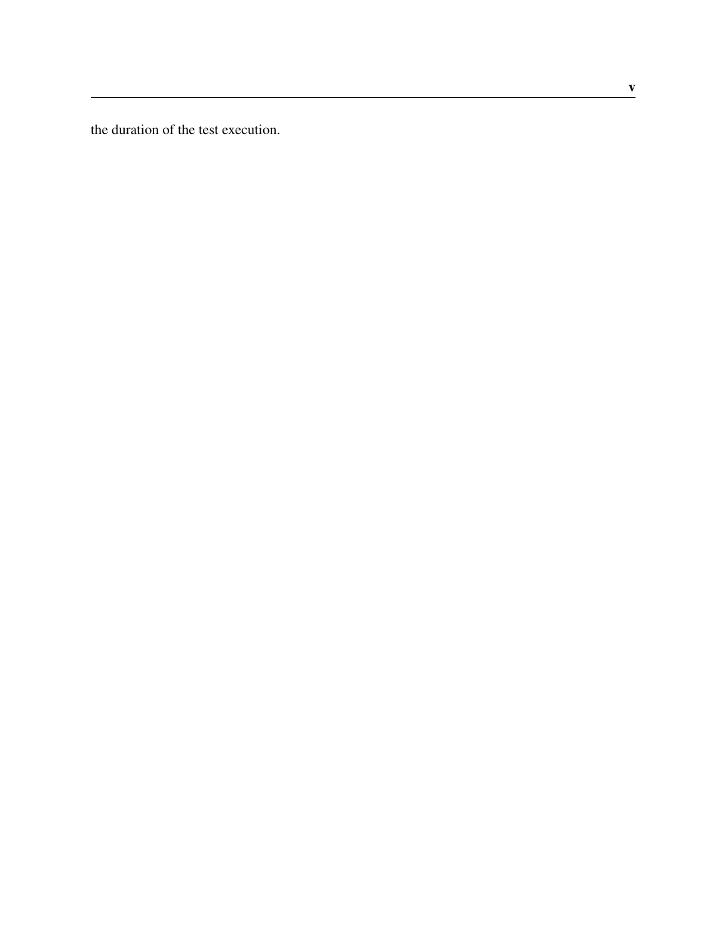the duration of the test execution.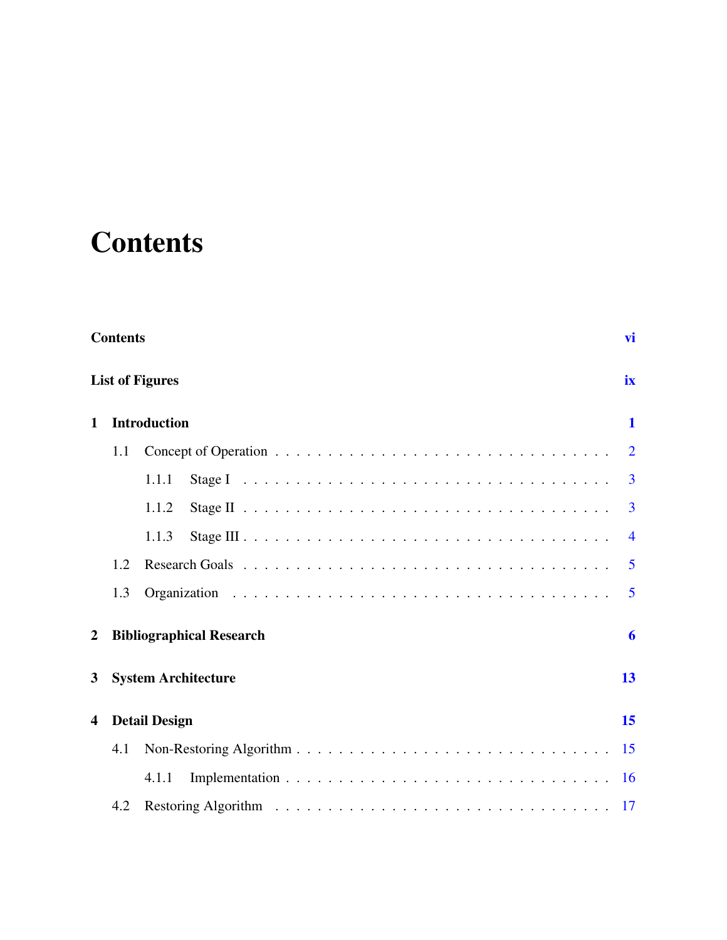## <span id="page-7-0"></span>**Contents**

|                         | <b>Contents</b><br>vi        |                                     |                |  |  |  |  |  |
|-------------------------|------------------------------|-------------------------------------|----------------|--|--|--|--|--|
|                         | <b>List of Figures</b><br>ix |                                     |                |  |  |  |  |  |
| $\mathbf{1}$            |                              | <b>Introduction</b><br>$\mathbf{1}$ |                |  |  |  |  |  |
|                         | 1.1                          |                                     | $\overline{2}$ |  |  |  |  |  |
|                         |                              | 1.1.1                               | 3              |  |  |  |  |  |
|                         |                              | 1.1.2                               | 3              |  |  |  |  |  |
|                         |                              | 1.1.3                               | $\overline{4}$ |  |  |  |  |  |
|                         | 1.2                          |                                     | $\overline{5}$ |  |  |  |  |  |
|                         | 1.3                          |                                     | $\overline{5}$ |  |  |  |  |  |
| 2                       |                              | <b>Bibliographical Research</b>     | 6              |  |  |  |  |  |
| 3                       |                              | <b>System Architecture</b>          | 13             |  |  |  |  |  |
| $\overline{\mathbf{4}}$ | 15<br><b>Detail Design</b>   |                                     |                |  |  |  |  |  |
|                         | 4.1                          |                                     |                |  |  |  |  |  |
|                         |                              | 4.1.1                               | <b>16</b>      |  |  |  |  |  |
|                         | 4.2                          |                                     |                |  |  |  |  |  |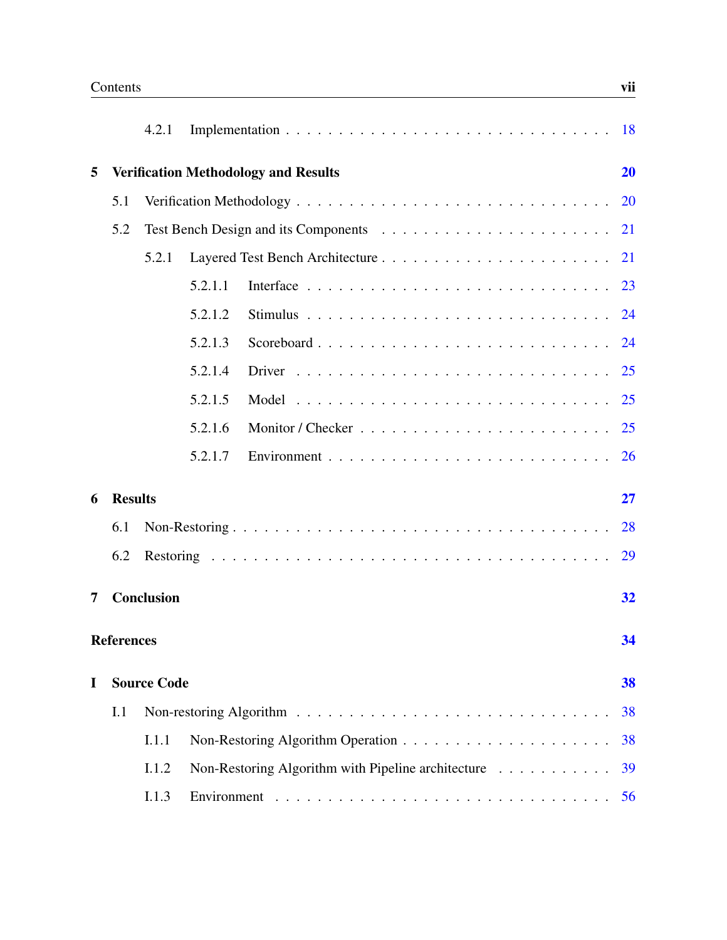|   |                   | 4.2.1              |                                                    |    |
|---|-------------------|--------------------|----------------------------------------------------|----|
| 5 |                   |                    | <b>Verification Methodology and Results</b>        | 20 |
|   | 5.1               |                    |                                                    |    |
|   | 5.2               |                    |                                                    |    |
|   |                   | 5.2.1              |                                                    |    |
|   |                   |                    | 5.2.1.1                                            |    |
|   |                   |                    | 5.2.1.2                                            |    |
|   |                   |                    | 5.2.1.3                                            |    |
|   |                   |                    | 5.2.1.4                                            | 25 |
|   |                   |                    | 5.2.1.5                                            | 25 |
|   |                   |                    | 5.2.1.6                                            |    |
|   |                   |                    | 5.2.1.7                                            |    |
| 6 | <b>Results</b>    |                    |                                                    | 27 |
|   | 6.1               |                    |                                                    | 28 |
|   | 6.2               |                    |                                                    |    |
| 7 |                   | <b>Conclusion</b>  |                                                    | 32 |
|   | <b>References</b> |                    |                                                    | 34 |
| I |                   | <b>Source Code</b> |                                                    | 38 |
|   | I.1               |                    |                                                    | 38 |
|   |                   | I.1.1              |                                                    | 38 |
|   |                   | I.1.2              | Non-Restoring Algorithm with Pipeline architecture | 39 |
|   |                   | I.1.3              |                                                    | 56 |
|   |                   |                    |                                                    |    |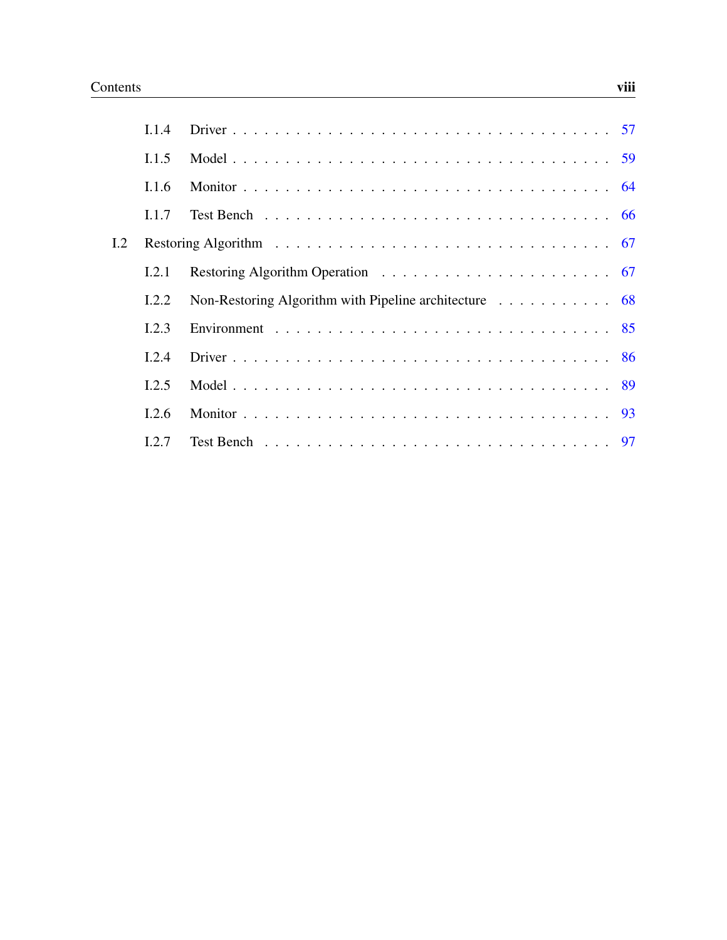|     | 114   |                                                                                 |
|-----|-------|---------------------------------------------------------------------------------|
|     | 1.1.5 |                                                                                 |
|     | 1.1.6 |                                                                                 |
|     | 1.1.7 |                                                                                 |
| 1.2 |       |                                                                                 |
|     | 1.2.1 |                                                                                 |
|     | 1.2.2 | Non-Restoring Algorithm with Pipeline architecture $\dots \dots \dots \dots$ 68 |
|     | 1.2.3 |                                                                                 |
|     | 1.2.4 |                                                                                 |
|     | 1.2.5 |                                                                                 |
|     | 1.2.6 |                                                                                 |
|     | 12.7  |                                                                                 |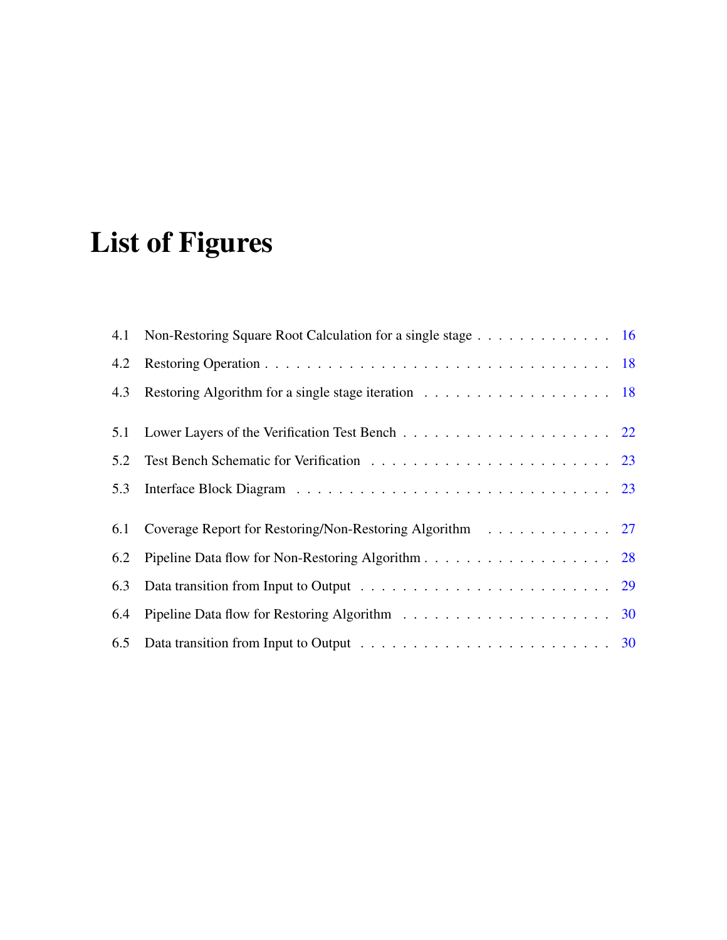# <span id="page-10-0"></span>List of Figures

|     | 4.1 Non-Restoring Square Root Calculation for a single stage 16 |  |
|-----|-----------------------------------------------------------------|--|
| 4.2 |                                                                 |  |
| 4.3 |                                                                 |  |
| 5.1 |                                                                 |  |
| 5.2 |                                                                 |  |
| 5.3 |                                                                 |  |
| 6.1 | Coverage Report for Restoring/Non-Restoring Algorithm 27        |  |
| 6.2 |                                                                 |  |
| 6.3 |                                                                 |  |
| 6.4 |                                                                 |  |
|     |                                                                 |  |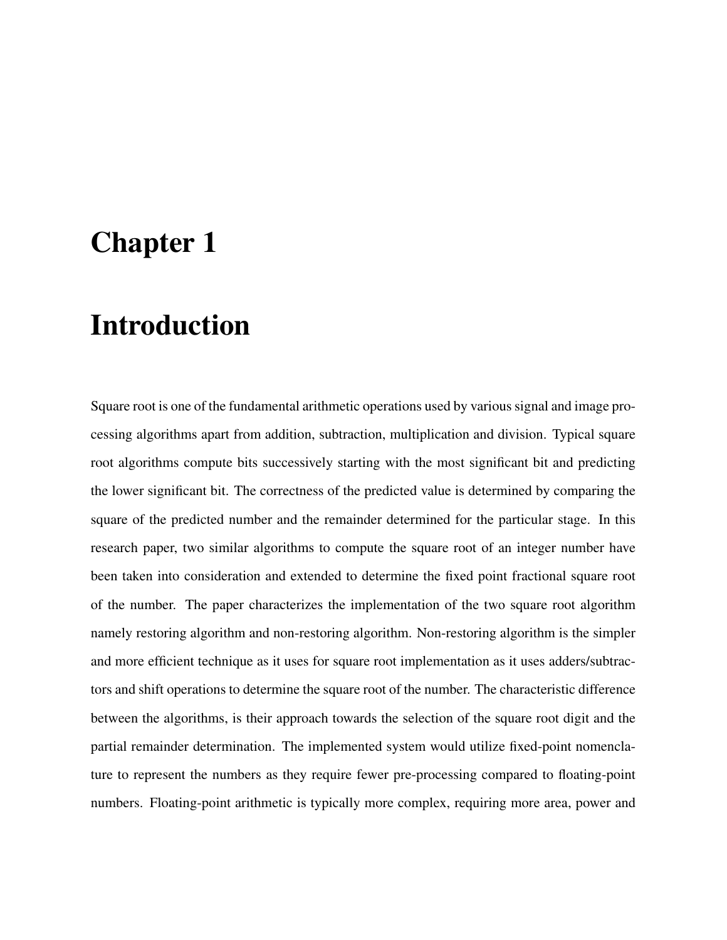## <span id="page-11-0"></span>Chapter 1

## Introduction

Square root is one of the fundamental arithmetic operations used by various signal and image processing algorithms apart from addition, subtraction, multiplication and division. Typical square root algorithms compute bits successively starting with the most significant bit and predicting the lower significant bit. The correctness of the predicted value is determined by comparing the square of the predicted number and the remainder determined for the particular stage. In this research paper, two similar algorithms to compute the square root of an integer number have been taken into consideration and extended to determine the fixed point fractional square root of the number. The paper characterizes the implementation of the two square root algorithm namely restoring algorithm and non-restoring algorithm. Non-restoring algorithm is the simpler and more efficient technique as it uses for square root implementation as it uses adders/subtractors and shift operations to determine the square root of the number. The characteristic difference between the algorithms, is their approach towards the selection of the square root digit and the partial remainder determination. The implemented system would utilize fixed-point nomenclature to represent the numbers as they require fewer pre-processing compared to floating-point numbers. Floating-point arithmetic is typically more complex, requiring more area, power and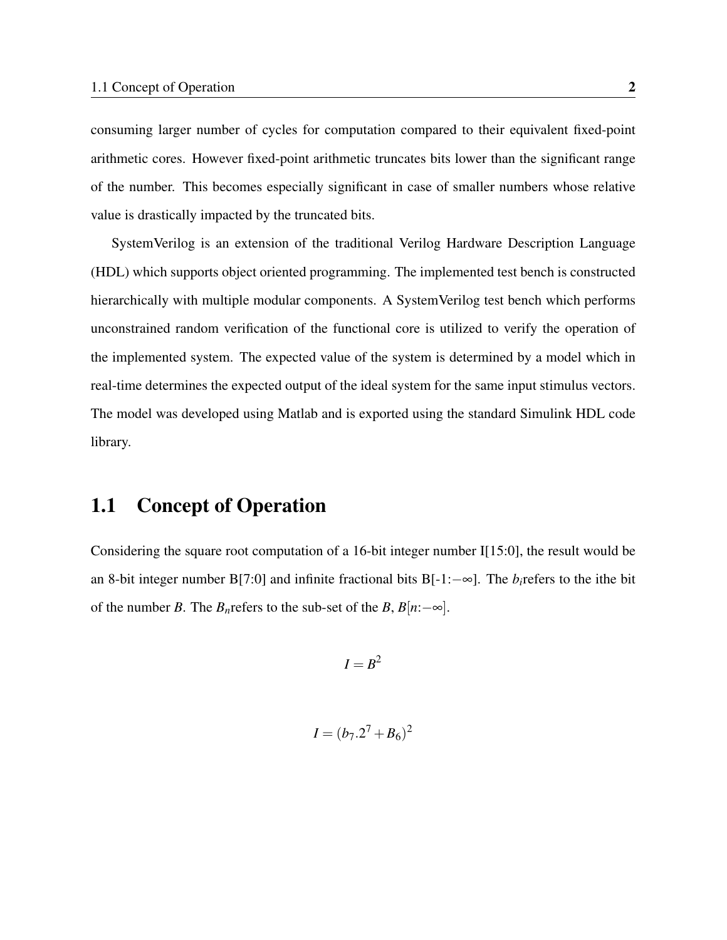consuming larger number of cycles for computation compared to their equivalent fixed-point arithmetic cores. However fixed-point arithmetic truncates bits lower than the significant range of the number. This becomes especially significant in case of smaller numbers whose relative value is drastically impacted by the truncated bits.

SystemVerilog is an extension of the traditional Verilog Hardware Description Language (HDL) which supports object oriented programming. The implemented test bench is constructed hierarchically with multiple modular components. A SystemVerilog test bench which performs unconstrained random verification of the functional core is utilized to verify the operation of the implemented system. The expected value of the system is determined by a model which in real-time determines the expected output of the ideal system for the same input stimulus vectors. The model was developed using Matlab and is exported using the standard Simulink HDL code library.

### <span id="page-12-0"></span>1.1 Concept of Operation

Considering the square root computation of a 16-bit integer number I[15:0], the result would be an 8-bit integer number B[7:0] and infinite fractional bits B[-1:−∞]. The *bi*refers to the ithe bit of the number *B*. The *B*<sub>*n*</sub>refers to the sub-set of the *B*,  $B[n:-\infty]$ .

 $I = B^2$ 

$$
I = (b_7.2^7 + B_6)^2
$$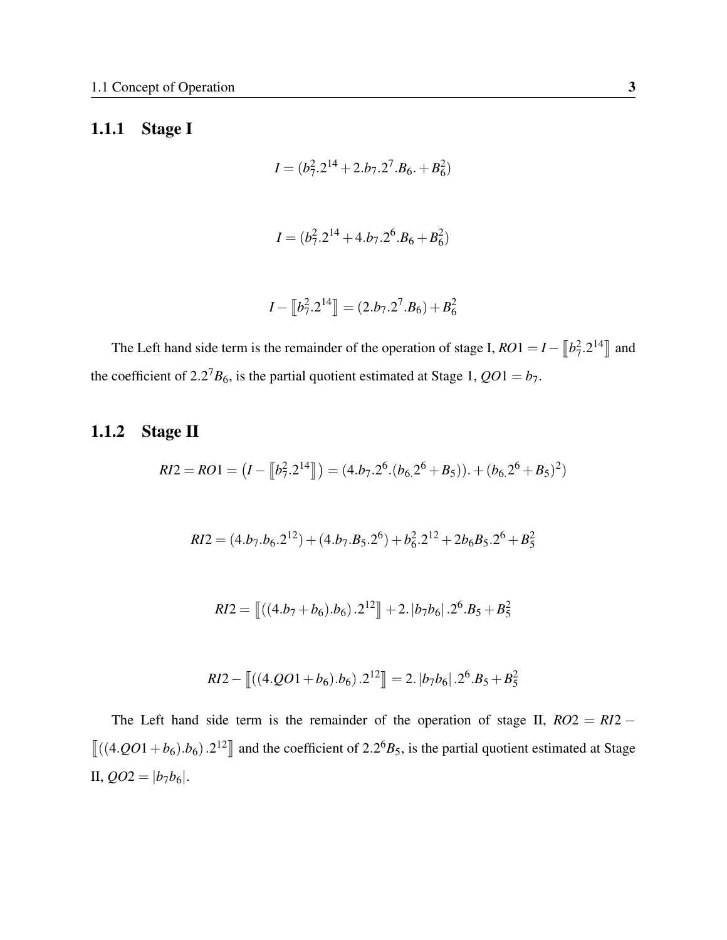### <span id="page-13-0"></span>1.1.1 Stage I

$$
I = (b_7^2 \cdot 2^{14} + 2 \cdot b_7 \cdot 2^7 \cdot B_6 \cdot + B_6^2)
$$

$$
I = (b_7^2 \cdot 2^{14} + 4 \cdot b_7 \cdot 2^6 \cdot B_6 + B_6^2)
$$

$$
I - \left[ b_7^2 \cdot 2^{14} \right] = (2 \cdot b_7 \cdot 2^7 \cdot B_6) + B_6^2
$$

The Left hand side term is the remainder of the operation of stage I,  $RO1 = I - \left[ b_7^2 \cdot 2^{14} \right]$  and the coefficient of 2.2<sup>7</sup> $B_6$ , is the partial quotient estimated at Stage 1,  $QO1 = b_7$ .

### <span id="page-13-1"></span>1.1.2 Stage II

$$
RI2 = RO1 = (I - [[b_7^2 \cdot 2^{14}]]) = (4 \cdot b_7 \cdot 2^6 \cdot (b_6 \cdot 2^6 + B_5)) \cdot + (b_6 \cdot 2^6 + B_5)^2)
$$

$$
RI2 = (4.b_7.b_6.2^{12}) + (4.b_7.B_5.2^6) + b_6^2.2^{12} + 2b_6B_5.2^6 + B_5^2
$$

$$
RI2 = \left[ \left( (4.b_7 + b_6) . b_6 \right) . 2^{12} \right] + 2. |b_7b_6| . 2^6 . B_5 + B_5^2
$$

$$
RI2 - \left[ \left( (4.QO1 + b_6) \cdot b_6 \right) \cdot 2^{12} \right] = 2 \cdot |b_7b_6| \cdot 2^6 \cdot B_5 + B_5^2
$$

The Left hand side term is the remainder of the operation of stage II,  $RO2 = R12 \left[ ((4.001 + b_6).b_6).2^{12} \right]$  and the coefficient of 2.2<sup>6</sup>*B*<sub>5</sub>, is the partial quotient estimated at Stage II,  $QO2 = |b_7b_6|$ .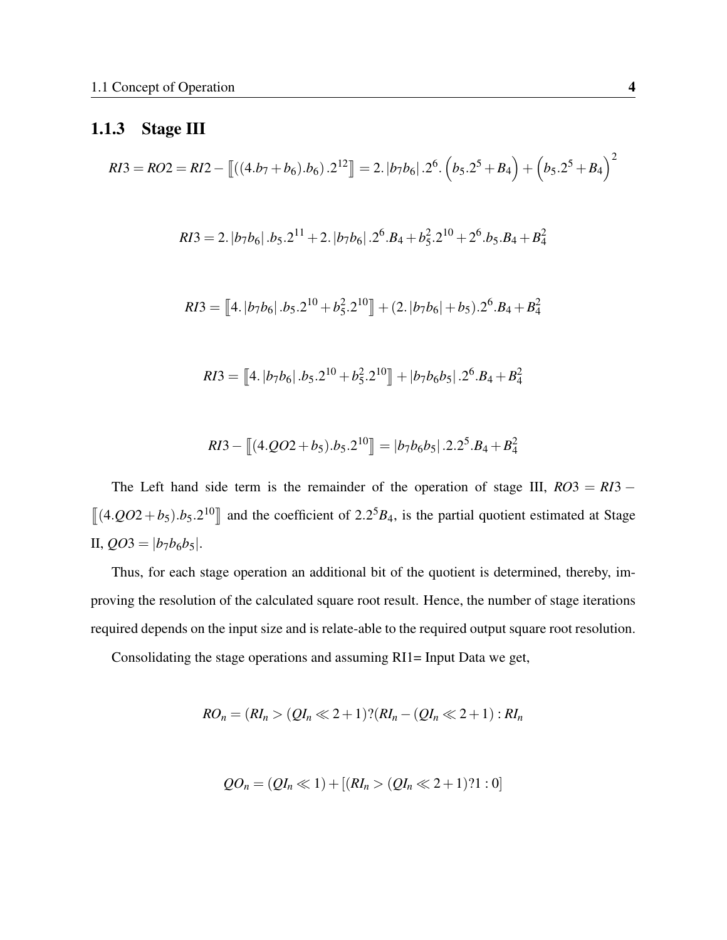### <span id="page-14-0"></span>1.1.3 Stage III

$$
RI3 = RO2 = RI2 - \left[ \left( (4.b_7 + b_6).b_6 \right) .2^{12} \right] = 2. \left[ b_7 b_6 \right] .2^6 \cdot \left( b_5 .2^5 + B_4 \right) + \left( b_5 .2^5 + B_4 \right)^2
$$
  
\n
$$
RI3 = 2. \left[ b_7 b_6 \right] .b_5 .2^{11} + 2. \left[ b_7 b_6 \right] .2^6 .B_4 + b_5^2 .2^{10} + 2^6 .b_5 .B_4 + B_4^2
$$
  
\n
$$
RI3 = \left[ 4. \left[ b_7 b_6 \right] .b_5 .2^{10} + b_5^2 .2^{10} \right] + (2. \left[ b_7 b_6 \right] + b_5 ) .2^6 .B_4 + B_4^2
$$
  
\n
$$
RI3 = \left[ 4. \left[ b_7 b_6 \right] .b_5 .2^{10} + b_5^2 .2^{10} \right] + \left[ b_7 b_6 b_5 \right] .2^6 .B_4 + B_4^2
$$

$$
RI3 - \left[ (4.QO2 + b_5) \cdot b_5 \cdot 2^{10} \right] = |b_7b_6b_5| \cdot 2 \cdot 2^5 \cdot B_4 + B_4^2
$$

The Left hand side term is the remainder of the operation of stage III,  $RO3 = RI3 \left[\left(4.QO2 + b_5\right).b_5.2^{10}\right]$  and the coefficient of 2.2<sup>5</sup>*B*<sub>4</sub>, is the partial quotient estimated at Stage II,  $QO3 = |b_7b_6b_5|$ .

Thus, for each stage operation an additional bit of the quotient is determined, thereby, improving the resolution of the calculated square root result. Hence, the number of stage iterations required depends on the input size and is relate-able to the required output square root resolution.

Consolidating the stage operations and assuming RI1= Input Data we get,

$$
RO_n = (RI_n > (QI_n \ll 2+1) ? (RI_n - (QI_n \ll 2+1) : RI_n
$$

$$
QO_n = (QI_n \ll 1) + [(RI_n > (QI_n \ll 2 + 1) ? 1 : 0]
$$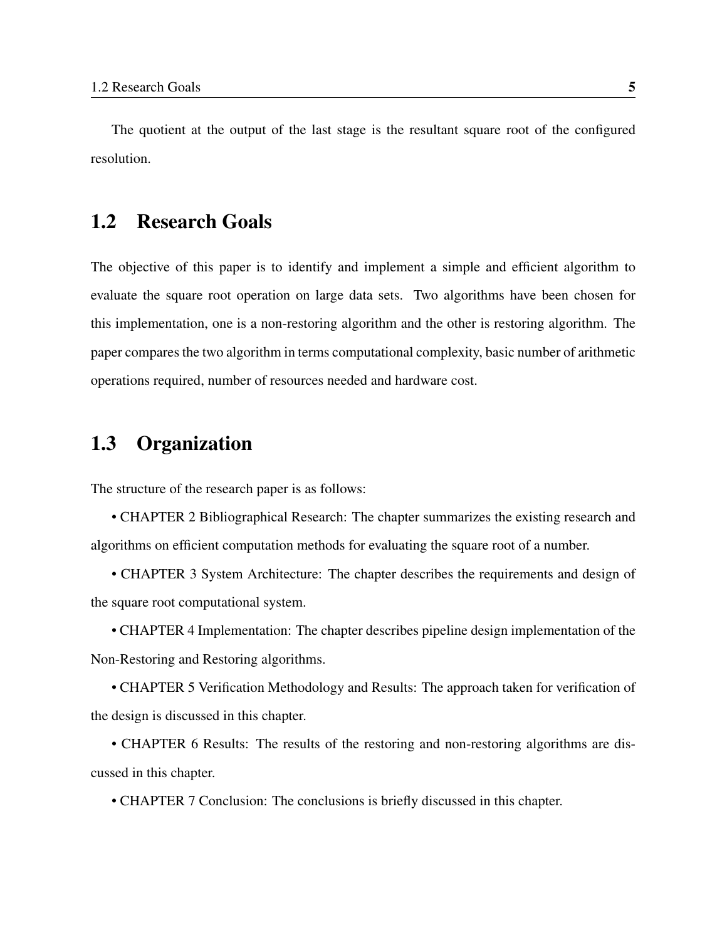The quotient at the output of the last stage is the resultant square root of the configured resolution.

### <span id="page-15-0"></span>1.2 Research Goals

The objective of this paper is to identify and implement a simple and efficient algorithm to evaluate the square root operation on large data sets. Two algorithms have been chosen for this implementation, one is a non-restoring algorithm and the other is restoring algorithm. The paper compares the two algorithm in terms computational complexity, basic number of arithmetic operations required, number of resources needed and hardware cost.

### <span id="page-15-1"></span>1.3 Organization

The structure of the research paper is as follows:

• CHAPTER 2 Bibliographical Research: The chapter summarizes the existing research and algorithms on efficient computation methods for evaluating the square root of a number.

• CHAPTER 3 System Architecture: The chapter describes the requirements and design of the square root computational system.

• CHAPTER 4 Implementation: The chapter describes pipeline design implementation of the Non-Restoring and Restoring algorithms.

• CHAPTER 5 Verification Methodology and Results: The approach taken for verification of the design is discussed in this chapter.

• CHAPTER 6 Results: The results of the restoring and non-restoring algorithms are discussed in this chapter.

• CHAPTER 7 Conclusion: The conclusions is briefly discussed in this chapter.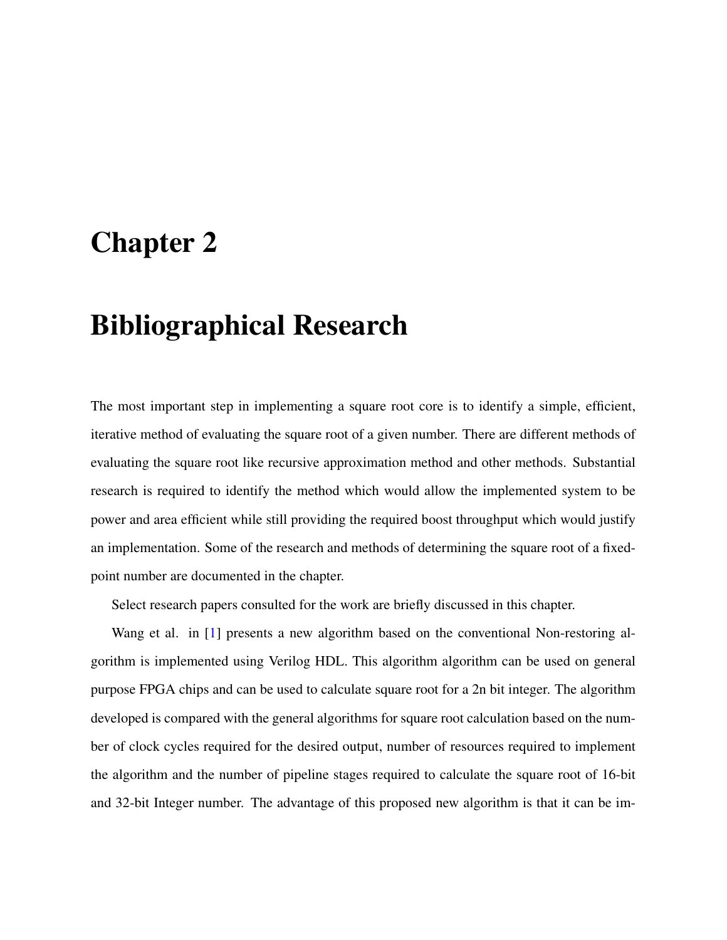## <span id="page-16-0"></span>Chapter 2

## Bibliographical Research

The most important step in implementing a square root core is to identify a simple, efficient, iterative method of evaluating the square root of a given number. There are different methods of evaluating the square root like recursive approximation method and other methods. Substantial research is required to identify the method which would allow the implemented system to be power and area efficient while still providing the required boost throughput which would justify an implementation. Some of the research and methods of determining the square root of a fixedpoint number are documented in the chapter.

Select research papers consulted for the work are briefly discussed in this chapter.

Wang et al. in [\[1\]](#page-44-1) presents a new algorithm based on the conventional Non-restoring algorithm is implemented using Verilog HDL. This algorithm algorithm can be used on general purpose FPGA chips and can be used to calculate square root for a 2n bit integer. The algorithm developed is compared with the general algorithms for square root calculation based on the number of clock cycles required for the desired output, number of resources required to implement the algorithm and the number of pipeline stages required to calculate the square root of 16-bit and 32-bit Integer number. The advantage of this proposed new algorithm is that it can be im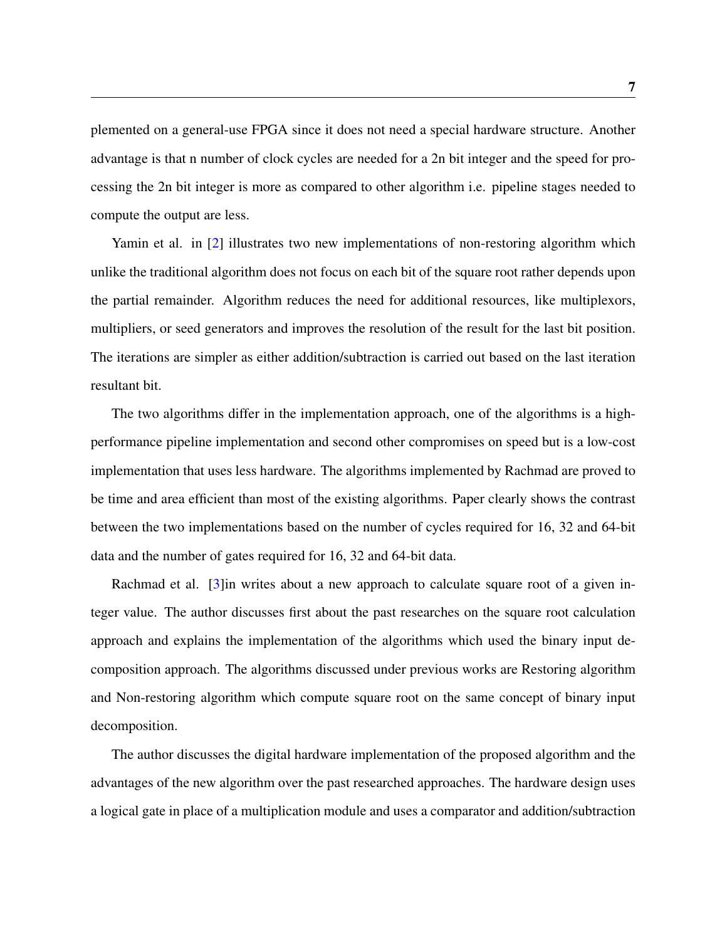plemented on a general-use FPGA since it does not need a special hardware structure. Another advantage is that n number of clock cycles are needed for a 2n bit integer and the speed for processing the 2n bit integer is more as compared to other algorithm i.e. pipeline stages needed to compute the output are less.

Yamin et al. in [\[2\]](#page-44-2) illustrates two new implementations of non-restoring algorithm which unlike the traditional algorithm does not focus on each bit of the square root rather depends upon the partial remainder. Algorithm reduces the need for additional resources, like multiplexors, multipliers, or seed generators and improves the resolution of the result for the last bit position. The iterations are simpler as either addition/subtraction is carried out based on the last iteration resultant bit.

The two algorithms differ in the implementation approach, one of the algorithms is a highperformance pipeline implementation and second other compromises on speed but is a low-cost implementation that uses less hardware. The algorithms implemented by Rachmad are proved to be time and area efficient than most of the existing algorithms. Paper clearly shows the contrast between the two implementations based on the number of cycles required for 16, 32 and 64-bit data and the number of gates required for 16, 32 and 64-bit data.

Rachmad et al. [\[3\]](#page-44-3)in writes about a new approach to calculate square root of a given integer value. The author discusses first about the past researches on the square root calculation approach and explains the implementation of the algorithms which used the binary input decomposition approach. The algorithms discussed under previous works are Restoring algorithm and Non-restoring algorithm which compute square root on the same concept of binary input decomposition.

The author discusses the digital hardware implementation of the proposed algorithm and the advantages of the new algorithm over the past researched approaches. The hardware design uses a logical gate in place of a multiplication module and uses a comparator and addition/subtraction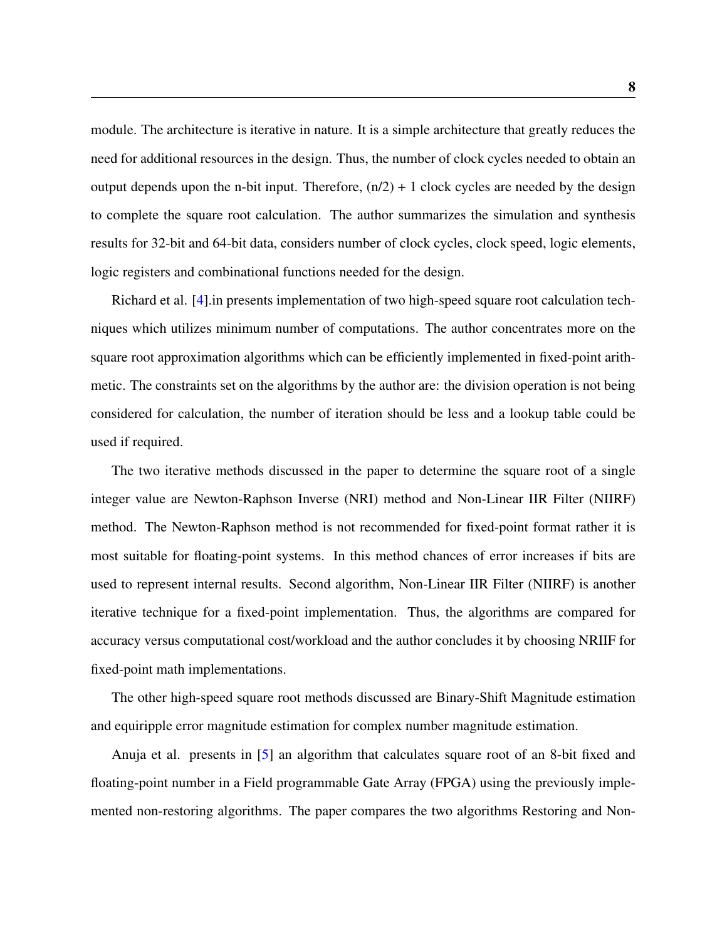module. The architecture is iterative in nature. It is a simple architecture that greatly reduces the need for additional resources in the design. Thus, the number of clock cycles needed to obtain an output depends upon the n-bit input. Therefore,  $(n/2) + 1$  clock cycles are needed by the design to complete the square root calculation. The author summarizes the simulation and synthesis results for 32-bit and 64-bit data, considers number of clock cycles, clock speed, logic elements, logic registers and combinational functions needed for the design.

Richard et al. [\[4\]](#page-44-4).in presents implementation of two high-speed square root calculation techniques which utilizes minimum number of computations. The author concentrates more on the square root approximation algorithms which can be efficiently implemented in fixed-point arithmetic. The constraints set on the algorithms by the author are: the division operation is not being considered for calculation, the number of iteration should be less and a lookup table could be used if required.

The two iterative methods discussed in the paper to determine the square root of a single integer value are Newton-Raphson Inverse (NRI) method and Non-Linear IIR Filter (NIIRF) method. The Newton-Raphson method is not recommended for fixed-point format rather it is most suitable for floating-point systems. In this method chances of error increases if bits are used to represent internal results. Second algorithm, Non-Linear IIR Filter (NIIRF) is another iterative technique for a fixed-point implementation. Thus, the algorithms are compared for accuracy versus computational cost/workload and the author concludes it by choosing NRIIF for fixed-point math implementations.

The other high-speed square root methods discussed are Binary-Shift Magnitude estimation and equiripple error magnitude estimation for complex number magnitude estimation.

Anuja et al. presents in [\[5\]](#page-44-5) an algorithm that calculates square root of an 8-bit fixed and floating-point number in a Field programmable Gate Array (FPGA) using the previously implemented non-restoring algorithms. The paper compares the two algorithms Restoring and Non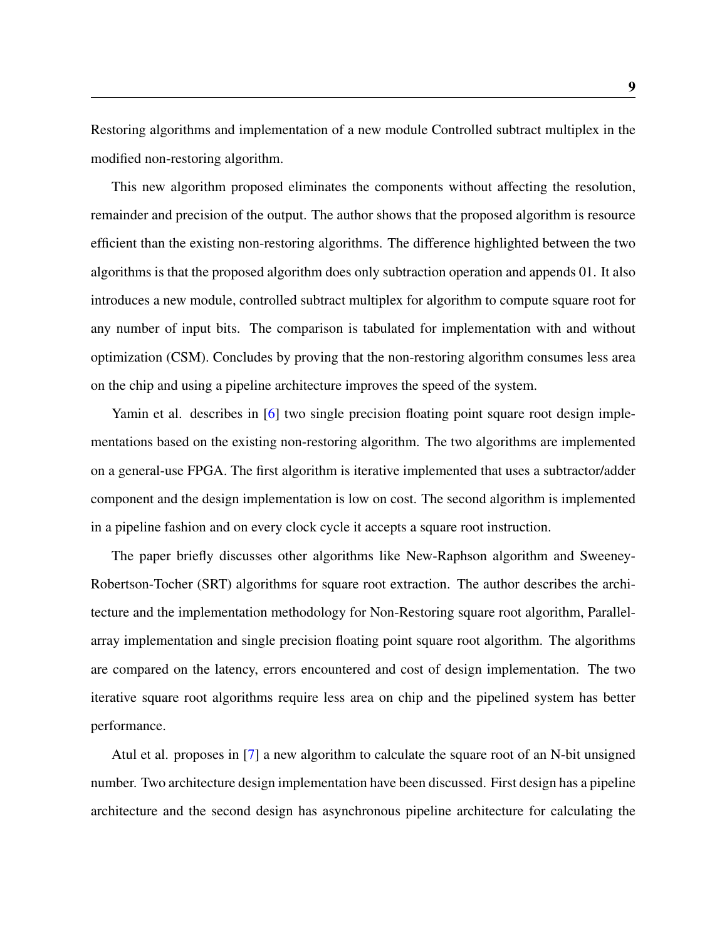Restoring algorithms and implementation of a new module Controlled subtract multiplex in the modified non-restoring algorithm.

This new algorithm proposed eliminates the components without affecting the resolution, remainder and precision of the output. The author shows that the proposed algorithm is resource efficient than the existing non-restoring algorithms. The difference highlighted between the two algorithms is that the proposed algorithm does only subtraction operation and appends 01. It also introduces a new module, controlled subtract multiplex for algorithm to compute square root for any number of input bits. The comparison is tabulated for implementation with and without optimization (CSM). Concludes by proving that the non-restoring algorithm consumes less area on the chip and using a pipeline architecture improves the speed of the system.

Yamin et al. describes in [\[6\]](#page-44-6) two single precision floating point square root design implementations based on the existing non-restoring algorithm. The two algorithms are implemented on a general-use FPGA. The first algorithm is iterative implemented that uses a subtractor/adder component and the design implementation is low on cost. The second algorithm is implemented in a pipeline fashion and on every clock cycle it accepts a square root instruction.

The paper briefly discusses other algorithms like New-Raphson algorithm and Sweeney-Robertson-Tocher (SRT) algorithms for square root extraction. The author describes the architecture and the implementation methodology for Non-Restoring square root algorithm, Parallelarray implementation and single precision floating point square root algorithm. The algorithms are compared on the latency, errors encountered and cost of design implementation. The two iterative square root algorithms require less area on chip and the pipelined system has better performance.

Atul et al. proposes in [\[7\]](#page-45-0) a new algorithm to calculate the square root of an N-bit unsigned number. Two architecture design implementation have been discussed. First design has a pipeline architecture and the second design has asynchronous pipeline architecture for calculating the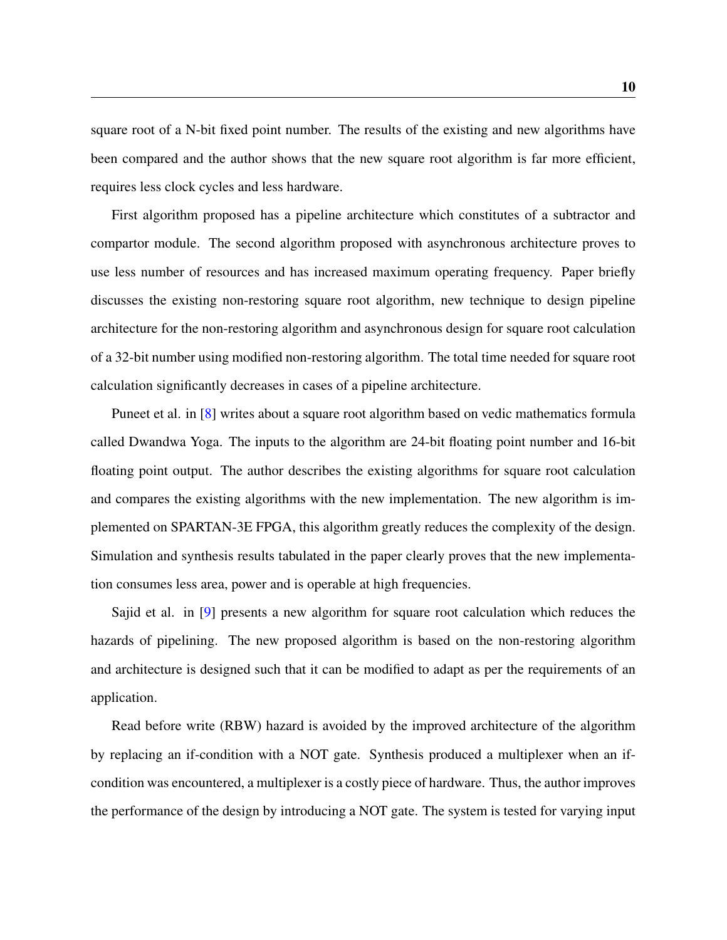square root of a N-bit fixed point number. The results of the existing and new algorithms have been compared and the author shows that the new square root algorithm is far more efficient, requires less clock cycles and less hardware.

First algorithm proposed has a pipeline architecture which constitutes of a subtractor and compartor module. The second algorithm proposed with asynchronous architecture proves to use less number of resources and has increased maximum operating frequency. Paper briefly discusses the existing non-restoring square root algorithm, new technique to design pipeline architecture for the non-restoring algorithm and asynchronous design for square root calculation of a 32-bit number using modified non-restoring algorithm. The total time needed for square root calculation significantly decreases in cases of a pipeline architecture.

Puneet et al. in [\[8\]](#page-45-1) writes about a square root algorithm based on vedic mathematics formula called Dwandwa Yoga. The inputs to the algorithm are 24-bit floating point number and 16-bit floating point output. The author describes the existing algorithms for square root calculation and compares the existing algorithms with the new implementation. The new algorithm is implemented on SPARTAN-3E FPGA, this algorithm greatly reduces the complexity of the design. Simulation and synthesis results tabulated in the paper clearly proves that the new implementation consumes less area, power and is operable at high frequencies.

Sajid et al. in [\[9\]](#page-45-2) presents a new algorithm for square root calculation which reduces the hazards of pipelining. The new proposed algorithm is based on the non-restoring algorithm and architecture is designed such that it can be modified to adapt as per the requirements of an application.

Read before write (RBW) hazard is avoided by the improved architecture of the algorithm by replacing an if-condition with a NOT gate. Synthesis produced a multiplexer when an ifcondition was encountered, a multiplexer is a costly piece of hardware. Thus, the author improves the performance of the design by introducing a NOT gate. The system is tested for varying input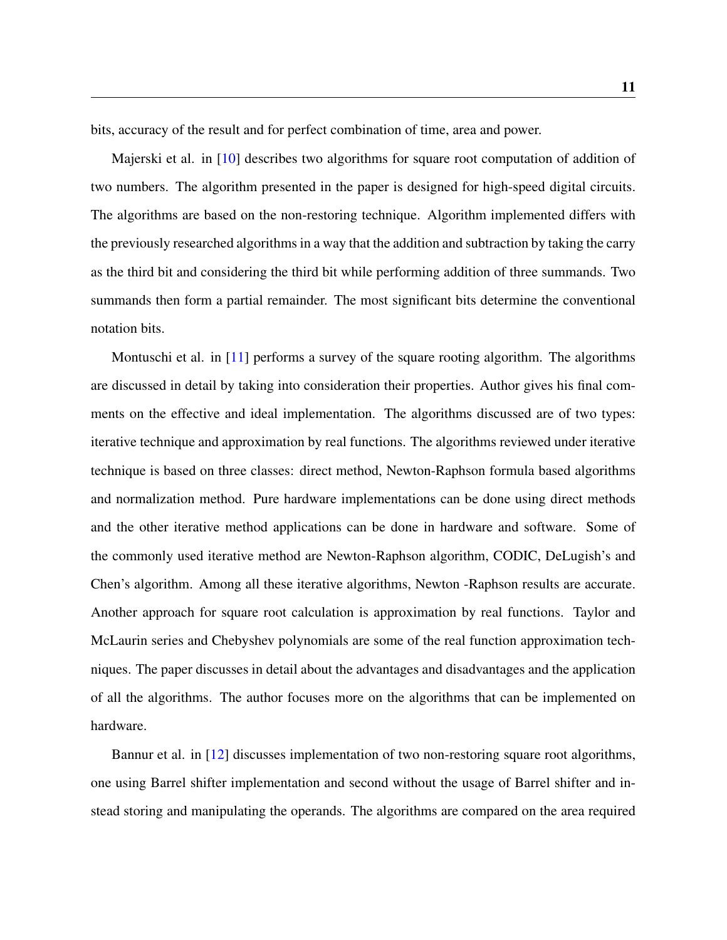bits, accuracy of the result and for perfect combination of time, area and power.

Majerski et al. in [\[10\]](#page-45-3) describes two algorithms for square root computation of addition of two numbers. The algorithm presented in the paper is designed for high-speed digital circuits. The algorithms are based on the non-restoring technique. Algorithm implemented differs with the previously researched algorithms in a way that the addition and subtraction by taking the carry as the third bit and considering the third bit while performing addition of three summands. Two summands then form a partial remainder. The most significant bits determine the conventional notation bits.

Montuschi et al. in  $[11]$  performs a survey of the square rooting algorithm. The algorithms are discussed in detail by taking into consideration their properties. Author gives his final comments on the effective and ideal implementation. The algorithms discussed are of two types: iterative technique and approximation by real functions. The algorithms reviewed under iterative technique is based on three classes: direct method, Newton-Raphson formula based algorithms and normalization method. Pure hardware implementations can be done using direct methods and the other iterative method applications can be done in hardware and software. Some of the commonly used iterative method are Newton-Raphson algorithm, CODIC, DeLugish's and Chen's algorithm. Among all these iterative algorithms, Newton -Raphson results are accurate. Another approach for square root calculation is approximation by real functions. Taylor and McLaurin series and Chebyshev polynomials are some of the real function approximation techniques. The paper discusses in detail about the advantages and disadvantages and the application of all the algorithms. The author focuses more on the algorithms that can be implemented on hardware.

Bannur et al. in [\[12\]](#page-45-5) discusses implementation of two non-restoring square root algorithms, one using Barrel shifter implementation and second without the usage of Barrel shifter and instead storing and manipulating the operands. The algorithms are compared on the area required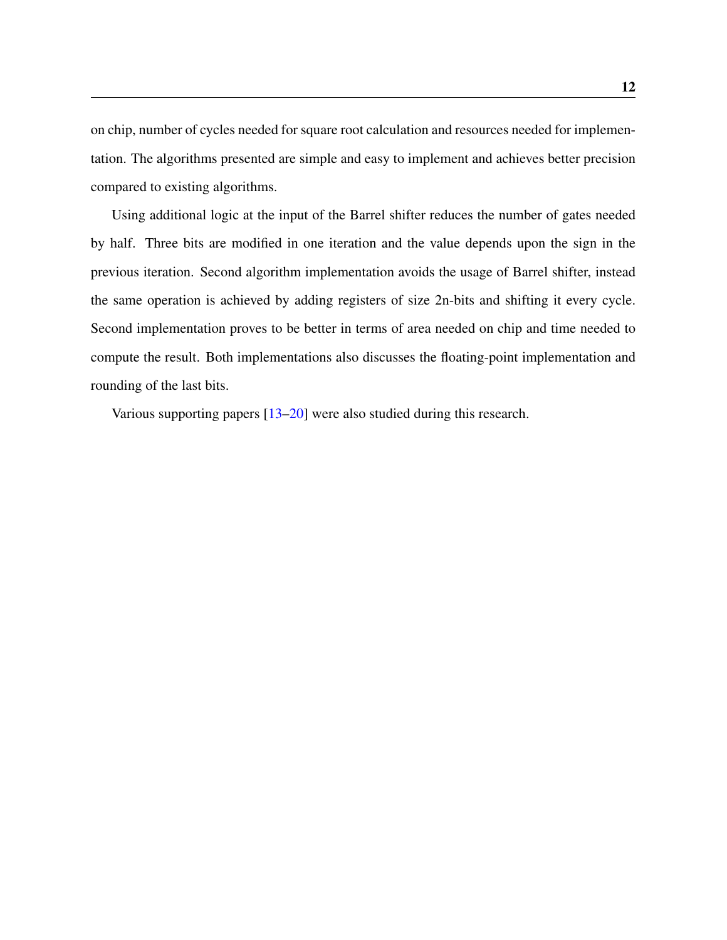on chip, number of cycles needed for square root calculation and resources needed for implementation. The algorithms presented are simple and easy to implement and achieves better precision compared to existing algorithms.

Using additional logic at the input of the Barrel shifter reduces the number of gates needed by half. Three bits are modified in one iteration and the value depends upon the sign in the previous iteration. Second algorithm implementation avoids the usage of Barrel shifter, instead the same operation is achieved by adding registers of size 2n-bits and shifting it every cycle. Second implementation proves to be better in terms of area needed on chip and time needed to compute the result. Both implementations also discusses the floating-point implementation and rounding of the last bits.

Various supporting papers [\[13–](#page-45-6)[20\]](#page-46-0) were also studied during this research.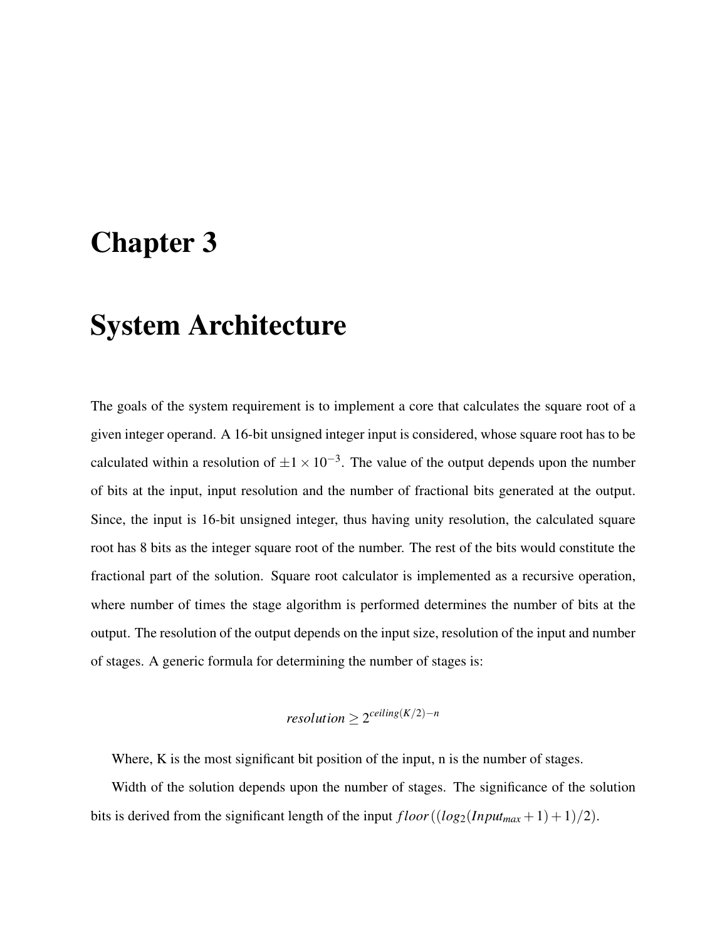## <span id="page-23-0"></span>Chapter 3

## System Architecture

The goals of the system requirement is to implement a core that calculates the square root of a given integer operand. A 16-bit unsigned integer input is considered, whose square root has to be calculated within a resolution of  $\pm 1 \times 10^{-3}$ . The value of the output depends upon the number of bits at the input, input resolution and the number of fractional bits generated at the output. Since, the input is 16-bit unsigned integer, thus having unity resolution, the calculated square root has 8 bits as the integer square root of the number. The rest of the bits would constitute the fractional part of the solution. Square root calculator is implemented as a recursive operation, where number of times the stage algorithm is performed determines the number of bits at the output. The resolution of the output depends on the input size, resolution of the input and number of stages. A generic formula for determining the number of stages is:

 $resolution \geq 2^{ceilling(K/2)-n}$ 

Where, K is the most significant bit position of the input, n is the number of stages.

Width of the solution depends upon the number of stages. The significance of the solution bits is derived from the significant length of the input  $floor((log_2(Input_{max} + 1) + 1)/2)$ .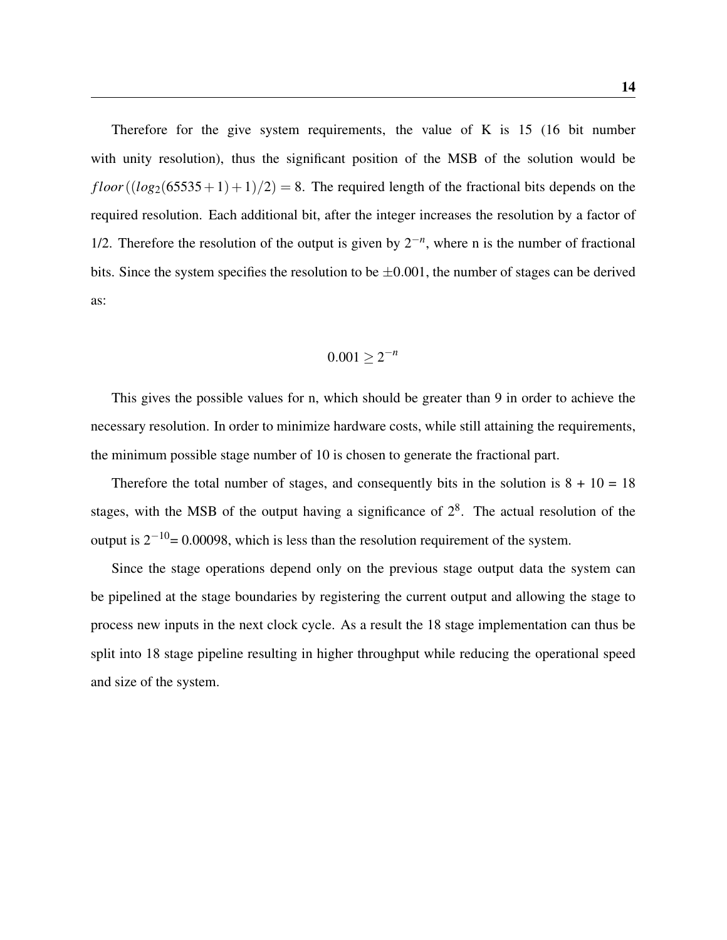Therefore for the give system requirements, the value of K is 15 (16 bit number with unity resolution), thus the significant position of the MSB of the solution would be  $floor((log_2(65535+1)+1)/2) = 8$ . The required length of the fractional bits depends on the required resolution. Each additional bit, after the integer increases the resolution by a factor of 1/2. Therefore the resolution of the output is given by  $2^{-n}$ , where n is the number of fractional bits. Since the system specifies the resolution to be  $\pm 0.001$ , the number of stages can be derived as:

$$
0.001\geq 2^{-n}
$$

This gives the possible values for n, which should be greater than 9 in order to achieve the necessary resolution. In order to minimize hardware costs, while still attaining the requirements, the minimum possible stage number of 10 is chosen to generate the fractional part.

Therefore the total number of stages, and consequently bits in the solution is  $8 + 10 = 18$ stages, with the MSB of the output having a significance of  $2<sup>8</sup>$ . The actual resolution of the output is  $2^{-10}$ = 0.00098, which is less than the resolution requirement of the system.

Since the stage operations depend only on the previous stage output data the system can be pipelined at the stage boundaries by registering the current output and allowing the stage to process new inputs in the next clock cycle. As a result the 18 stage implementation can thus be split into 18 stage pipeline resulting in higher throughput while reducing the operational speed and size of the system.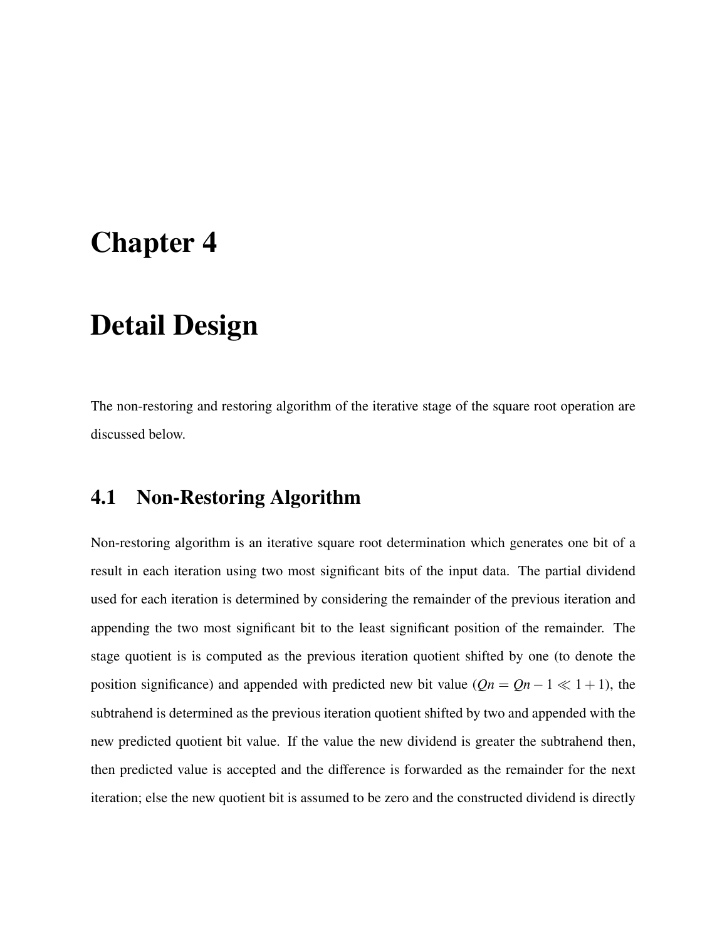## <span id="page-25-0"></span>Chapter 4

## Detail Design

The non-restoring and restoring algorithm of the iterative stage of the square root operation are discussed below.

### <span id="page-25-1"></span>4.1 Non-Restoring Algorithm

Non-restoring algorithm is an iterative square root determination which generates one bit of a result in each iteration using two most significant bits of the input data. The partial dividend used for each iteration is determined by considering the remainder of the previous iteration and appending the two most significant bit to the least significant position of the remainder. The stage quotient is is computed as the previous iteration quotient shifted by one (to denote the position significance) and appended with predicted new bit value ( $Qn = Qn - 1 \ll 1 + 1$ ), the subtrahend is determined as the previous iteration quotient shifted by two and appended with the new predicted quotient bit value. If the value the new dividend is greater the subtrahend then, then predicted value is accepted and the difference is forwarded as the remainder for the next iteration; else the new quotient bit is assumed to be zero and the constructed dividend is directly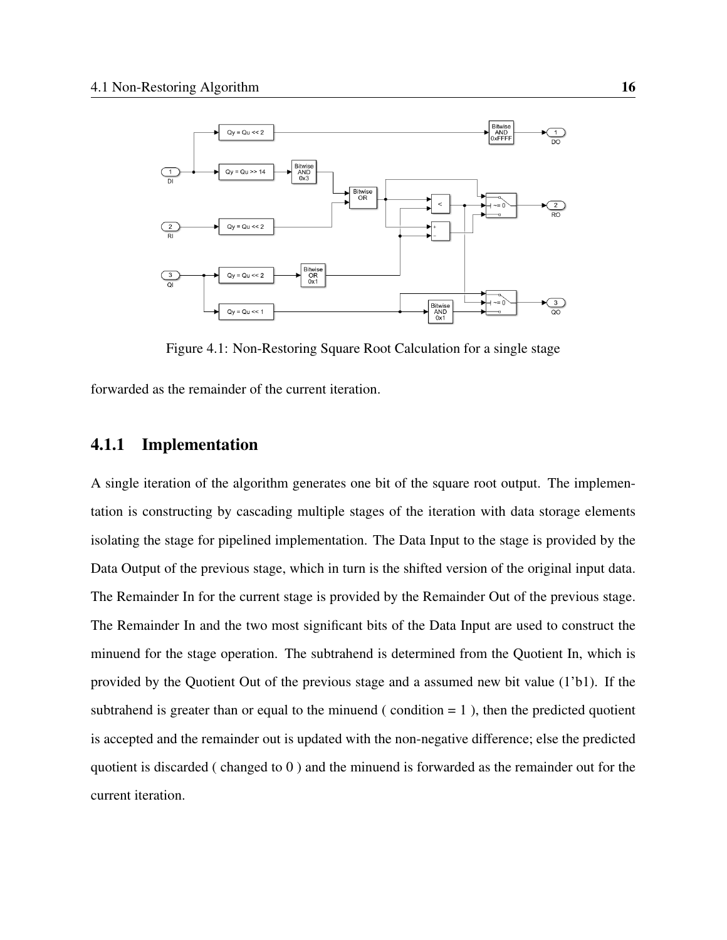

Figure 4.1: Non-Restoring Square Root Calculation for a single stage

<span id="page-26-1"></span>forwarded as the remainder of the current iteration.

### <span id="page-26-0"></span>4.1.1 Implementation

A single iteration of the algorithm generates one bit of the square root output. The implementation is constructing by cascading multiple stages of the iteration with data storage elements isolating the stage for pipelined implementation. The Data Input to the stage is provided by the Data Output of the previous stage, which in turn is the shifted version of the original input data. The Remainder In for the current stage is provided by the Remainder Out of the previous stage. The Remainder In and the two most significant bits of the Data Input are used to construct the minuend for the stage operation. The subtrahend is determined from the Quotient In, which is provided by the Quotient Out of the previous stage and a assumed new bit value (1'b1). If the subtrahend is greater than or equal to the minuend (condition  $= 1$ ), then the predicted quotient is accepted and the remainder out is updated with the non-negative difference; else the predicted quotient is discarded ( changed to 0 ) and the minuend is forwarded as the remainder out for the current iteration.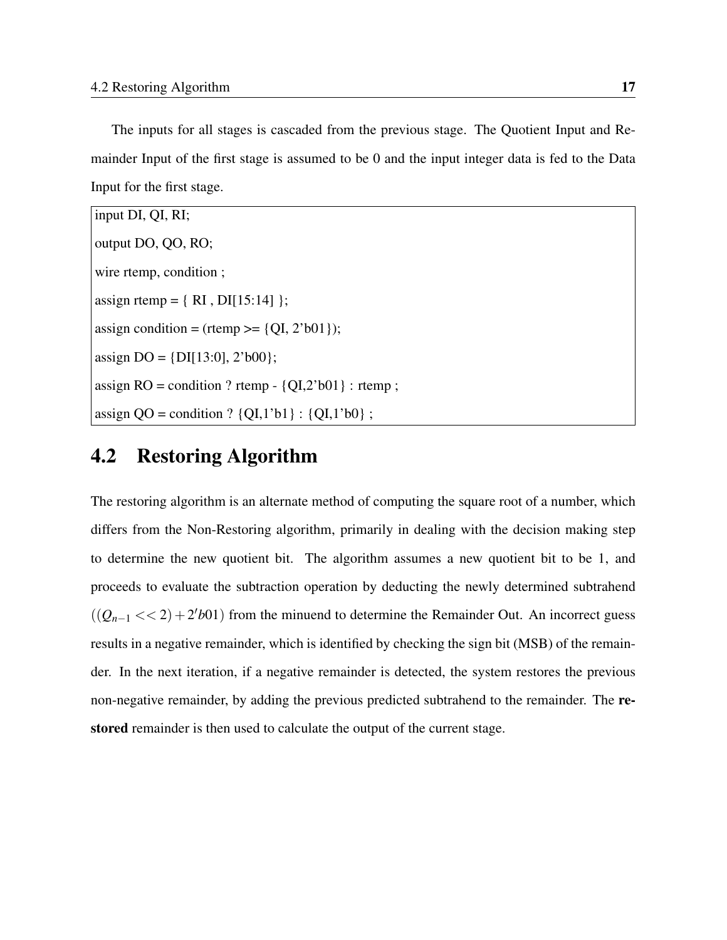The inputs for all stages is cascaded from the previous stage. The Quotient Input and Remainder Input of the first stage is assumed to be 0 and the input integer data is fed to the Data Input for the first stage.

| input DI, QI, RI;                                           |
|-------------------------------------------------------------|
| output DO, QO, RO;                                          |
| wire rtemp, condition;                                      |
| assign rtemp = $\{ RI, DI[15:14] \};$                       |
| assign condition = (rtemp >= {QI, 2'b01});                  |
| assign DO = $\{DI[13:0], 2'b00\};$                          |
| assign RO = condition ? rtemp - $\{QI, 2'b01\}$ : rtemp;    |
| assign $QO =$ condition ? $\{QI, 1'b1\}$ : $\{QI, 1'b0\}$ ; |

### <span id="page-27-0"></span>4.2 Restoring Algorithm

The restoring algorithm is an alternate method of computing the square root of a number, which differs from the Non-Restoring algorithm, primarily in dealing with the decision making step to determine the new quotient bit. The algorithm assumes a new quotient bit to be 1, and proceeds to evaluate the subtraction operation by deducting the newly determined subtrahend  $((Q_{n-1} << 2) + 2'b01)$  from the minuend to determine the Remainder Out. An incorrect guess results in a negative remainder, which is identified by checking the sign bit (MSB) of the remainder. In the next iteration, if a negative remainder is detected, the system restores the previous non-negative remainder, by adding the previous predicted subtrahend to the remainder. The restored remainder is then used to calculate the output of the current stage.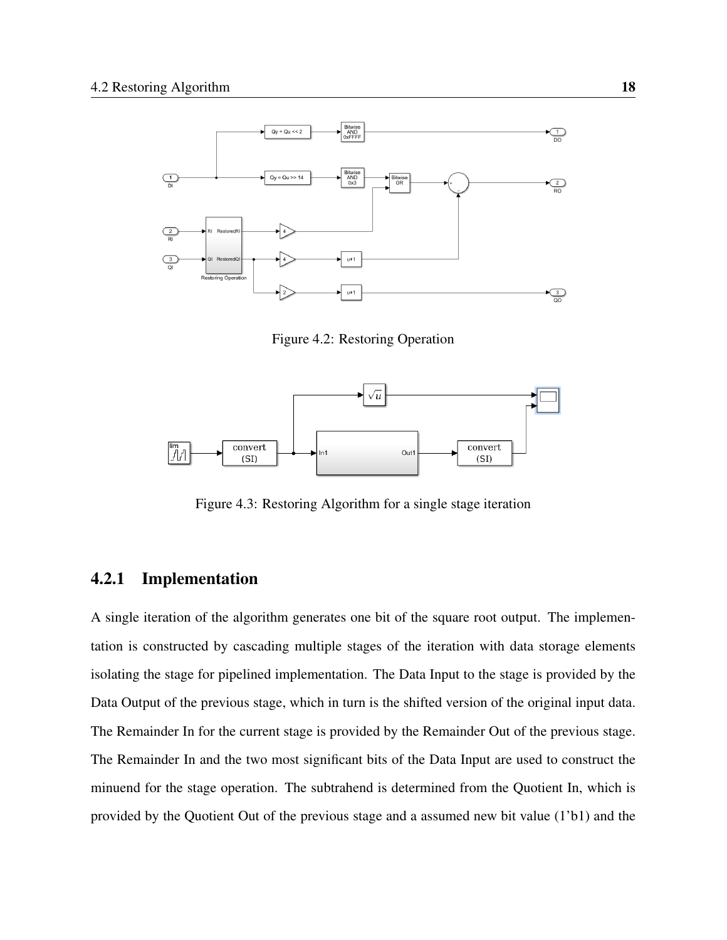

Figure 4.2: Restoring Operation

<span id="page-28-1"></span>

Figure 4.3: Restoring Algorithm for a single stage iteration

### <span id="page-28-2"></span><span id="page-28-0"></span>4.2.1 Implementation

A single iteration of the algorithm generates one bit of the square root output. The implementation is constructed by cascading multiple stages of the iteration with data storage elements isolating the stage for pipelined implementation. The Data Input to the stage is provided by the Data Output of the previous stage, which in turn is the shifted version of the original input data. The Remainder In for the current stage is provided by the Remainder Out of the previous stage. The Remainder In and the two most significant bits of the Data Input are used to construct the minuend for the stage operation. The subtrahend is determined from the Quotient In, which is provided by the Quotient Out of the previous stage and a assumed new bit value (1'b1) and the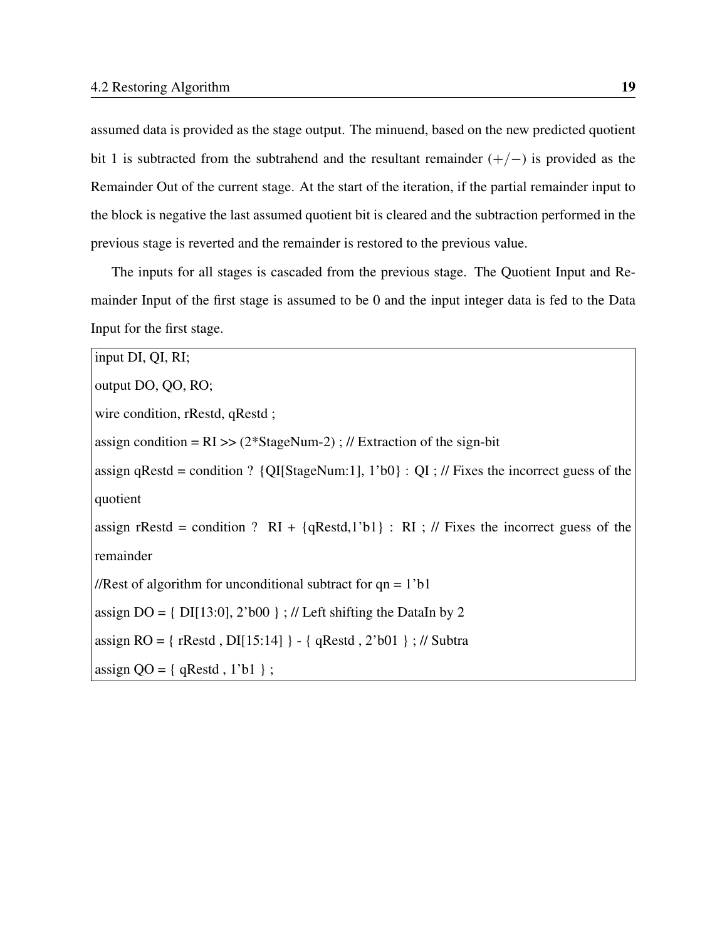assumed data is provided as the stage output. The minuend, based on the new predicted quotient bit 1 is subtracted from the subtrahend and the resultant remainder  $(+/-)$  is provided as the Remainder Out of the current stage. At the start of the iteration, if the partial remainder input to the block is negative the last assumed quotient bit is cleared and the subtraction performed in the previous stage is reverted and the remainder is restored to the previous value.

The inputs for all stages is cascaded from the previous stage. The Quotient Input and Remainder Input of the first stage is assumed to be 0 and the input integer data is fed to the Data Input for the first stage.

```
input DI, QI, RI;
output DO, QO, RO;
wire condition, rRestd, qRestd ;
assign condition = RI \gg (2*StageNum-2); // Extraction of the sign-bit
assign qRestd = condition ? \{QI[StageNum:1], 1'b0\} : QI; // Fixes the incorrect guess of the
quotient
assign rRestd = condition ? RI + {qRestd,1'b1} : RI ; // Fixes the incorrect guess of the
remainder
//Rest of algorithm for unconditional subtract for qn = 1'b1assign DO = \{DI[13:0], 2'b00\}; // Left shifting the DataIn by 2
assign RO = { rRestd , DI[15:14] } - { qRestd , 2'b01 } ; // Subtra
assign QO = \{ qRestd, 1'b1 \};
```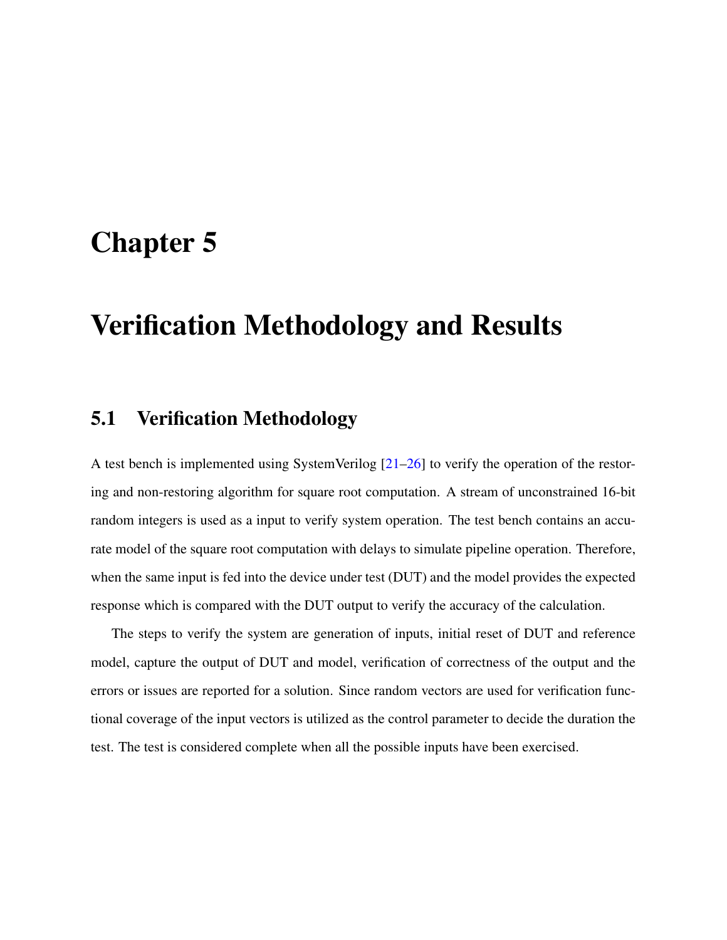## <span id="page-30-0"></span>Chapter 5

## Verification Methodology and Results

### <span id="page-30-1"></span>5.1 Verification Methodology

A test bench is implemented using SystemVerilog [\[21–](#page-46-1)[26\]](#page-47-0) to verify the operation of the restoring and non-restoring algorithm for square root computation. A stream of unconstrained 16-bit random integers is used as a input to verify system operation. The test bench contains an accurate model of the square root computation with delays to simulate pipeline operation. Therefore, when the same input is fed into the device under test (DUT) and the model provides the expected response which is compared with the DUT output to verify the accuracy of the calculation.

The steps to verify the system are generation of inputs, initial reset of DUT and reference model, capture the output of DUT and model, verification of correctness of the output and the errors or issues are reported for a solution. Since random vectors are used for verification functional coverage of the input vectors is utilized as the control parameter to decide the duration the test. The test is considered complete when all the possible inputs have been exercised.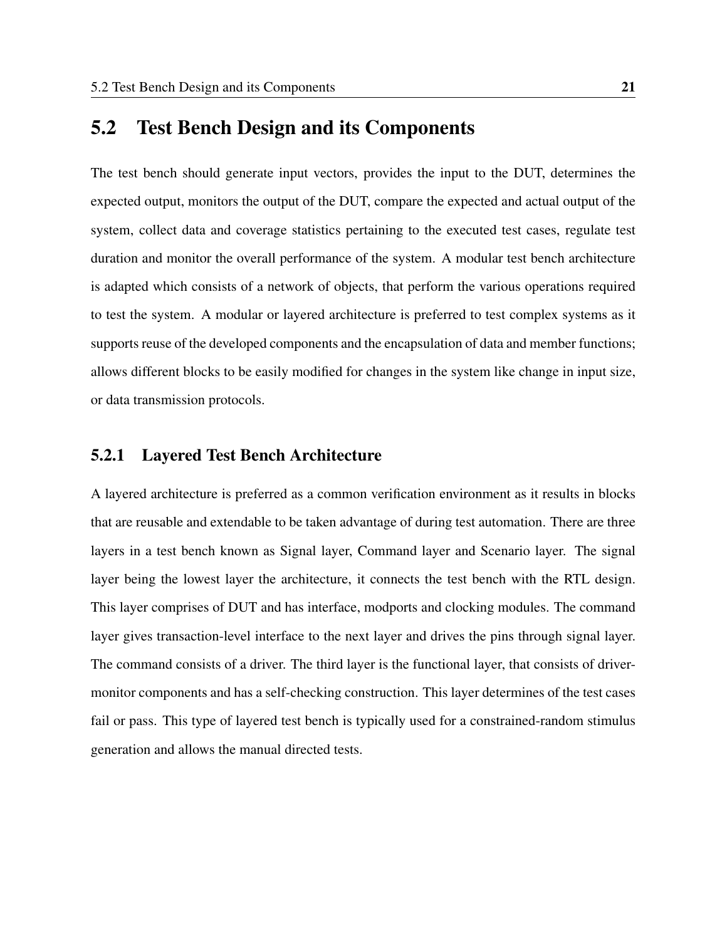### <span id="page-31-0"></span>5.2 Test Bench Design and its Components

The test bench should generate input vectors, provides the input to the DUT, determines the expected output, monitors the output of the DUT, compare the expected and actual output of the system, collect data and coverage statistics pertaining to the executed test cases, regulate test duration and monitor the overall performance of the system. A modular test bench architecture is adapted which consists of a network of objects, that perform the various operations required to test the system. A modular or layered architecture is preferred to test complex systems as it supports reuse of the developed components and the encapsulation of data and member functions; allows different blocks to be easily modified for changes in the system like change in input size, or data transmission protocols.

#### <span id="page-31-1"></span>5.2.1 Layered Test Bench Architecture

A layered architecture is preferred as a common verification environment as it results in blocks that are reusable and extendable to be taken advantage of during test automation. There are three layers in a test bench known as Signal layer, Command layer and Scenario layer. The signal layer being the lowest layer the architecture, it connects the test bench with the RTL design. This layer comprises of DUT and has interface, modports and clocking modules. The command layer gives transaction-level interface to the next layer and drives the pins through signal layer. The command consists of a driver. The third layer is the functional layer, that consists of drivermonitor components and has a self-checking construction. This layer determines of the test cases fail or pass. This type of layered test bench is typically used for a constrained-random stimulus generation and allows the manual directed tests.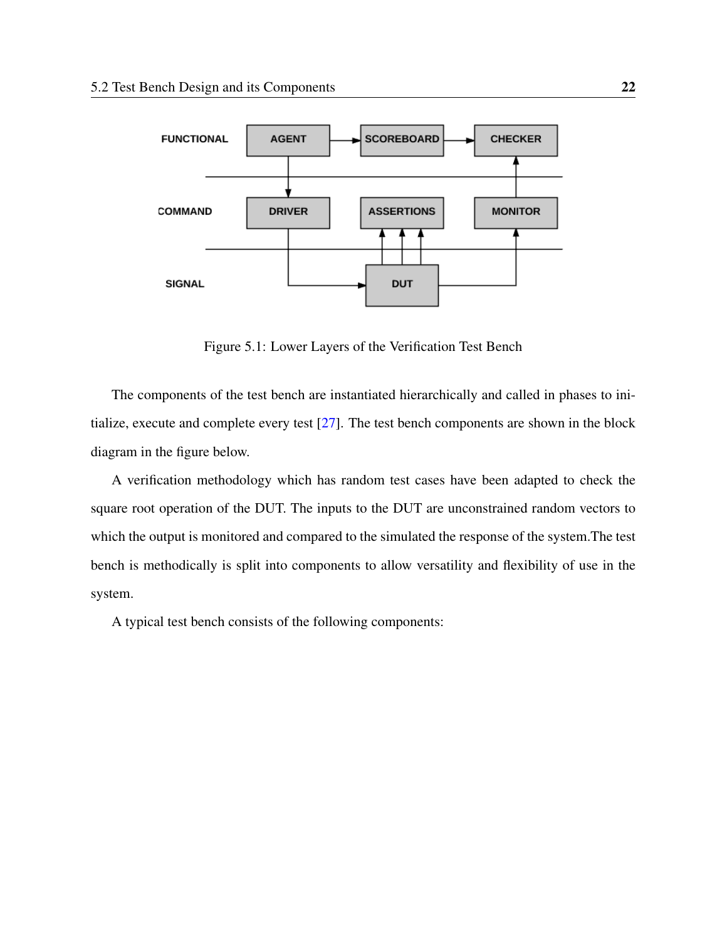

Figure 5.1: Lower Layers of the Verification Test Bench

<span id="page-32-0"></span>The components of the test bench are instantiated hierarchically and called in phases to initialize, execute and complete every test [\[27\]](#page-47-1). The test bench components are shown in the block diagram in the figure below.

A verification methodology which has random test cases have been adapted to check the square root operation of the DUT. The inputs to the DUT are unconstrained random vectors to which the output is monitored and compared to the simulated the response of the system.The test bench is methodically is split into components to allow versatility and flexibility of use in the system.

A typical test bench consists of the following components: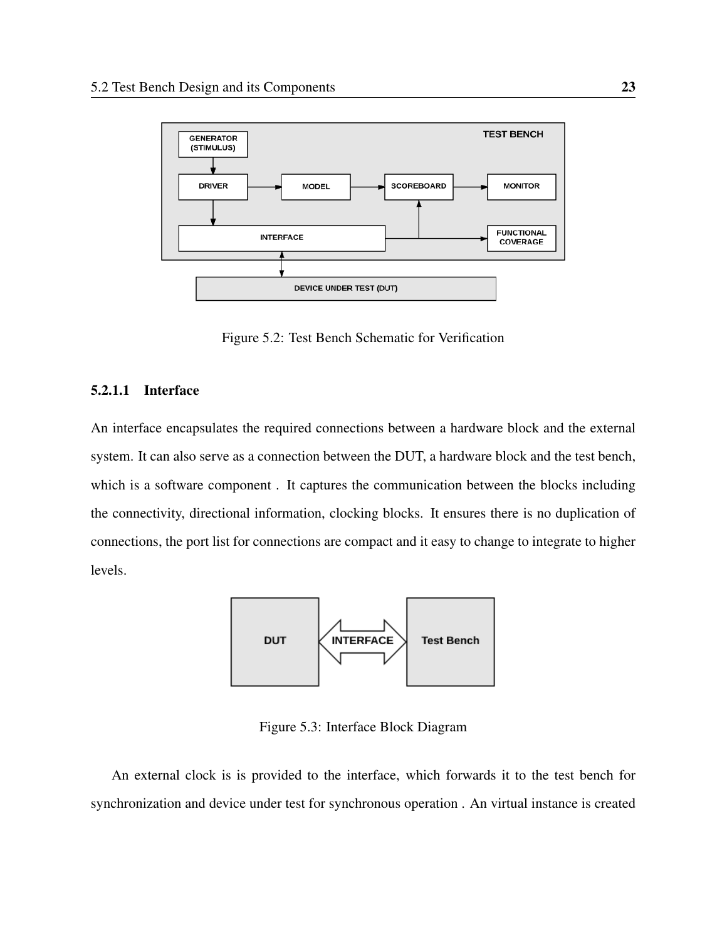

Figure 5.2: Test Bench Schematic for Verification

#### <span id="page-33-1"></span><span id="page-33-0"></span>5.2.1.1 Interface

An interface encapsulates the required connections between a hardware block and the external system. It can also serve as a connection between the DUT, a hardware block and the test bench, which is a software component . It captures the communication between the blocks including the connectivity, directional information, clocking blocks. It ensures there is no duplication of connections, the port list for connections are compact and it easy to change to integrate to higher levels.



Figure 5.3: Interface Block Diagram

<span id="page-33-2"></span>An external clock is is provided to the interface, which forwards it to the test bench for synchronization and device under test for synchronous operation . An virtual instance is created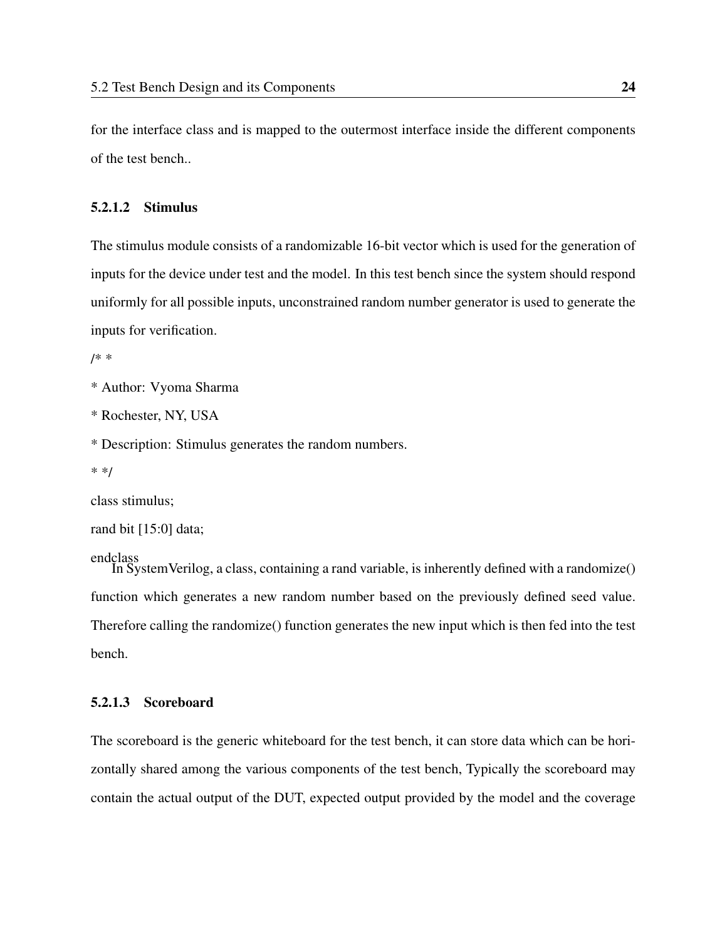for the interface class and is mapped to the outermost interface inside the different components of the test bench..

#### <span id="page-34-0"></span>5.2.1.2 Stimulus

The stimulus module consists of a randomizable 16-bit vector which is used for the generation of inputs for the device under test and the model. In this test bench since the system should respond uniformly for all possible inputs, unconstrained random number generator is used to generate the inputs for verification.

/\* \*

```
* Author: Vyoma Sharma
```
\* Rochester, NY, USA

\* Description: Stimulus generates the random numbers.

\* \*/

class stimulus;

rand bit [15:0] data;

endclass

In SystemVerilog, a class, containing a rand variable, is inherently defined with a randomize() function which generates a new random number based on the previously defined seed value. Therefore calling the randomize() function generates the new input which is then fed into the test bench.

#### <span id="page-34-1"></span>5.2.1.3 Scoreboard

The scoreboard is the generic whiteboard for the test bench, it can store data which can be horizontally shared among the various components of the test bench, Typically the scoreboard may contain the actual output of the DUT, expected output provided by the model and the coverage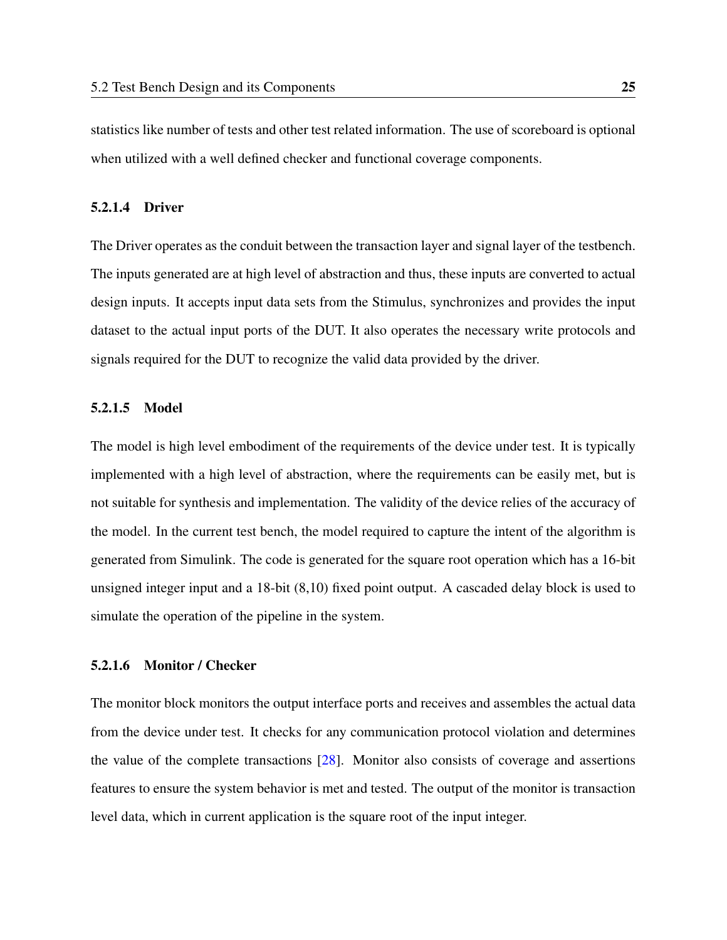statistics like number of tests and other test related information. The use of scoreboard is optional when utilized with a well defined checker and functional coverage components.

#### <span id="page-35-0"></span>5.2.1.4 Driver

The Driver operates as the conduit between the transaction layer and signal layer of the testbench. The inputs generated are at high level of abstraction and thus, these inputs are converted to actual design inputs. It accepts input data sets from the Stimulus, synchronizes and provides the input dataset to the actual input ports of the DUT. It also operates the necessary write protocols and signals required for the DUT to recognize the valid data provided by the driver.

#### <span id="page-35-1"></span>5.2.1.5 Model

The model is high level embodiment of the requirements of the device under test. It is typically implemented with a high level of abstraction, where the requirements can be easily met, but is not suitable for synthesis and implementation. The validity of the device relies of the accuracy of the model. In the current test bench, the model required to capture the intent of the algorithm is generated from Simulink. The code is generated for the square root operation which has a 16-bit unsigned integer input and a 18-bit (8,10) fixed point output. A cascaded delay block is used to simulate the operation of the pipeline in the system.

#### <span id="page-35-2"></span>5.2.1.6 Monitor / Checker

The monitor block monitors the output interface ports and receives and assembles the actual data from the device under test. It checks for any communication protocol violation and determines the value of the complete transactions [\[28\]](#page-47-2). Monitor also consists of coverage and assertions features to ensure the system behavior is met and tested. The output of the monitor is transaction level data, which in current application is the square root of the input integer.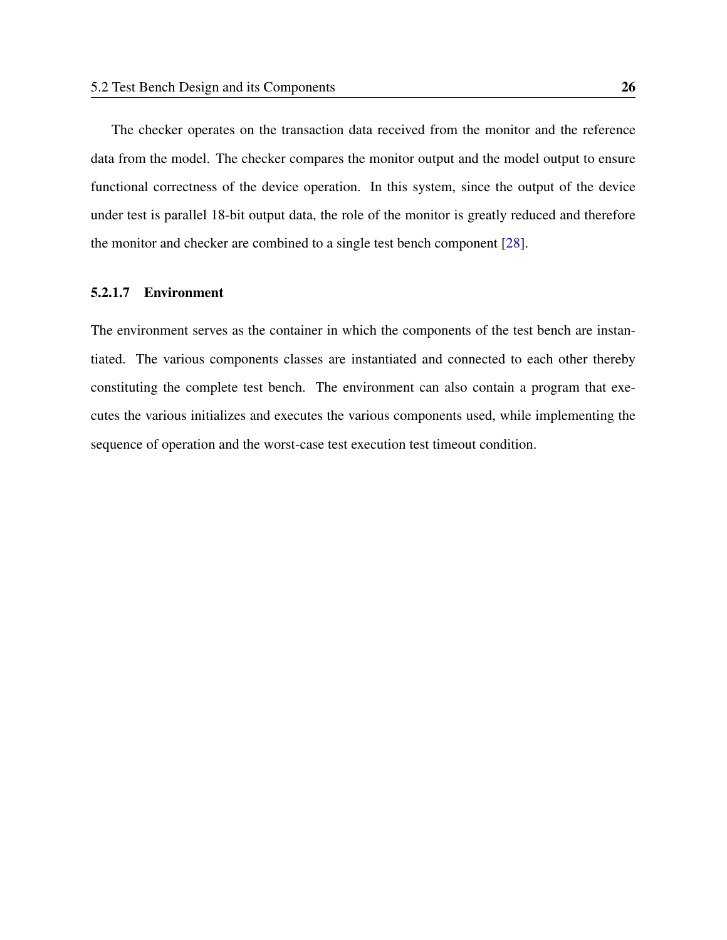The checker operates on the transaction data received from the monitor and the reference data from the model. The checker compares the monitor output and the model output to ensure functional correctness of the device operation. In this system, since the output of the device under test is parallel 18-bit output data, the role of the monitor is greatly reduced and therefore the monitor and checker are combined to a single test bench component [\[28\]](#page-47-0).

#### 5.2.1.7 Environment

The environment serves as the container in which the components of the test bench are instantiated. The various components classes are instantiated and connected to each other thereby constituting the complete test bench. The environment can also contain a program that executes the various initializes and executes the various components used, while implementing the sequence of operation and the worst-case test execution test timeout condition.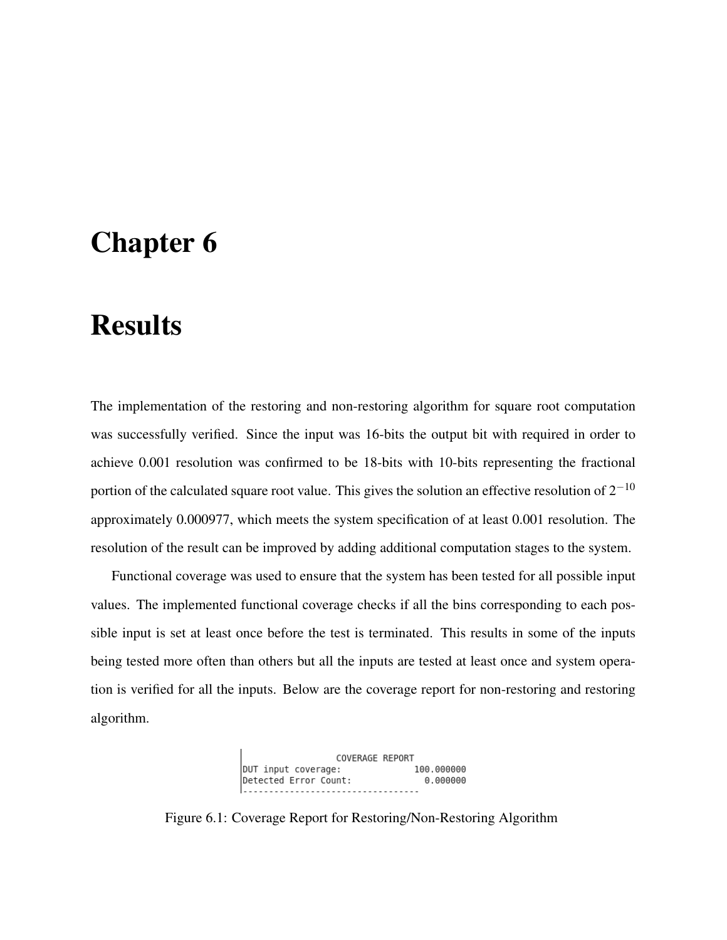## Chapter 6

# Results

The implementation of the restoring and non-restoring algorithm for square root computation was successfully verified. Since the input was 16-bits the output bit with required in order to achieve 0.001 resolution was confirmed to be 18-bits with 10-bits representing the fractional portion of the calculated square root value. This gives the solution an effective resolution of  $2^{-10}$ approximately 0.000977, which meets the system specification of at least 0.001 resolution. The resolution of the result can be improved by adding additional computation stages to the system.

Functional coverage was used to ensure that the system has been tested for all possible input values. The implemented functional coverage checks if all the bins corresponding to each possible input is set at least once before the test is terminated. This results in some of the inputs being tested more often than others but all the inputs are tested at least once and system operation is verified for all the inputs. Below are the coverage report for non-restoring and restoring algorithm.

> COVERAGE REPORT DUT input coverage: 00.000000<br>Detected Error Count: 0.000000

Figure 6.1: Coverage Report for Restoring/Non-Restoring Algorithm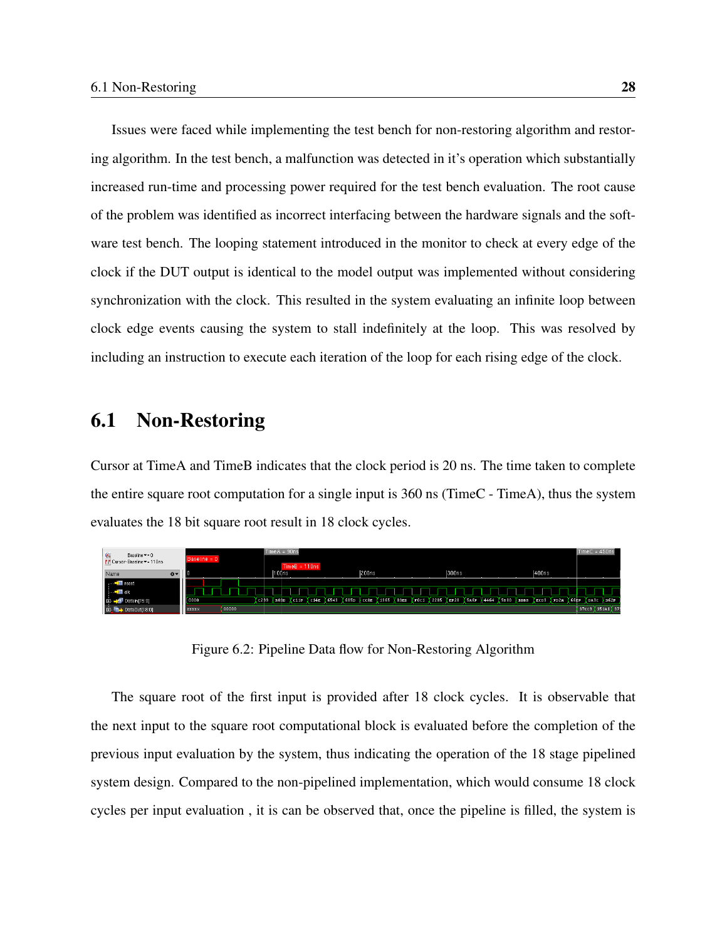Issues were faced while implementing the test bench for non-restoring algorithm and restoring algorithm. In the test bench, a malfunction was detected in it's operation which substantially increased run-time and processing power required for the test bench evaluation. The root cause of the problem was identified as incorrect interfacing between the hardware signals and the software test bench. The looping statement introduced in the monitor to check at every edge of the clock if the DUT output is identical to the model output was implemented without considering synchronization with the clock. This resulted in the system evaluating an infinite loop between clock edge events causing the system to stall indefinitely at the loop. This was resolved by including an instruction to execute each iteration of the loop for each rising edge of the clock.

### 6.1 Non-Restoring

Cursor at TimeA and TimeB indicates that the clock period is 20 ns. The time taken to complete the entire square root computation for a single input is 360 ns (TimeC - TimeA), thus the system evaluates the 18 bit square root result in 18 clock cycles.



Figure 6.2: Pipeline Data flow for Non-Restoring Algorithm

The square root of the first input is provided after 18 clock cycles. It is observable that the next input to the square root computational block is evaluated before the completion of the previous input evaluation by the system, thus indicating the operation of the 18 stage pipelined system design. Compared to the non-pipelined implementation, which would consume 18 clock cycles per input evaluation , it is can be observed that, once the pipeline is filled, the system is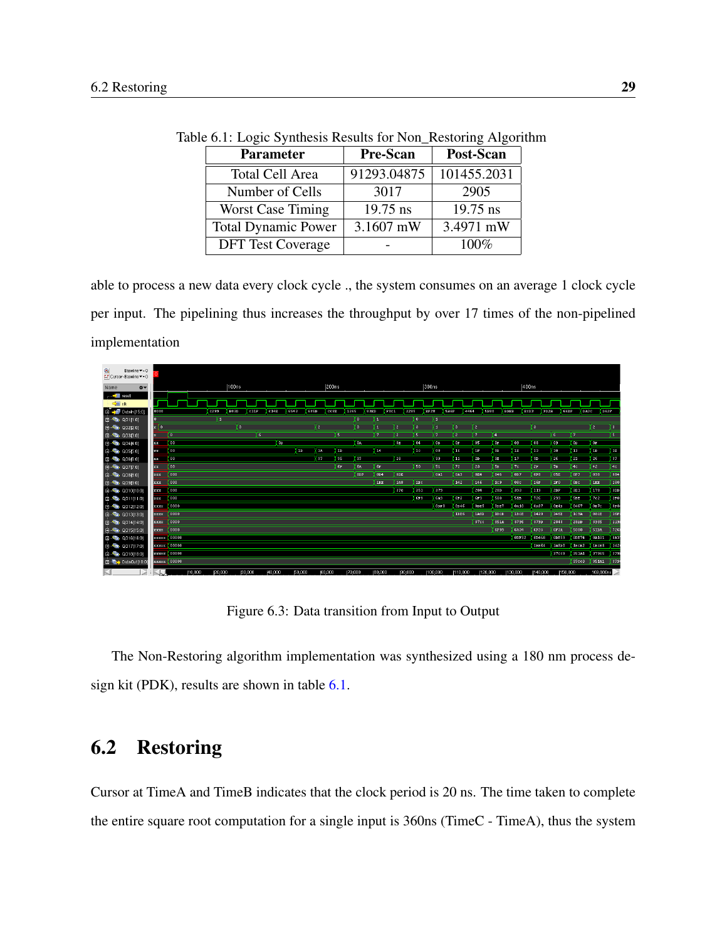| <b>Parameter</b>           | <b>Pre-Scan</b> | Post-Scan   |
|----------------------------|-----------------|-------------|
| <b>Total Cell Area</b>     | 91293.04875     | 101455.2031 |
| Number of Cells            | 3017            | 2905        |
| <b>Worst Case Timing</b>   | $19.75$ ns      | 19.75 ns    |
| <b>Total Dynamic Power</b> | 3.1607 mW       | 3.4971 mW   |
| <b>DFT</b> Test Coverage   |                 | 100%        |

<span id="page-39-0"></span>Table 6.1: Logic Synthesis Results for Non\_Restoring Algorithm

able to process a new data every clock cycle ., the system consumes on an average 1 clock cycle per input. The pipelining thus increases the throughput by over 17 times of the non-pipelined implementation

| Q<br>Baseline == 0<br>FT Cursor-Baseline ▼ = 0 |               |                    |        |         |       |         |         |         |                |         |                 |                 |                 |         |                |       |                 |                  |                  |             |             |              |              |             |                  |                  |               |
|------------------------------------------------|---------------|--------------------|--------|---------|-------|---------|---------|---------|----------------|---------|-----------------|-----------------|-----------------|---------|----------------|-------|-----------------|------------------|------------------|-------------|-------------|--------------|--------------|-------------|------------------|------------------|---------------|
| Name<br>$\ddot{\alpha}$                        |               |                    |        |         | 100ns |         |         |         |                | 200ns   |                 |                 |                 |         |                | 300ns |                 |                  |                  |             |             | 400ns        |              |             |                  |                  |               |
| <sub>r</sub> and and and and reset             |               |                    |        |         |       |         |         |         |                |         |                 |                 |                 |         |                |       |                 |                  |                  |             |             |              |              |             |                  |                  |               |
| <b>中国</b> ck                                   |               |                    |        |         |       |         |         |         |                |         |                 |                 |                 |         |                |       |                 |                  |                  |             |             |              |              |             |                  |                  |               |
| Datain(15:0)                                   | 0000          |                    |        | c299    | 103D  | 11F     | $-14E$  | 6543    | 685D           | CCSE    | 1365            |                 | $($ sep         | P0C1    | 2285           | EF28  |                 | <b>SASP</b>      | 4464             | 5880        | <b>BDBB</b> | ( none       | FD2A         | <b>GGEF</b> | DA <sub>30</sub> | $\sqrt{0.028}$   |               |
| 自 临 40111:01                                   |               |                    |        | Υī      |       |         |         |         |                |         |                 | π               | h               |         | $\overline{0}$ |       | π               |                  |                  |             |             |              |              |             |                  |                  |               |
| 图 · 电 Q02[2.0]                                 | x(0)          |                    |        |         | Yз    |         |         |         | $\overline{2}$ |         |                 | Fз.             | п               | r.      | Гэ             |       | п               | Б                | <b>a</b>         |             |             | Υз.          |              |             |                  | Y 2 .            | χ∍.           |
| <b>B</b> The 0.03(3.0)                         | ×             | ζO.                |        |         |       | Ķε      |         |         |                | ( s.    |                 |                 | 9               | 2       | ľБ.            |       | (7.             | $\overline{2}$   | 9                | 14          |             |              |              | 6.          | 7                |                  | YГ            |
| 白嘴 004[4:0]                                    | xх            | (DO                |        |         |       |         | 0D      |         |                |         |                 | <b>Da</b>       |                 | 0E      | 04             |       | 0B              | 0F               | 05               | <b>OF</b>   | 09          | <b>D</b> s   |              | 09          | 0D               | <b>OF</b>        |               |
| B-Ta 0055.0]                                   | xx            | $\sqrt{20}$        |        |         |       |         |         | Пв      | <b>IR</b>      |         | 18              |                 | 14              |         | de.            |       | Os:             | 16               | 1F               | 0B          | <b>TR</b>   | Ūз           |              | 10          | 18               | <b>IB</b>        | <b>TE</b>     |
| 由 - 『 Q06[6.0]                                 | XX            | (oo                |        |         |       |         |         |         | 37             |         | 85              | $\sqrt{37}$     |                 | 28      |                |       | 39              | 11               | 2D               | 3E          | 17          | Гn           |              | 26          | 21               | 26               | $\sqrt{37}$   |
| 日本 0077:0                                      | xx            | $\sqrt{10}$        |        |         |       |         |         |         |                |         | $6\,\mathrm{F}$ | 6A              | 6F              |         | $\sqrt{50}$    |       | $\overline{51}$ | 72               | 23               | <b>B</b>    | 7c          | $\sqrt{28}$  |              | 7B          | 4c               | 42               | स्≖           |
| 自- <sup>(</sup> mg QOS B.0)                    | XXX:          | $\sqrt{100}$       |        |         |       |         |         |         |                |         |                 | 0 <sub>DF</sub> | 0D4             | 0DE     |                |       | 0 <sub>R1</sub> | 0 <sub>R</sub> 3 | 0E4              | 046         | 0B7         | $\sqrt{ }$   |              | 05E         | 0F               | 098              | $\sqrt{ }$ 84 |
| 白 - 『 0099.0]                                  | <b>RXX</b>    | $\sqrt{200}$       |        |         |       |         |         |         |                |         |                 |                 | 1 <sub>DE</sub> | 1A8     | Line:          |       |                 | 142              | 146              | 109         | 08c         | $\sqrt{16r}$ |              | 1F0         | OBC              | <b>IEE</b>       | $\sqrt{130}$  |
| B-Ta 0010(10:0)                                | XXX           | $\sqrt{ }$         |        |         |       |         |         |         |                |         |                 |                 |                 | 37c     | 351            |       | 379             |                  | 284              | 28D         | 393         | $\sqrt{113}$ |              | 2DF         | 321              | <b>178</b>       | 300           |
| 图 -- <sup>(</sup> 图 Q011[11:0]                 | XXX           | 000                |        |         |       |         |         |         |                |         |                 |                 |                 |         | 6P9            |       | <b>6A3</b>      | 672              | 6F3              | 508         | 51B         | $T_{26}$     |              | 233         | <b>SBE</b>       | 7c2              | 2P0           |
| 由 4 0012[12:0]                                 | <b>DEDECK</b> | (0000)             |        |         |       |         |         |         |                |         |                 |                 |                 |         |                |       | ODF8            | 0p46             | ODES             | ODE?        | 0A10        |              | <b>DA87</b>  | 0E4D        | 0467             | 0в7с             | 0r            |
| 图 -- The Q013[13:0]                            | <b>XXXX</b>   | 10000              |        |         |       |         |         |         |                |         |                 |                 |                 |         |                |       |                 | 1BE6             | 1A8D             | 1BCB        | 1BCE        |              | 1420         | 146E        | 1C3R             | 08 <sub>CE</sub> | $\sqrt{151}$  |
| 日、临 0014[14:0]                                 | xxxx          | 0000               |        |         |       |         |         |         |                |         |                 |                 |                 |         |                |       |                 |                  | 37 <sub>cc</sub> | 351A        | 3796        |              | $\sqrt{290}$ | 2840        | 28DD             | 3935             | $\sqrt{115}$  |
| 图 临 0015[15:0]                                 | xxxx          | 0000               |        |         |       |         |         |         |                |         |                 |                 |                 |         |                |       |                 |                  |                  | <b>6F99</b> | 6A34        |              | 6F2C         | 6F3R        | 5080             | 51BR             | $\sqrt{226}$  |
| 由 42 0016[16:0]                                |               | EXXXX 00000        |        |         |       |         |         |         |                |         |                 |                 |                 |         |                |       |                 |                  |                  |             | ODF 32      |              | 0D468        | 0DE59       | 0DE74            | 0A101            | OAS           |
| 由 偏 0017[17:0]                                 |               | <b>XXXXX 00000</b> |        |         |       |         |         |         |                |         |                 |                 |                 |         |                |       |                 |                  |                  |             |             |              | <b>IBE64</b> | 1A8D0       | 1BCB2            | IBCE8            | 142           |
| <b>B-Fa</b> Q018[18:0]                         |               | xxxxx 00000        |        |         |       |         |         |         |                |         |                 |                 |                 |         |                |       |                 |                  |                  |             |             |              |              | 37009       | 351A1            | 87965            | 379           |
| <b>由 ■ DataOut[18:0]</b>                       |               | <b>EXXXX</b> 00000 |        |         |       |         |         |         |                |         |                 |                 |                 |         |                |       |                 |                  |                  |             |             |              |              |             | 37cc9            | 351A1            | $\sqrt{379}$  |
|                                                |               |                    | 10,000 | (20,000 |       | (30,000 | (40,000 | (50,000 |                | (60,000 | 70,000          |                 | (80,000         | (90,000 |                |       | 100,000         | 110,000          |                  | 120,000     | 130,000     |              | 140,000      | 150,000     |                  | 169,880ns        |               |

Figure 6.3: Data transition from Input to Output

The Non-Restoring algorithm implementation was synthesized using a 180 nm process design kit (PDK), results are shown in table [6.1.](#page-39-0)

## 6.2 Restoring

Cursor at TimeA and TimeB indicates that the clock period is 20 ns. The time taken to complete the entire square root computation for a single input is 360ns (TimeC - TimeA), thus the system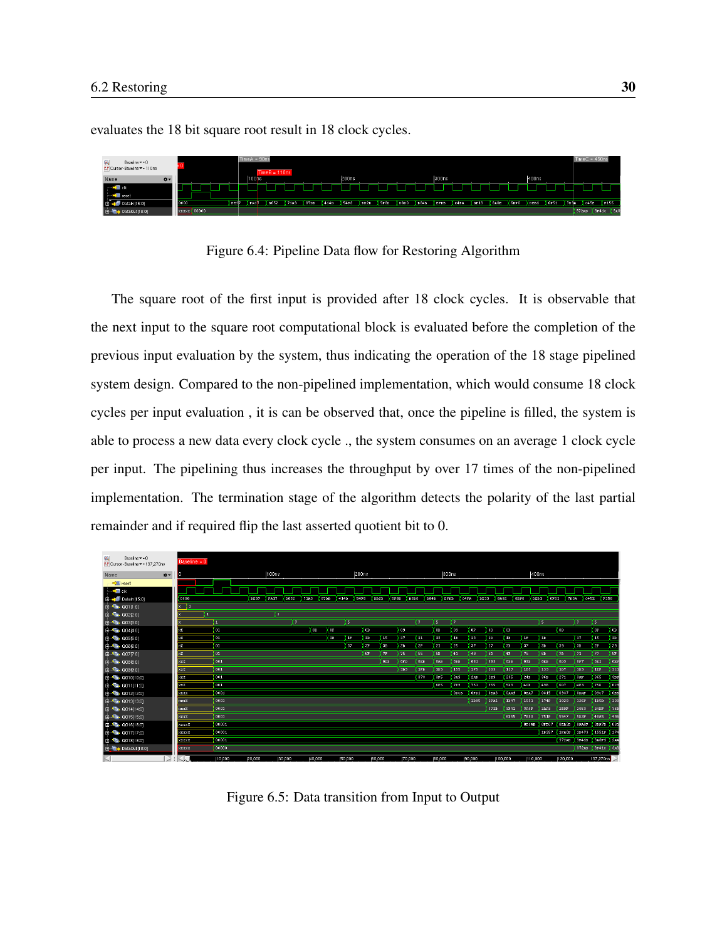evaluates the 18 bit square root result in 18 clock cycles.



Figure 6.4: Pipeline Data flow for Restoring Algorithm

The square root of the first input is provided after 18 clock cycles. It is observable that the next input to the square root computational block is evaluated before the completion of the previous input evaluation by the system, thus indicating the operation of the 18 stage pipelined system design. Compared to the non-pipelined implementation, which would consume 18 clock cycles per input evaluation , it is can be observed that, once the pipeline is filled, the system is able to process a new data every clock cycle ., the system consumes on an average 1 clock cycle per input. The pipelining thus increases the throughput by over 17 times of the non-pipelined implementation. The termination stage of the algorithm detects the polarity of the last partial remainder and if required flip the last asserted quotient bit to 0.

| $\alpha$<br>Baseline v = 0<br>FL" Cursor-Baseline ▼ = 137,270ns | $Baseline = 0$ |                  |             |                     |                |           |                  |             |                 |       |            |                  |              |                 |             |          |                 |                     |              |                |                |                |                  |              |
|-----------------------------------------------------------------|----------------|------------------|-------------|---------------------|----------------|-----------|------------------|-------------|-----------------|-------|------------|------------------|--------------|-----------------|-------------|----------|-----------------|---------------------|--------------|----------------|----------------|----------------|------------------|--------------|
| Name<br>春天                                                      |                |                  |             | 100ns               |                |           |                  | 200ns       |                 |       |            |                  |              | 300ns           |             |          |                 |                     | 400ns        |                |                |                |                  |              |
| <b>中国</b> reset                                                 |                |                  |             |                     |                |           |                  |             |                 |       |            |                  |              |                 |             |          |                 |                     |              |                |                |                |                  |              |
| ⊶ – ∑≣ cik                                                      |                |                  |             |                     |                |           |                  |             |                 |       |            |                  |              |                 |             |          |                 |                     |              |                |                |                |                  |              |
| 图 - 2 Datain[15:0]                                              | 0000           |                  | <b>BE37</b> | <b>FA17</b><br>D652 | <b>7183</b>    | 22DB      | 414 <sub>D</sub> | <b>S4F8</b> |                 | EBB2B | 5F8D       | D <sub>8D0</sub> | <b>B</b> 84B | <b>EFBB</b>     | <b>04FA</b> | $T = 13$ |                 | <b>SASE</b><br>6BPO | DEB1         | CFT            | 783A           | <b>B45B</b>    | <b>VP156</b>     |              |
| 自 - 『 001[1:0]                                                  | $x \mid 1$     |                  |             |                     |                |           |                  |             |                 |       |            |                  |              |                 |             |          |                 |                     |              |                |                |                |                  |              |
| 日、临 00212:01                                                    | п              |                  |             | Yз                  |                |           |                  |             |                 |       |            |                  |              |                 |             |          |                 |                     |              |                |                |                |                  |              |
| 回幅 003[3:0]                                                     |                | п                |             |                     | $\overline{2}$ |           | Ys.              |             |                 |       |            | I7               |              | σ               | 12.         |          |                 |                     |              | τ              |                | 7              | Γ5.              |              |
| 白、 临 004[4.0]                                                   | lxx.           | $\overline{101}$ |             |                     |                | <b>OD</b> | 0F               |             | OB.             |       | Гоз.       |                  |              | <b>OD</b>       | 09          | ÛF       | 0D              | <b>OF</b>           |              |                | <b>OD</b>      |                | 0F               | <b>OB</b>    |
| 白嘴 0055:01                                                      | lxx            | Lo 1             |             |                     |                |           | 1B               | 18          | 10 <sub>2</sub> | 15    | -17        |                  | л            | 'nз.            | 1B          | 13       | 1D              | 1B                  | 18           | n <sub>0</sub> |                | 17             | <b>TB</b>        | $\sqrt{10}$  |
| <b>B</b> Ta Q0616:01                                            | <b>Ixx</b>     | 01               |             |                     |                |           |                  | 37          | 3F              | 3B    | 2B         |                  | 2F           | 21              | 25          | 37       | 27              | 3B                  | 37           | 3D             | <b>Eas</b>     | 3B             | <b>DE</b>        | Tas          |
| 日本 12077:01                                                     | lxx.           | 01               |             |                     |                |           |                  |             | 6F              | 78    | 75         |                  | 55           | 5D              | $-41$       | 49       | 6D              | 4F                  | 75           | 6D             | 78             | 71             | $\sqrt{77}$      | (Sr          |
| 白 梅 0088:0]                                                     | <b>xxx</b>     | 001              |             |                     |                |           |                  |             |                 | opp.  | OFD        |                  | OEB          | <b>DAB</b>      | <b>UBB</b>  | 081      | 093             | ODB.                | 03D          | OEB            | 009            | 0 <sub>F</sub> | 0E1              | OEE          |
| 自 偏 Q0919:01                                                    | <b>Best X</b>  | 001              |             |                     |                |           |                  |             |                 |       | <b>1B9</b> |                  | <b>IFB</b>   | 1 <sub>DS</sub> | 155         | 175      | 103             | 127                 | <b>IB5</b>   | 139            | T <sub>D</sub> | 1B3            | <b>TEP</b>       | $\sqrt{1}$   |
| <b>B-Ta Q010[10:0]</b>                                          | <b>BOOK</b>    | 001              |             |                     |                |           |                  |             |                 |       |            |                  | 373          | 3F5             | 3A9         | 2AB      | 223             | 205                 | 24D          | 36B            | 271            | SAF.           | 365              | sor          |
| 图 -- The Q011[11:0]                                             | <b>XXX</b>     | 001              |             |                     |                |           |                  |             |                 |       |            |                  |              | <b>KE5</b>      | <b>7E9</b>  | 751      | 555             | SD <sub>3</sub>     | 40B          | 498            | <b>607</b>     | 4E3            | 75p              | Bc:          |
| 由一幅 0012[12:0]                                                  | <b>BOOK</b>    | 0001             |             |                     |                |           |                  |             |                 |       |            |                  |              |                 | ODCB        | OFD1     | 0E <sub>R</sub> | <b>OAA9</b>         | OBA?         | 0815           | 0937           | <b>ODAF</b>    | 0907             | OBE          |
| 由 46. 0013[13:0]                                                | <b>BEXXX</b>   | 0001             |             |                     |                |           |                  |             |                 |       |            |                  |              |                 |             | 1895     | <b>1FA1</b>     | 1D47                | 1551         | 174F           | 1029           | 126F           | 1185D            | $\sqrt{13}$  |
| 日本 0014[14:0]                                                   | <b>XXXX</b>    | 0001             |             |                     |                |           |                  |             |                 |       |            |                  |              |                 |             |          | 372B            | 3F41                | 3A8F         | 2AB3           | 2E9F           | 2053           | 24 <sub>DF</sub> | $\sqrt{361}$ |
| 回幅 0015[15:0]                                                   | xxxx           | 0001             |             |                     |                |           |                  |             |                 |       |            |                  |              |                 |             |          |                 | 6E55                | <b>7E83</b>  | <b>751F</b>    | 5547           | SD3F           | $-0.085$         | $Y$ 49E      |
| <b>ER-400</b> 0016116:01                                        | xxxxx          | 00001            |             |                     |                |           |                  |             |                 |       |            |                  |              |                 |             |          |                 |                     | <b>ODCAB</b> | 0FD07          | (00,030)       | OAASF          | (ова7в X 08;     |              |
| 白嘴 0017[17:0]                                                   | XXXXX          | 00001            |             |                     |                |           |                  |             |                 |       |            |                  |              |                 |             |          |                 |                     |              | 18957          | <b>IFAOF</b>   | 10479          | I 1551F X 174    |              |
| 自 偏 0018[18:0]                                                  | <b>RECEIVE</b> | 00001            |             |                     |                |           |                  |             |                 |       |            |                  |              |                 |             |          |                 |                     |              |                | 372AD          | 3F41D          | 3A8F1 2A         |              |
| <b>田 電→ DataOut[18:0]</b>                                       | XXXXX          | 00000            |             |                     |                |           |                  |             |                 |       |            |                  |              |                 |             |          |                 |                     |              |                |                |                | 372AD 3F410 3A8  |              |
| F.                                                              |                | 10,000           | 20,000      | 30,000              |                | µ0,000    | (50,000          |             | (60,000         |       |            | [70,000          |              | (80,000         |             | 190,000  |                 | 100,000             | 110,000      |                | 120,000        |                | 137,270ns        |              |

Figure 6.5: Data transition from Input to Output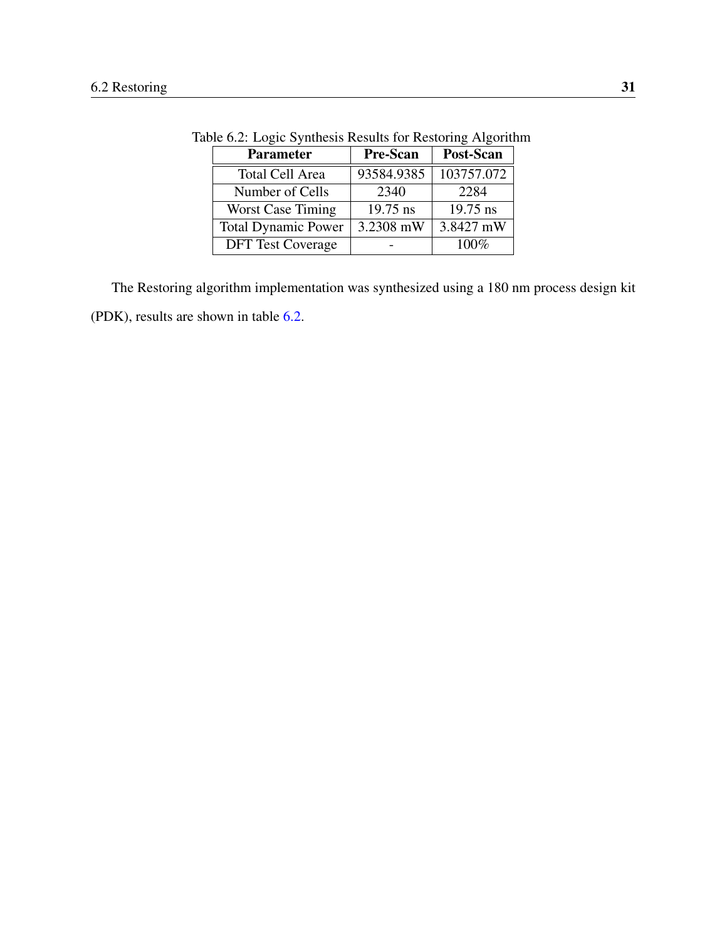| <b>Parameter</b>           | <b>Pre-Scan</b> | Post-Scan  |
|----------------------------|-----------------|------------|
| <b>Total Cell Area</b>     | 93584.9385      | 103757.072 |
| Number of Cells            | 2340            | 2284       |
| <b>Worst Case Timing</b>   | 19.75 ns        | 19.75 ns   |
| <b>Total Dynamic Power</b> | 3.2308 mW       | 3.8427 mW  |
| <b>DFT</b> Test Coverage   |                 | 100%       |

<span id="page-41-0"></span>Table 6.2: Logic Synthesis Results for Restoring Algorithm

The Restoring algorithm implementation was synthesized using a 180 nm process design kit (PDK), results are shown in table [6.2.](#page-41-0)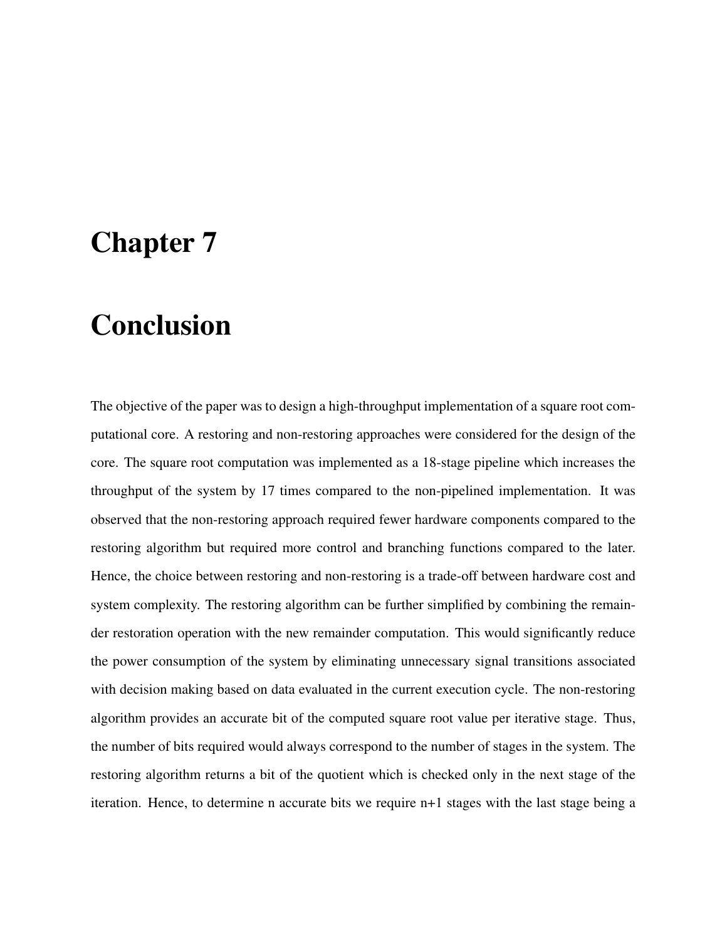# Chapter 7

# Conclusion

The objective of the paper was to design a high-throughput implementation of a square root computational core. A restoring and non-restoring approaches were considered for the design of the core. The square root computation was implemented as a 18-stage pipeline which increases the throughput of the system by 17 times compared to the non-pipelined implementation. It was observed that the non-restoring approach required fewer hardware components compared to the restoring algorithm but required more control and branching functions compared to the later. Hence, the choice between restoring and non-restoring is a trade-off between hardware cost and system complexity. The restoring algorithm can be further simplified by combining the remainder restoration operation with the new remainder computation. This would significantly reduce the power consumption of the system by eliminating unnecessary signal transitions associated with decision making based on data evaluated in the current execution cycle. The non-restoring algorithm provides an accurate bit of the computed square root value per iterative stage. Thus, the number of bits required would always correspond to the number of stages in the system. The restoring algorithm returns a bit of the quotient which is checked only in the next stage of the iteration. Hence, to determine n accurate bits we require n+1 stages with the last stage being a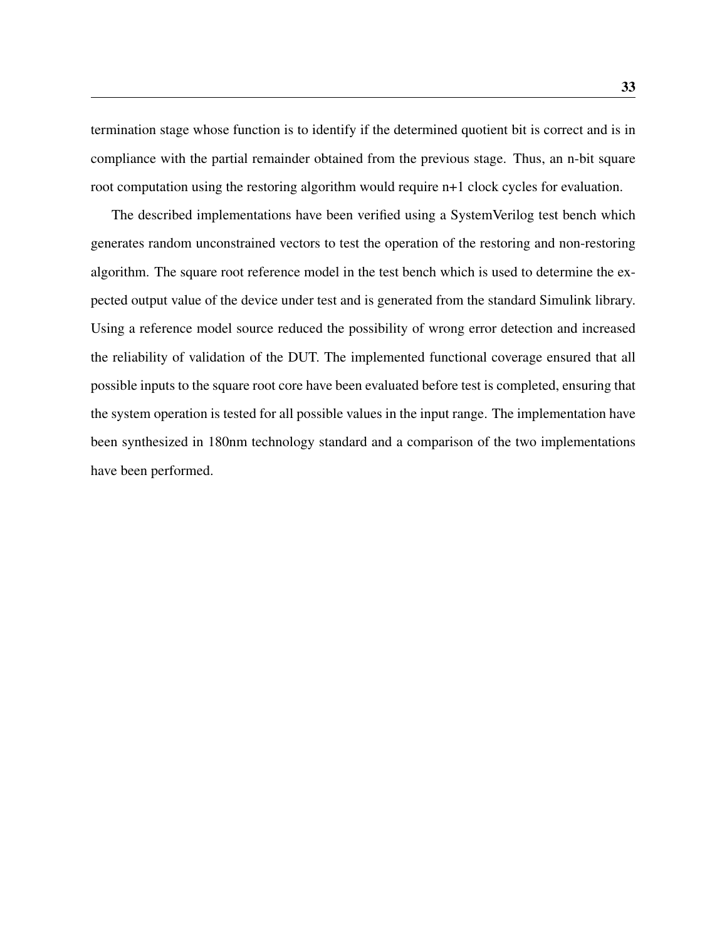termination stage whose function is to identify if the determined quotient bit is correct and is in compliance with the partial remainder obtained from the previous stage. Thus, an n-bit square root computation using the restoring algorithm would require n+1 clock cycles for evaluation.

The described implementations have been verified using a SystemVerilog test bench which generates random unconstrained vectors to test the operation of the restoring and non-restoring algorithm. The square root reference model in the test bench which is used to determine the expected output value of the device under test and is generated from the standard Simulink library. Using a reference model source reduced the possibility of wrong error detection and increased the reliability of validation of the DUT. The implemented functional coverage ensured that all possible inputs to the square root core have been evaluated before test is completed, ensuring that the system operation is tested for all possible values in the input range. The implementation have been synthesized in 180nm technology standard and a comparison of the two implementations have been performed.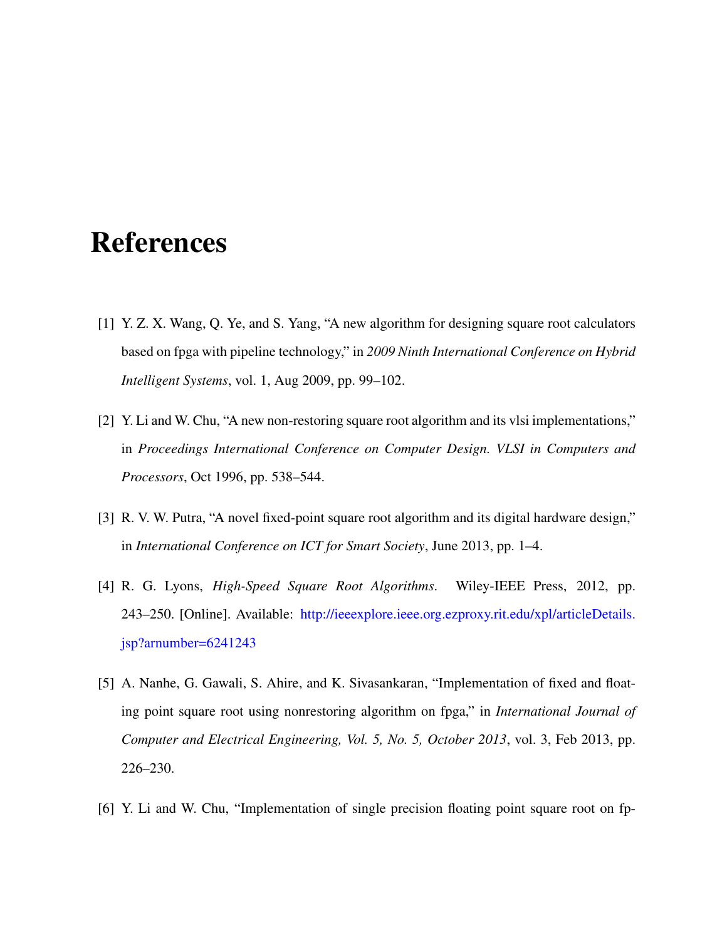# References

- [1] Y. Z. X. Wang, Q. Ye, and S. Yang, "A new algorithm for designing square root calculators based on fpga with pipeline technology," in *2009 Ninth International Conference on Hybrid Intelligent Systems*, vol. 1, Aug 2009, pp. 99–102.
- [2] Y. Li and W. Chu, "A new non-restoring square root algorithm and its vlsi implementations," in *Proceedings International Conference on Computer Design. VLSI in Computers and Processors*, Oct 1996, pp. 538–544.
- [3] R. V. W. Putra, "A novel fixed-point square root algorithm and its digital hardware design," in *International Conference on ICT for Smart Society*, June 2013, pp. 1–4.
- [4] R. G. Lyons, *High-Speed Square Root Algorithms*. Wiley-IEEE Press, 2012, pp. 243–250. [Online]. Available: [http://ieeexplore.ieee.org.ezproxy.rit.edu/xpl/articleDetails.](http://ieeexplore.ieee.org.ezproxy.rit.edu/xpl/articleDetails.jsp?arnumber=6241243) [jsp?arnumber=6241243](http://ieeexplore.ieee.org.ezproxy.rit.edu/xpl/articleDetails.jsp?arnumber=6241243)
- [5] A. Nanhe, G. Gawali, S. Ahire, and K. Sivasankaran, "Implementation of fixed and floating point square root using nonrestoring algorithm on fpga," in *International Journal of Computer and Electrical Engineering, Vol. 5, No. 5, October 2013*, vol. 3, Feb 2013, pp. 226–230.
- [6] Y. Li and W. Chu, "Implementation of single precision floating point square root on fp-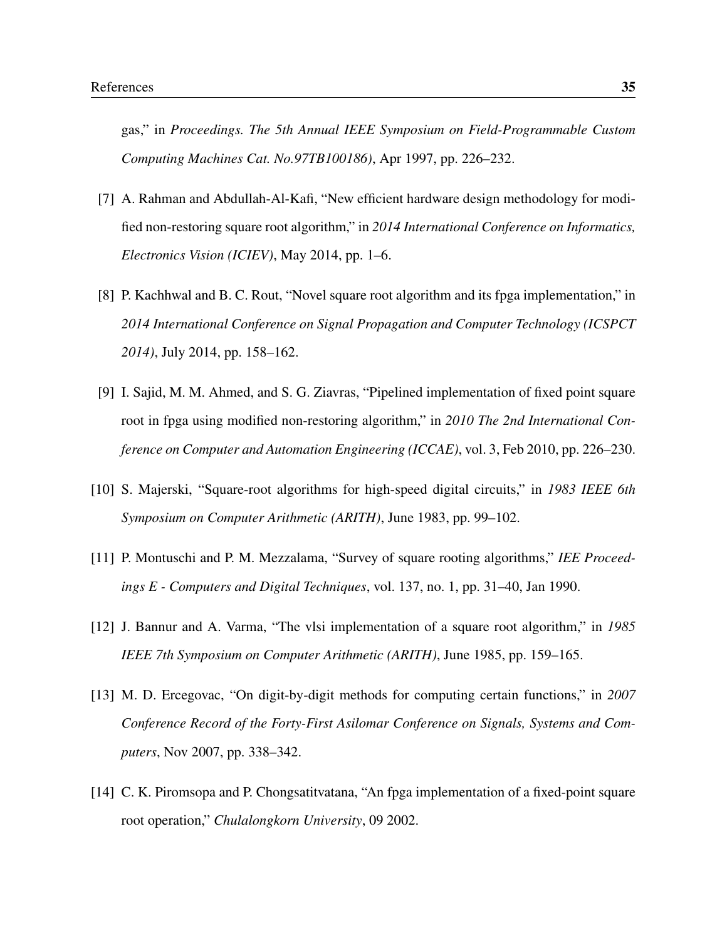gas," in *Proceedings. The 5th Annual IEEE Symposium on Field-Programmable Custom Computing Machines Cat. No.97TB100186)*, Apr 1997, pp. 226–232.

- [7] A. Rahman and Abdullah-Al-Kafi, "New efficient hardware design methodology for modified non-restoring square root algorithm," in *2014 International Conference on Informatics, Electronics Vision (ICIEV)*, May 2014, pp. 1–6.
- [8] P. Kachhwal and B. C. Rout, "Novel square root algorithm and its fpga implementation," in *2014 International Conference on Signal Propagation and Computer Technology (ICSPCT 2014)*, July 2014, pp. 158–162.
- [9] I. Sajid, M. M. Ahmed, and S. G. Ziavras, "Pipelined implementation of fixed point square root in fpga using modified non-restoring algorithm," in *2010 The 2nd International Conference on Computer and Automation Engineering (ICCAE)*, vol. 3, Feb 2010, pp. 226–230.
- [10] S. Majerski, "Square-root algorithms for high-speed digital circuits," in *1983 IEEE 6th Symposium on Computer Arithmetic (ARITH)*, June 1983, pp. 99–102.
- [11] P. Montuschi and P. M. Mezzalama, "Survey of square rooting algorithms," *IEE Proceedings E - Computers and Digital Techniques*, vol. 137, no. 1, pp. 31–40, Jan 1990.
- [12] J. Bannur and A. Varma, "The vlsi implementation of a square root algorithm," in *1985 IEEE 7th Symposium on Computer Arithmetic (ARITH)*, June 1985, pp. 159–165.
- [13] M. D. Ercegovac, "On digit-by-digit methods for computing certain functions," in *2007 Conference Record of the Forty-First Asilomar Conference on Signals, Systems and Computers*, Nov 2007, pp. 338–342.
- [14] C. K. Piromsopa and P. Chongsatitvatana, "An fpga implementation of a fixed-point square root operation," *Chulalongkorn University*, 09 2002.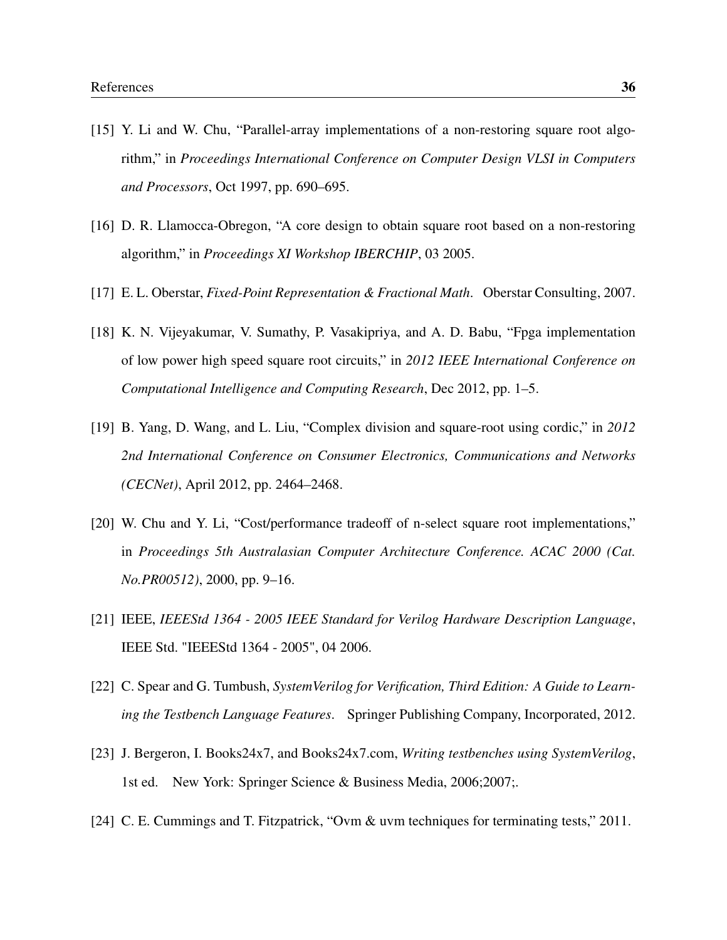- [15] Y. Li and W. Chu, "Parallel-array implementations of a non-restoring square root algorithm," in *Proceedings International Conference on Computer Design VLSI in Computers and Processors*, Oct 1997, pp. 690–695.
- [16] D. R. Llamocca-Obregon, "A core design to obtain square root based on a non-restoring algorithm," in *Proceedings XI Workshop IBERCHIP*, 03 2005.
- [17] E. L. Oberstar, *Fixed-Point Representation & Fractional Math*. Oberstar Consulting, 2007.
- [18] K. N. Vijeyakumar, V. Sumathy, P. Vasakipriya, and A. D. Babu, "Fpga implementation of low power high speed square root circuits," in *2012 IEEE International Conference on Computational Intelligence and Computing Research*, Dec 2012, pp. 1–5.
- [19] B. Yang, D. Wang, and L. Liu, "Complex division and square-root using cordic," in *2012 2nd International Conference on Consumer Electronics, Communications and Networks (CECNet)*, April 2012, pp. 2464–2468.
- [20] W. Chu and Y. Li, "Cost/performance tradeoff of n-select square root implementations," in *Proceedings 5th Australasian Computer Architecture Conference. ACAC 2000 (Cat. No.PR00512)*, 2000, pp. 9–16.
- [21] IEEE, *IEEEStd 1364 2005 IEEE Standard for Verilog Hardware Description Language*, IEEE Std. "IEEEStd 1364 - 2005", 04 2006.
- [22] C. Spear and G. Tumbush, *SystemVerilog for Verification, Third Edition: A Guide to Learning the Testbench Language Features*. Springer Publishing Company, Incorporated, 2012.
- [23] J. Bergeron, I. Books24x7, and Books24x7.com, *Writing testbenches using SystemVerilog*, 1st ed. New York: Springer Science & Business Media, 2006;2007;.
- [24] C. E. Cummings and T. Fitzpatrick, "Ovm & uvm techniques for terminating tests," 2011.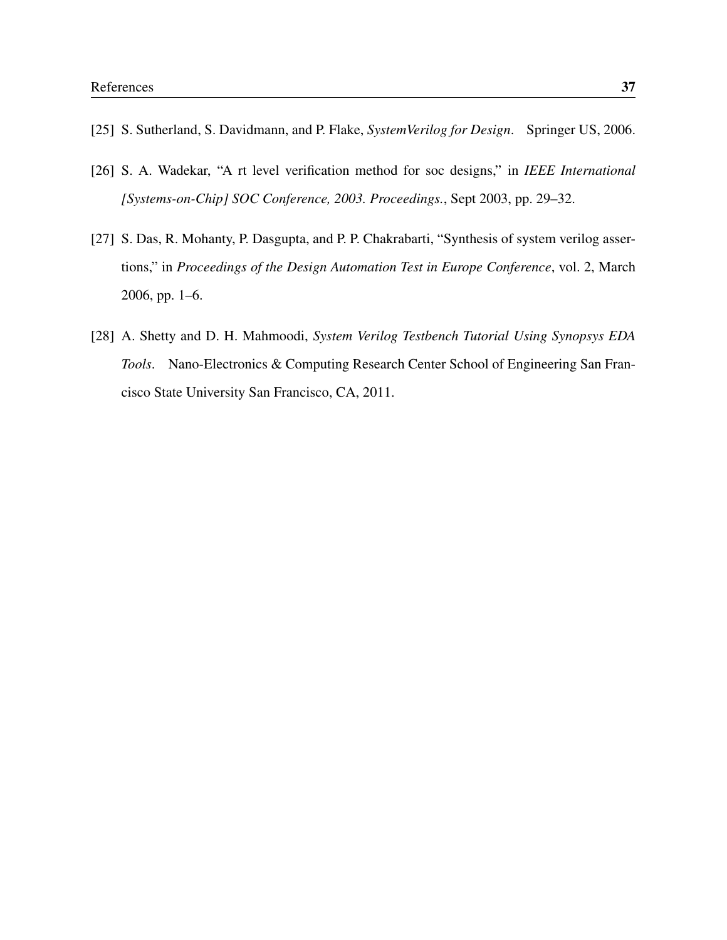- [25] S. Sutherland, S. Davidmann, and P. Flake, *SystemVerilog for Design*. Springer US, 2006.
- [26] S. A. Wadekar, "A rt level verification method for soc designs," in *IEEE International [Systems-on-Chip] SOC Conference, 2003. Proceedings.*, Sept 2003, pp. 29–32.
- [27] S. Das, R. Mohanty, P. Dasgupta, and P. P. Chakrabarti, "Synthesis of system verilog assertions," in *Proceedings of the Design Automation Test in Europe Conference*, vol. 2, March 2006, pp. 1–6.
- <span id="page-47-0"></span>[28] A. Shetty and D. H. Mahmoodi, *System Verilog Testbench Tutorial Using Synopsys EDA Tools*. Nano-Electronics & Computing Research Center School of Engineering San Francisco State University San Francisco, CA, 2011.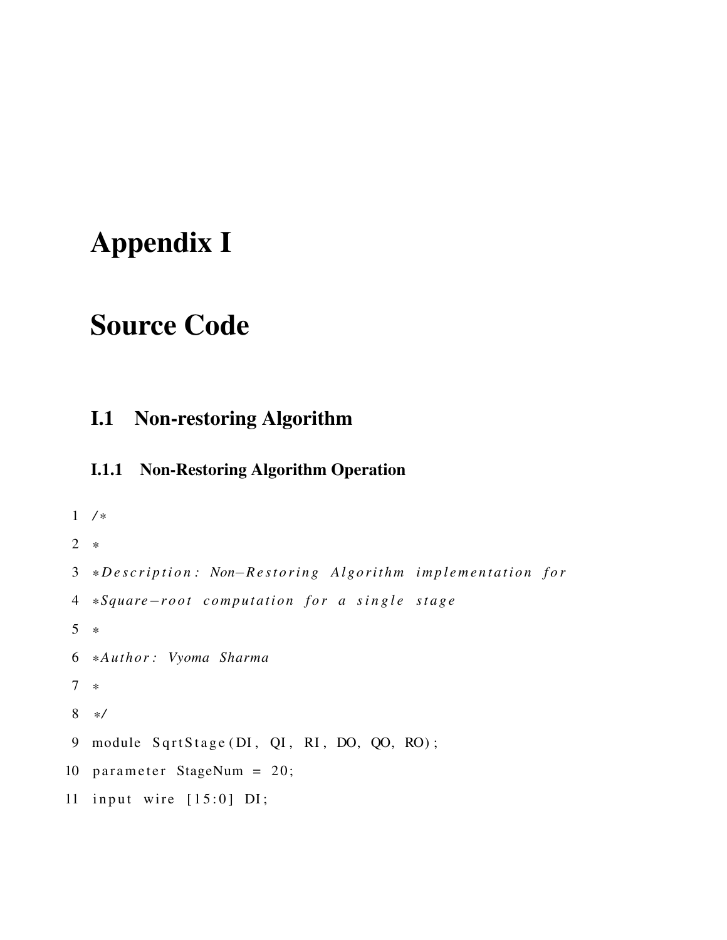# Appendix I

# Source Code

## I.1 Non-restoring Algorithm

### I.1.1 Non-Restoring Algorithm Operation

```
1 / *
2 *
3 *Description: Non−Restoring Algorithm implementation for
4 * Square−r o o t c o m p u t a t i o n f o r a s i n g l e s t a g e
5 *
6 * Author : Vyoma Sharma
7 *
8 * /
9 module SqrtStage (DI, QI, RI, DO, QO, RO);
10 parameter StageNum = 20;
11 input wire [15:0] DI;
```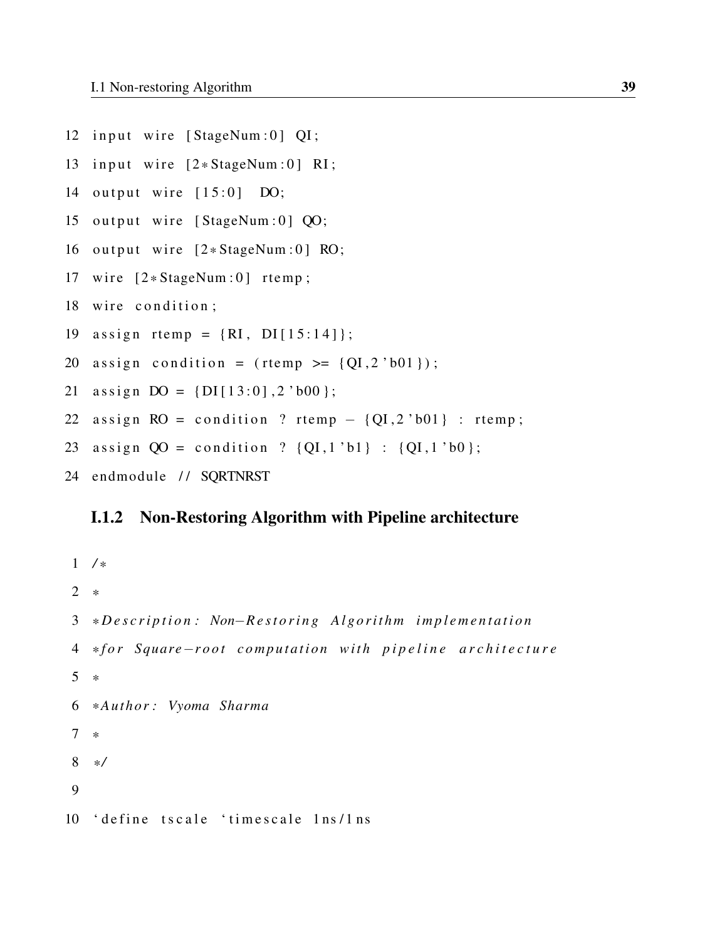- 12 input wire [StageNum:0] QI;
- 13 input wire  $[2*StageNum:0] RI;$
- 14 output wire  $[15:0]$  DO;
- 15 output wire [StageNum:0] QO;
- 16 output wire  $[2*StageNum:0]$  RO;
- 17 wire  $[2*StageNum:0]$  rtemp;
- 18 wire condition;
- 19 assign rtemp =  $\{RI, DI[15:14]\};$
- 20 assign condition = (rtemp >=  ${QI, 2 'b01 }$ );
- 21 assign  $DO = \{DI[13:0], 2'b00\};$
- 22 assign  $RO = condition ?$  rtemp  ${QI, 2'b01}$  : rtemp;
- 23 assign  $QO =$  condition ?  $\{QI, 1 \text{ 'b1}\}$  :  $\{QI, 1 \text{ 'b0}\}$ ;
- 24 endmodule // SQRTNRST

### I.1.2 Non-Restoring Algorithm with Pipeline architecture

```
1 / *2 *
3 *Description: Non−Restoring Algorithm implementation
4 * f o r Square−r o o t c o m p u t a t i o n w i t h p i p e l i n e a r c h i t e c t u r e
5 *
6 * Author : Vyoma Sharma
7 *
8 * /
9
10 'define tscale 'timescale 1ns/1ns
```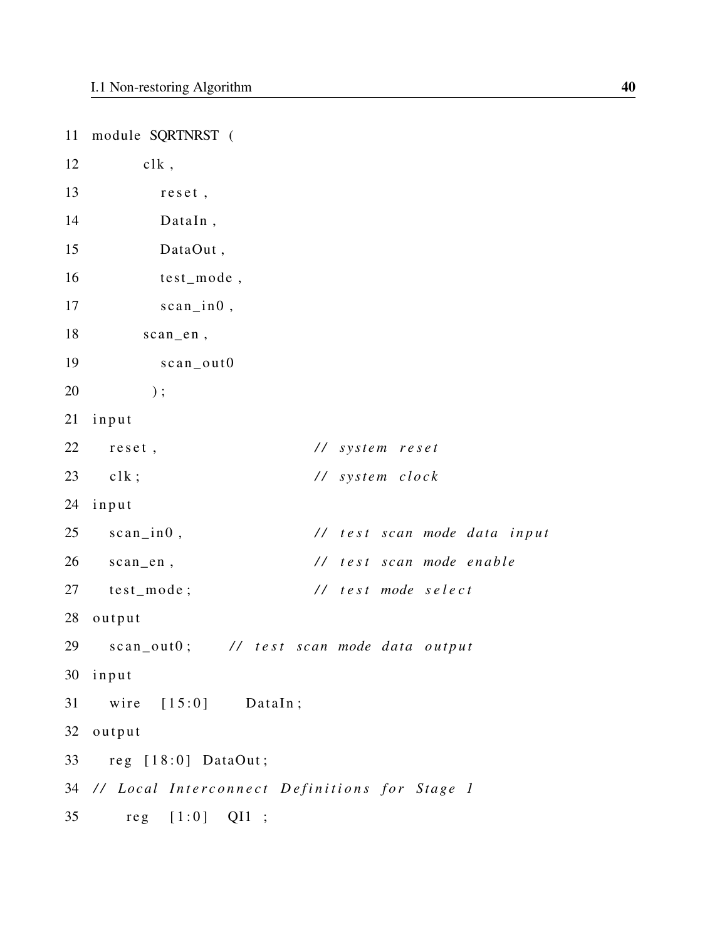11 module SQRTNRST (  $12$  clk, 13 reset, 14 DataIn , 15 DataOut, 16 test\_mode , 17 scan\_in0, 18 scan en, 19 scan\_out0  $20$  ); 21 input 22 reset,  $\frac{1}{s}$  reset, 23 clk; *// system clock* 24 input 25 scan\_in0,  $\frac{1}{25}$  // test scan mode data input 26 scan\_en,  $\frac{1}{26}$  // test scan mode enable 27 test\_mode; // test mode select 28 output 29 scan\_out0; // test scan mode data output 30 input  $31$  wire  $[15:0]$  DataIn; 32 output 33 reg [18:0] DataOut; 34 // Local Interconnect Definitions for Stage 1 35 reg [1:0] QI1 ;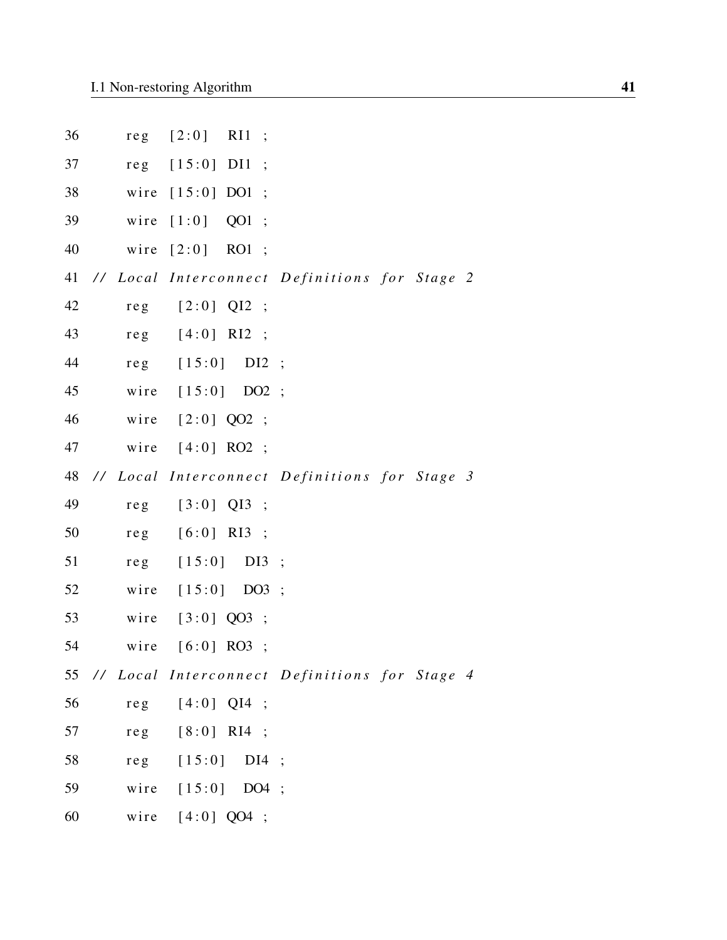| 36 |      | reg [2:0] RI1 ;         |                                                  |
|----|------|-------------------------|--------------------------------------------------|
| 37 |      | reg [15:0] DI1 ;        |                                                  |
| 38 |      | wire [15:0] DO1 ;       |                                                  |
| 39 | wire | $[1:0]$ QO1;            |                                                  |
| 40 | wire | $[2:0]$ RO1;            |                                                  |
| 41 |      |                         | // Local Interconnect Definitions for Stage 2    |
| 42 |      | $reg$ $[2:0]$ $QI2$ ;   |                                                  |
| 43 |      | $reg$ [4:0] RI2 ;       |                                                  |
| 44 |      | reg [15:0] DI2 ;        |                                                  |
| 45 |      | wire [15:0] DO2 ;       |                                                  |
| 46 |      | wire [2:0] QO2 ;        |                                                  |
| 47 |      | wire [4:0] RO2 ;        |                                                  |
|    |      |                         | 48 // Local Interconnect Definitions for Stage 3 |
| 49 |      | reg [3:0] QI3 ;         |                                                  |
| 50 |      | reg [6:0] RI3 ;         |                                                  |
| 51 |      | reg [15:0] DI3 ;        |                                                  |
| 52 |      | wire [15:0] DO3 ;       |                                                  |
| 53 |      | wire [3:0] QO3 ;        |                                                  |
| 54 |      | wire [6:0] RO3 ;        |                                                  |
| 55 |      |                         | // Local Interconnect Definitions for Stage 4    |
| 56 |      | $reg$ [4:0] QI4 ;       |                                                  |
| 57 |      | reg [8:0] RI4 ;         |                                                  |
| 58 |      | reg $[15:0]$<br>$DI4$ ; |                                                  |
| 59 |      | wire [15:0] DO4 ;       |                                                  |
| 60 |      | wire $[4:0]$ QO4 ;      |                                                  |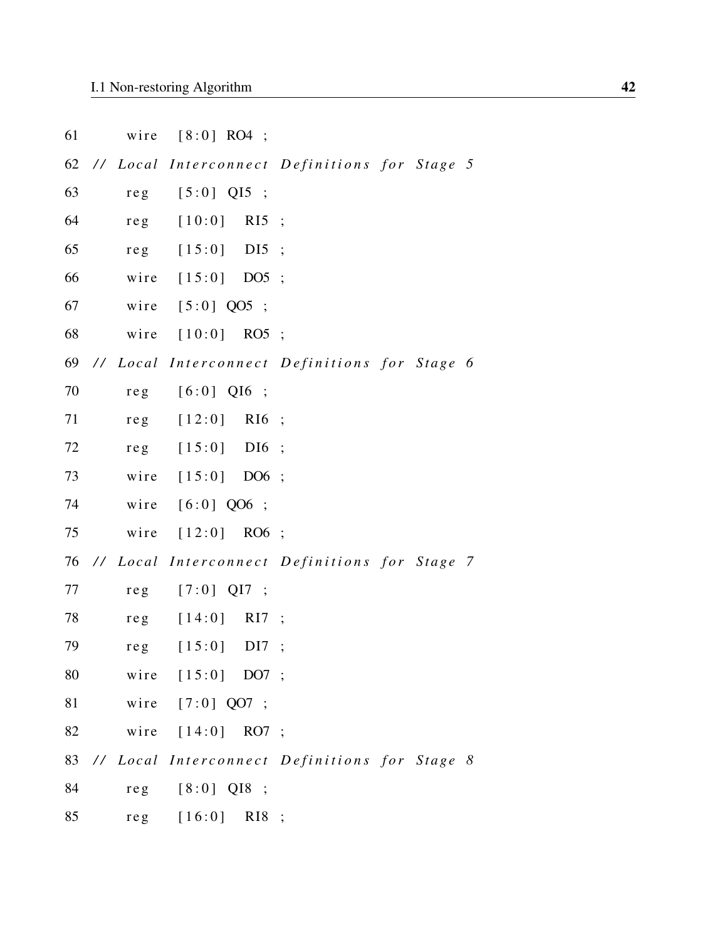|  | $[8:0]$ RO4 ; |
|--|---------------|

|  | 62 // Local Interconnect Definitions for Stage 5 |  |
|--|--------------------------------------------------|--|
|--|--------------------------------------------------|--|

63 reg [5:0] QI5 ;

- 64 reg [10:0] RI5 ;
- 65 reg [15:0] DI5;
- 66 wire [15:0] DO5;
- 67 wire [5:0] QO5 ;
- 68 wire [10:0] RO5 ;
- 69 // Local Interconnect Definitions for Stage 6
- 70 reg [6:0] QI6 ;
- 71 reg [12:0] RI6 ;
- 72 reg [15:0] DI6 ;
- 73 wire [15:0] DO6 ;
- 74 wire [6:0] QO6 ;
- 75 wire [12:0] RO6 ;
- 76 // Local Interconnect Definitions for Stage 7
- 77 reg [7:0] QI7 ;
- 78 reg [14:0] RI7 ;
- 79 reg [15:0] DI7 ;
- 80 wire [15:0] DO7 ;
- 81 wire [7:0] QO7 ;
- 82 wire [14:0] RO7 ;
- 83 // Local Interconnect Definitions for Stage 8
- 84 reg [8:0] QI8 ;
- 85 reg [16:0] RI8 ;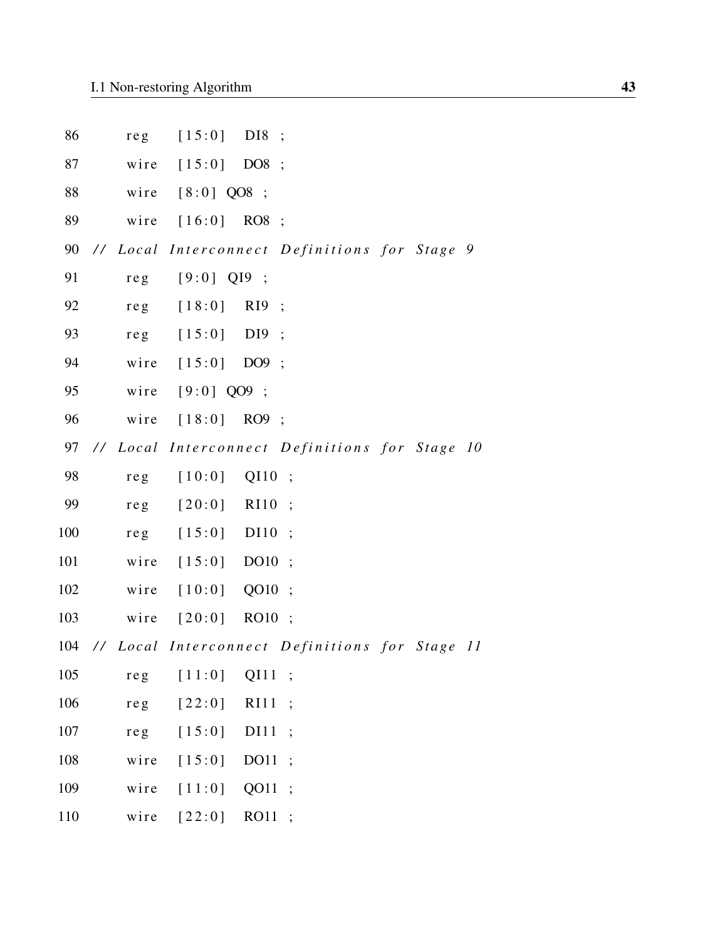| 86  | re <sub>g</sub> | [15:0]        | $DI8$ ;                                            |
|-----|-----------------|---------------|----------------------------------------------------|
| 87  | wire            | $[15:0]$ DO8; |                                                    |
| 88  | wire            | $[8:0]$ QO8 ; |                                                    |
| 89  | wire            | $[16:0]$ RO8; |                                                    |
| 90  |                 |               | // Local Interconnect Definitions for Stage 9      |
| 91  | $re$ g          | $[9:0]$ QI9;  |                                                    |
| 92  | $re$ g          | $[18:0]$      | $R19$ ;                                            |
| 93  | reg             | $[15:0]$      | DI9;                                               |
| 94  | wire            | $[15:0]$      | DO9;                                               |
| 95  | wire            | $[9:0]$ QO9 ; |                                                    |
| 96  | wire            | $[18:0]$ RO9; |                                                    |
| 97  |                 |               | // Local Interconnect Definitions for Stage 10     |
| 98  | re <sub>g</sub> | $[10:0]$      | Q <sub>I</sub> 10<br>$\ddots$                      |
| 99  | re <sub>g</sub> | $[20:0]$      | R <sub>I10</sub><br>$\ddot{\cdot}$                 |
| 100 | re <sub>g</sub> | $[15:0]$      | DI10<br>$\ddots$                                   |
| 101 | wire            | $[15:0]$      | DO <sub>10</sub><br>$\ddots$                       |
| 102 | wire            | $[10:0]$ QO10 | $\ddots$                                           |
| 103 | wire            | [20:0]        | RO10 ;                                             |
|     |                 |               | 104 // Local Interconnect Definitions for Stage 11 |
| 105 | reg             | [11:0]        | QI11<br>$\ddot{\cdot}$                             |
| 106 | reg             | $[22:0]$      | <b>RI11</b><br>$\vdots$                            |
| 107 | reg             | [15:0]        | DI11<br>$\cdot$                                    |
| 108 | wire            | [15:0]        | DO11<br>$\cdot$                                    |
| 109 | wire            | [11:0]        | QO11<br>$\cdot$                                    |
| 110 | wire            | [22:0]        | RO11<br>$\cdot$                                    |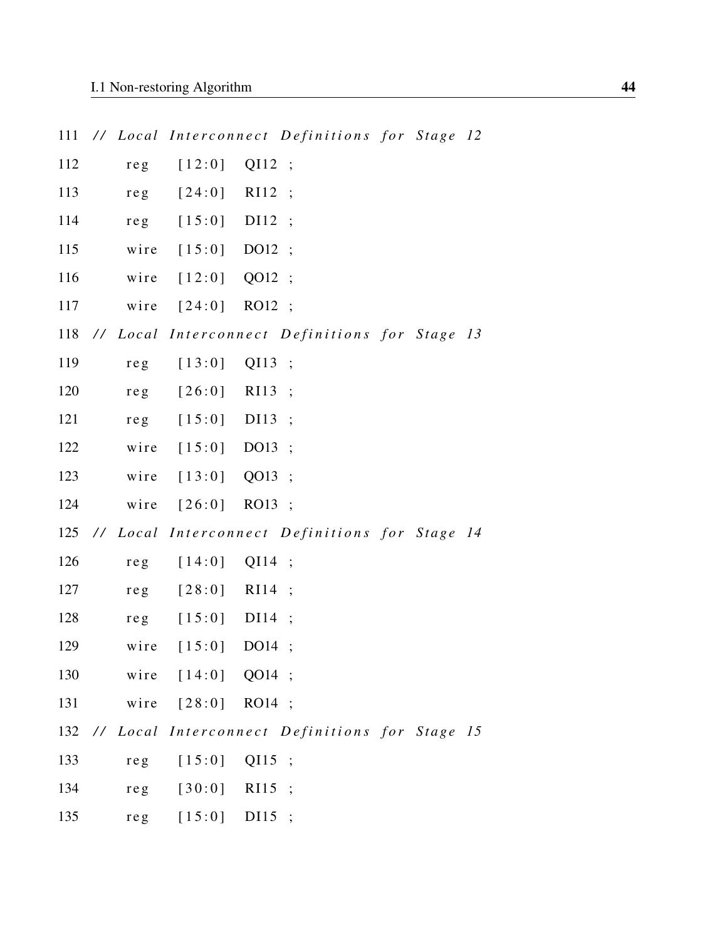| 111 |                 |                |                   | // Local Interconnect Definitions for Stage 12 |  |  |
|-----|-----------------|----------------|-------------------|------------------------------------------------|--|--|
| 112 | re <sub>g</sub> | [12:0]         | QI12 ;            |                                                |  |  |
| 113 | re <sub>g</sub> | $[24:0]$       | $RI12$ ;          |                                                |  |  |
| 114 | re <sub>g</sub> | $[15:0]$       | DI12              | $\ddots$                                       |  |  |
| 115 | wire            | $[15:0]$       | DO12              | $\ddots$                                       |  |  |
| 116 | wire            | $[12:0]$       | QO12 ;            |                                                |  |  |
| 117 | wire            | [24:0]         | RO12 ;            |                                                |  |  |
| 118 |                 |                |                   | // Local Interconnect Definitions for Stage 13 |  |  |
| 119 | re <sub>g</sub> | [13:0]         | QI13 ;            |                                                |  |  |
| 120 | $re$ g          | $[26:0]$       | RI13 ;            |                                                |  |  |
| 121 | re <sub>g</sub> | $[15:0]$       | DI13 ;            |                                                |  |  |
| 122 | wire            | $[15:0]$       | DO13 ;            |                                                |  |  |
| 123 | wire            | [13:0]         | QO13 ;            |                                                |  |  |
| 124 | wire            | $[26:0]$       | RO13 ;            |                                                |  |  |
| 125 |                 |                |                   | // Local Interconnect Definitions for Stage 14 |  |  |
| 126 | $re$ g          | $[14:0]$       | $QI14$ ;          |                                                |  |  |
| 127 | re <sub>g</sub> | $[28:0]$       | R <sub>I</sub> 14 | $\ddots$                                       |  |  |
| 128 | reg             | [15:0]         | DI14              | $\ddot{\cdot}$                                 |  |  |
| 129 | wire            | $[15:0]$       | DO14              | $\cdot$                                        |  |  |
| 130 |                 | wire $[14:0]$  | QO14 ;            |                                                |  |  |
| 131 | wire            | [28:0]         | RO14 ;            |                                                |  |  |
| 132 |                 |                |                   | // Local Interconnect Definitions for Stage 15 |  |  |
| 133 | re <sub>g</sub> | [15:0]         | $QI15$ ;          |                                                |  |  |
| 134 | $re$ g          | [30:0]         | RI15              | $\ddot{\cdot}$                                 |  |  |
| 135 | reg             | $[15:0]$ DI15; |                   |                                                |  |  |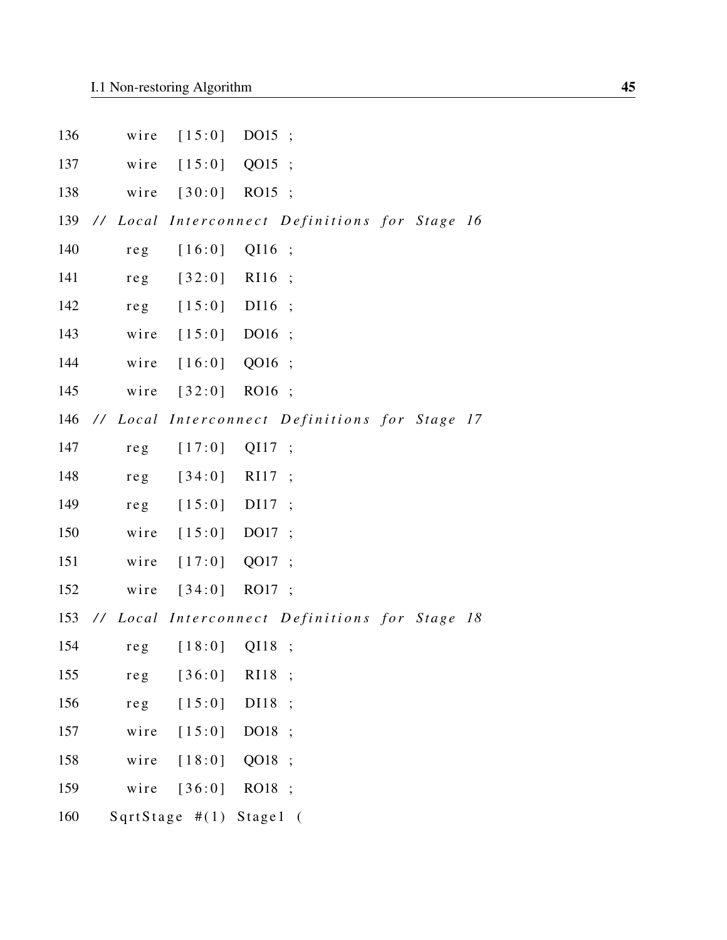| 136 | wire            | [15:0]                  | DO15             | $\ddot{\phantom{1}}$                           |  |  |
|-----|-----------------|-------------------------|------------------|------------------------------------------------|--|--|
| 137 | wire            | [15:0]                  | QO15             |                                                |  |  |
| 138 | wire            | $[30:0]$ RO15;          |                  |                                                |  |  |
| 139 |                 |                         |                  | // Local Interconnect Definitions for Stage 16 |  |  |
| 140 | re <sub>g</sub> | [16:0]                  | QI16             | $\cdot$                                        |  |  |
| 141 | re <sub>g</sub> | [32:0]                  | R <sub>I16</sub> | $\ddots$                                       |  |  |
| 142 | re <sub>g</sub> | [15:0]                  | DI16             | $\ddots$                                       |  |  |
| 143 | wire            | [15:0]                  | DO16             | $\ddots$                                       |  |  |
| 144 | wire            | [16:0]                  | QO16 ;           |                                                |  |  |
| 145 | wire            | $[32:0]$ RO16;          |                  |                                                |  |  |
| 146 |                 |                         |                  | // Local Interconnect Definitions for Stage 17 |  |  |
| 147 | re <sub>g</sub> | [17:0]                  | QI17             | $\ddots$                                       |  |  |
| 148 | re <sub>g</sub> | [34:0]                  | R117             | $\ddots$                                       |  |  |
| 149 | re <sub>g</sub> | [15:0]                  | DI17             | $\ddots$                                       |  |  |
| 150 | wire            | $[15:0]$                | DO17 ;           |                                                |  |  |
| 151 | wire            | [17:0]                  | QO17 ;           |                                                |  |  |
| 152 | wire            | $[34:0]$                | RO17 ;           |                                                |  |  |
| 153 |                 |                         |                  | // Local Interconnect Definitions for Stage 18 |  |  |
| 154 |                 | reg [18:0] QI18         |                  | $\cdot$                                        |  |  |
| 155 | re <sub>g</sub> | [36:0]                  | RI18             | $\ddot{\cdot}$                                 |  |  |
| 156 | reg             | [15:0]                  | DI18             | $\ddot{\cdot}$                                 |  |  |
| 157 | wire            | [15:0]                  | DO18             |                                                |  |  |
| 158 | wire            | [18:0]                  | QO18             | $\ddots$                                       |  |  |
| 159 | wire            | [36:0]                  | RO18 ;           |                                                |  |  |
| 160 |                 | SqrtStage #(1) Stage1 ( |                  |                                                |  |  |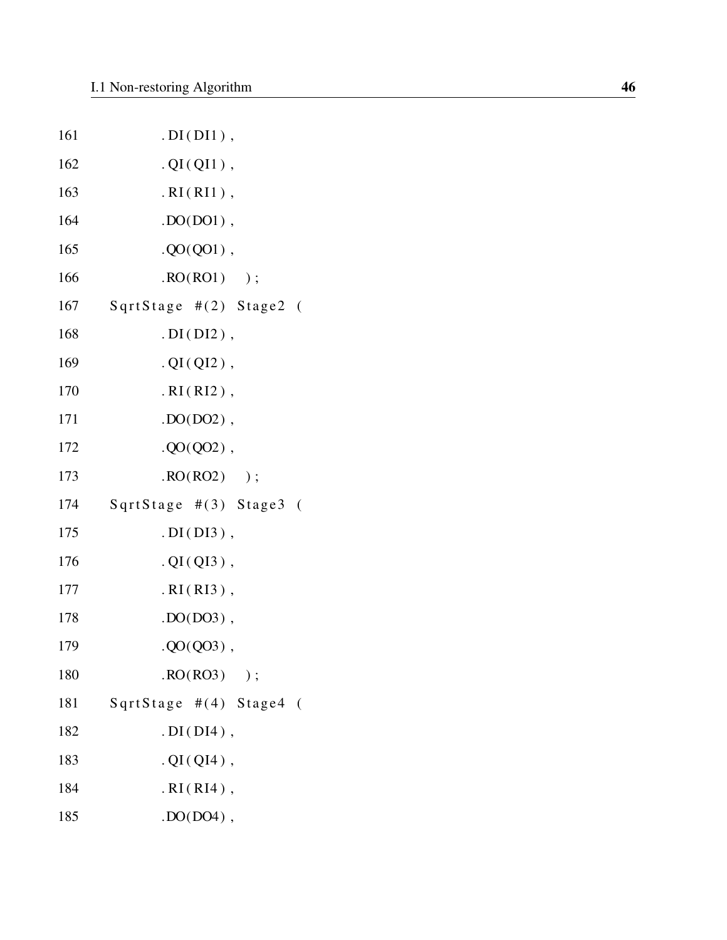| 161 | $. DI(DI1)$ ,              |
|-----|----------------------------|
| 162 | $. QI(QI1)$ ,              |
| 163 | $.RI(RI1)$ ,               |
| 164 | $.$ DO(DO1),               |
| 165 | $. QO(QO1)$ ,              |
| 166 | $\text{RO}(RO1)$ );        |
| 167 | SqrtStage #(2) Stage2 (    |
| 168 | $. DI(DI2)$ ,              |
| 169 | $. QI(QI2)$ ,              |
| 170 | $.RI(RI2)$ ,               |
| 171 | $.$ DO(DO2),               |
| 172 | $. QO(QO2)$ ,              |
| 173 | $\text{RO}(RO2)$ );        |
| 174 | SqrtStage $\#(3)$ Stage3 ( |
| 175 | $. DI(DI3)$ ,              |
| 176 | $. QI(QI3)$ ,              |
| 177 | $.RI(RI3)$ ,               |
| 178 | $. DO(DO3)$ ,              |
| 179 | $. QO(QO3)$ ,              |
| 180 | $\text{RO}(RO3)$ );        |
| 181 | SqrtStage #(4) Stage4 (    |
| 182 | $. DI(DI4)$ ,              |
| 183 | $. QI(QI4)$ ,              |
| 184 | $.RI(RI4)$ ,               |
| 185 | $.$ $DO(DO4)$ ,            |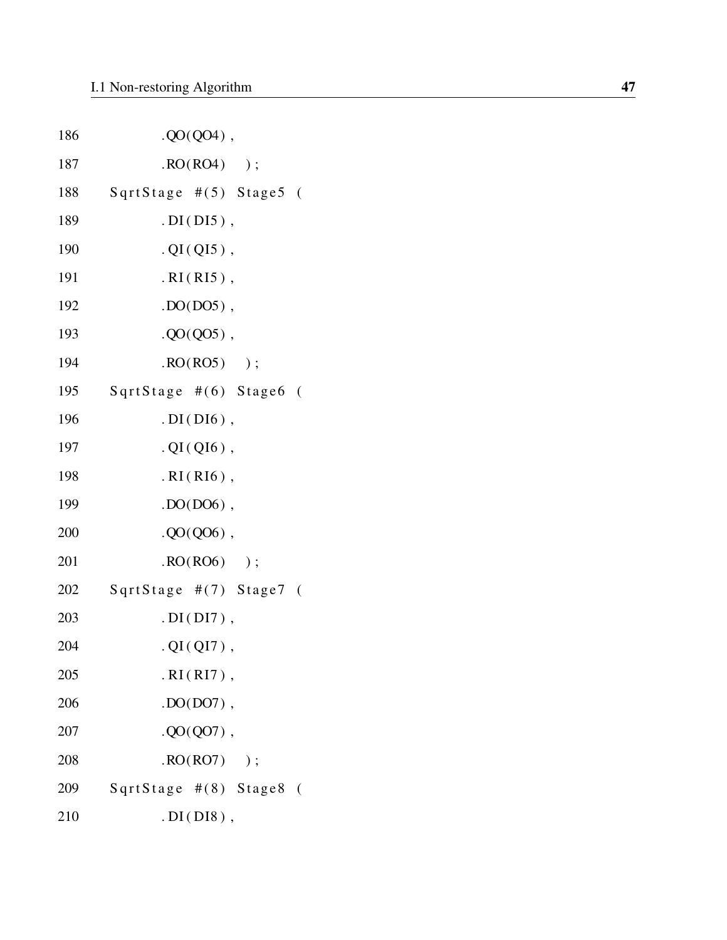| 186 | $. QO(QO4)$ ,              |  |
|-----|----------------------------|--|
| 187 | $\text{RO}(RO4)$ );        |  |
| 188 | SqrtStage #(5) Stage5 (    |  |
| 189 | $. DI(DI5)$ ,              |  |
| 190 | $. QI(QI5)$ ,              |  |
| 191 | $.RI(RI5)$ ,               |  |
| 192 | $.$ DO(DO5),               |  |
| 193 | $. QO(QO5)$ ,              |  |
| 194 | $\text{RO}(RO5)$ );        |  |
| 195 | SqrtStage #(6) Stage6 (    |  |
| 196 | $. DI(DI6)$ ,              |  |
| 197 | $. QI(QI6)$ ,              |  |
| 198 | $.RI(RI6)$ ,               |  |
| 199 | $.$ DO(DO6),               |  |
| 200 | $. QO(QO6)$ ,              |  |
| 201 | $\text{RO}(RO6)$ );        |  |
| 202 | SqrtStage #(7) Stage7 (    |  |
| 203 | $. DI(DI7)$ ,              |  |
| 204 | $. QI(QI7)$ ,              |  |
| 205 | $.RI(RI7)$ ,               |  |
| 206 | $.$ DO(DO7),               |  |
| 207 | $. QO(QO7)$ ,              |  |
| 208 | $\text{RO}(\text{RO7})$ ); |  |
| 209 | SqrtStage #(8) Stage8 (    |  |
| 210 | $.$ DI(DI8),               |  |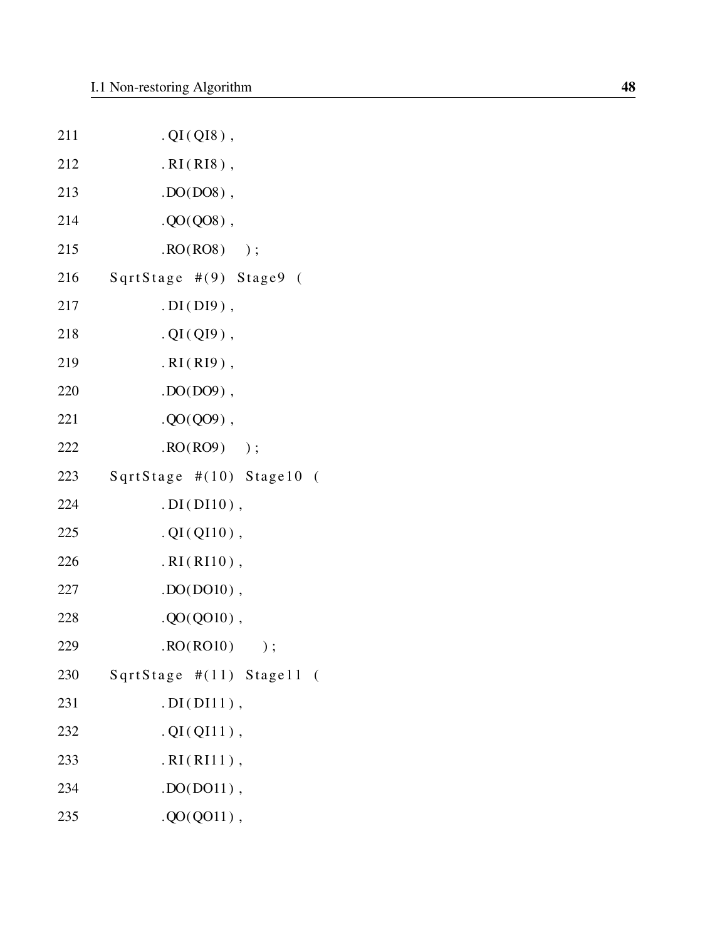| 211 | $. QI(QI8)$ ,             |
|-----|---------------------------|
| 212 | $.RI(RI8)$ ,              |
| 213 | $. DO(D08)$ ,             |
| 214 | $. QO(QO8)$ ,             |
| 215 | $\text{RO}(RO8)$ );       |
| 216 | SqrtStage #(9) Stage9 (   |
| 217 | $. DI(DI9)$ ,             |
| 218 | $. QI(QI9)$ ,             |
| 219 | $.RI(RI9)$ ,              |
| 220 | $.$ DO(DO9),              |
| 221 | $. QO(QO9)$ ,             |
| 222 | $\cdot$ RO(RO9) );        |
| 223 | SqrtStage #(10) Stage10 ( |
| 224 | $. DI(DI10)$ ,            |
| 225 | $. QI(QI10)$ ,            |
| 226 | $.RI(RI10)$ ,             |
| 227 | $DO(D010)$ ,              |
| 228 | $. QO(QO10)$ ,            |
| 229 | RO(RO10)<br>$)$ ;         |
| 230 | SqrtStage #(11) Stage11 ( |
| 231 | $. DI(DI11)$ ,            |
| 232 | $. QI(QI11)$ ,            |
| 233 | .RI(RI11),                |
| 234 | $.$ DO $($ DO $11)$ ,     |
| 235 | $. QO(QO11)$ ,            |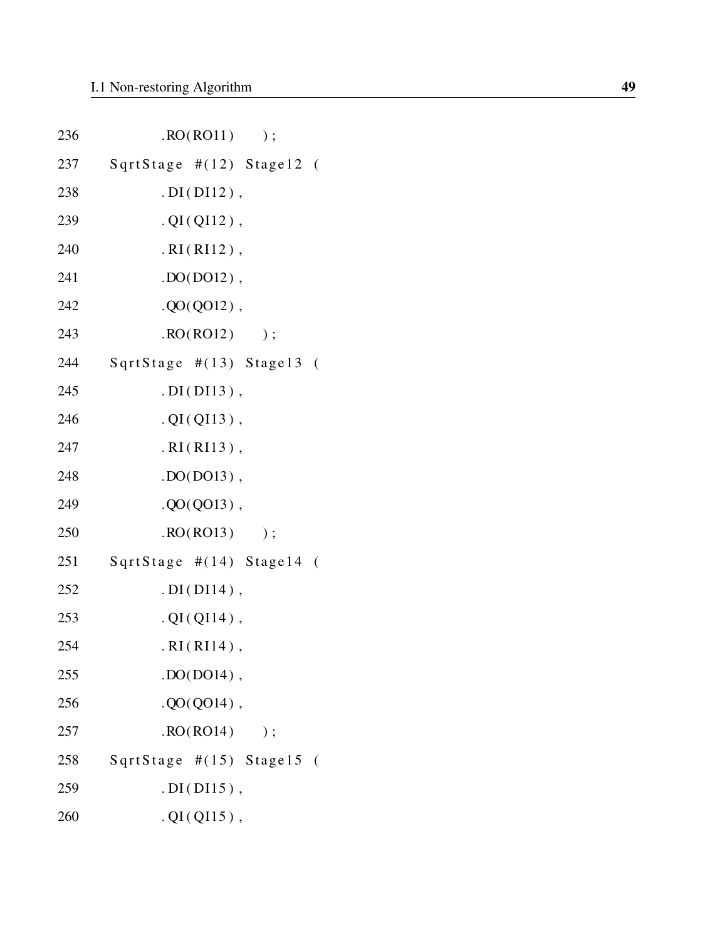| 236 | RO(RO11)<br>$)$ ;         |
|-----|---------------------------|
| 237 | SqrtStage #(12) Stage12 ( |
| 238 | $. DI(DI12)$ ,            |
| 239 | $. QI(QI12)$ ,            |
| 240 | $.RI(RI12)$ ,             |
| 241 | $DO(D012)$ ,              |
| 242 | $. QO(QO12)$ ,            |
| 243 | RO(RO12)<br>$)$ ;         |
| 244 | SqrtStage #(13) Stage13 ( |
| 245 | $. DI(DI13)$ ,            |
| 246 | $. QI(QI13)$ ,            |
| 247 | $.RI(RI13)$ ,             |
| 248 | $.$ DO(DO13),             |
| 249 | $. QO(QO13)$ ,            |
| 250 | RO(RO13)<br>$)$ ;         |
| 251 | SqrtStage #(14) Stage14 ( |
| 252 | $. DI(DI14)$ ,            |
| 253 | $. QI(QI14)$ ,            |
| 254 | $.RI(RI14)$ ,             |
| 255 | $.$ DO(DO14),             |
| 256 | $. QO(QO14)$ ,            |
| 257 | RO(RO14)<br>$)$ ;         |
| 258 | SqrtStage #(15) Stage15 ( |
| 259 | $.DI(DI15)$ ,             |
| 260 | $. QI(QI15)$ ,            |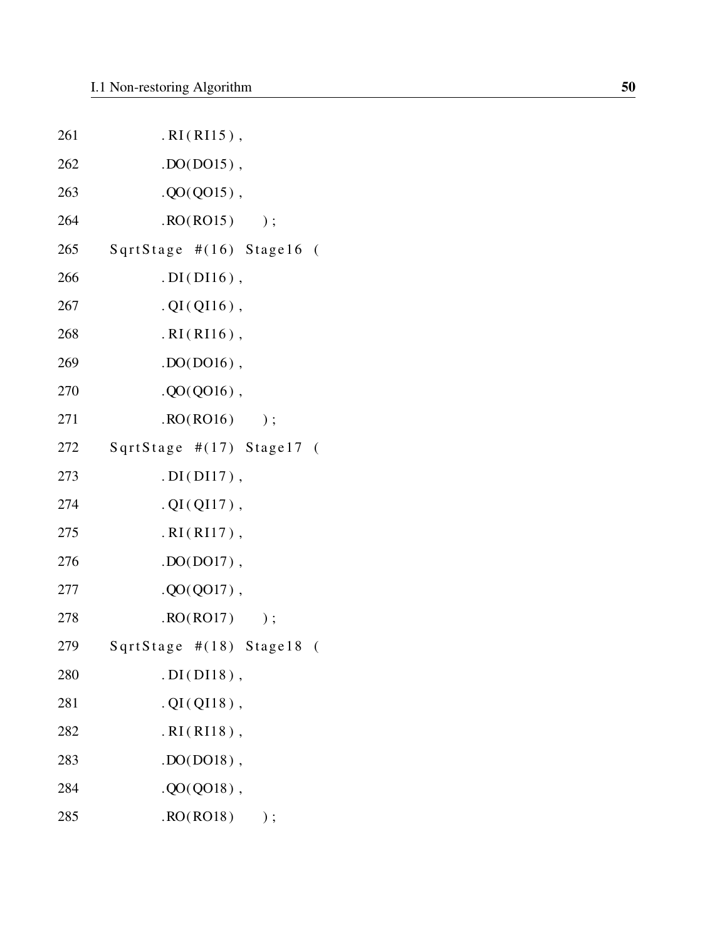| 261 | $.RI(RI15)$ ,               |
|-----|-----------------------------|
| 262 | $.$ $DO(D015)$ ,            |
| 263 | $. QO(Q015)$ ,              |
| 264 | $\text{RO}(\text{RO15})$ ); |
| 265 | SqrtStage #(16) Stage16 (   |
| 266 | $. DI(DI16)$ ,              |
| 267 | $. QI(QI16)$ ,              |
| 268 | $.RI(RI16)$ ,               |
| 269 | $DO(DO16)$ ,                |
| 270 | $. QO(QO16)$ ,              |
| 271 | $\text{RO}(\text{RO16})$ ); |
| 272 | SqrtStage #(17) Stage17 (   |
| 273 | $. DI(DI17)$ ,              |
| 274 | $. QI(QI17)$ ,              |
| 275 | $.RI(RI17)$ ,               |
| 276 | $DO(D017)$ ,                |
| 277 | $. QO(Q017)$ ,              |
| 278 | RO(RO17)<br>$)$ ;           |
| 279 | SqrtStage #(18) Stage18 (   |
| 280 | $. DI(DI18)$ ,              |
| 281 | $. QI(QI18)$ ,              |
| 282 | $.RI(RI18)$ ,               |
| 283 | $. DO(DO18)$ ,              |
| 284 | $. QO(QO18)$ ,              |
| 285 | RO(RO18)<br>$)$ ;           |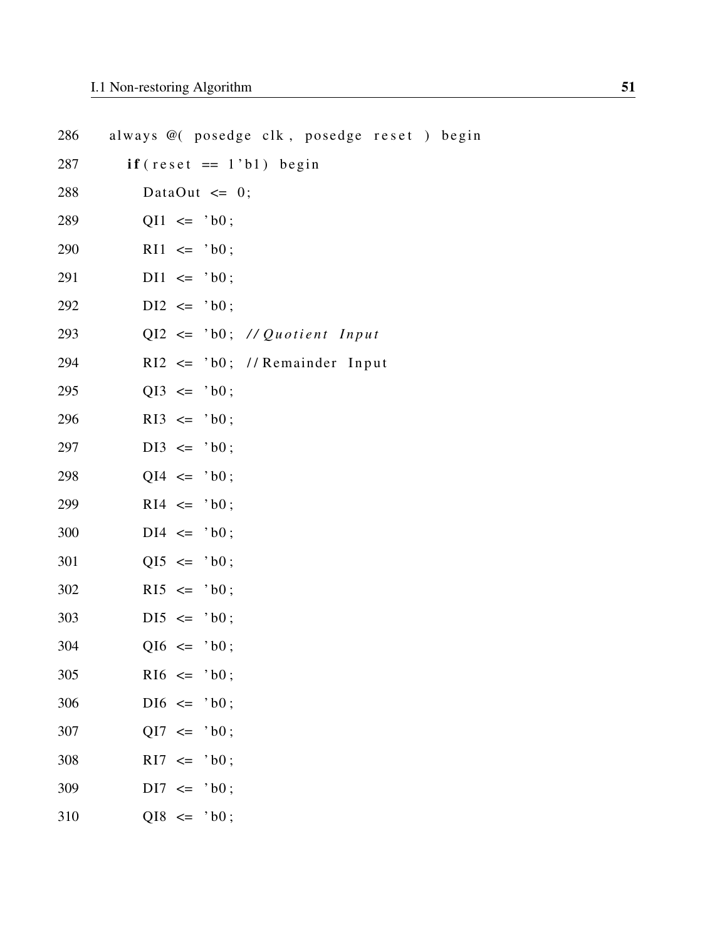| 286 | always @ (posedge clk, posedge reset) begin |
|-----|---------------------------------------------|
| 287 | $if (reset == 1'b1) begin$                  |
| 288 | DataOut $\leq 0$ ;                          |
| 289 | $QI1 \leq 'b0;$                             |
| 290 | $R11 \leq 'b0$ ;                            |
| 291 | $D11 \leq 'b0;$                             |
| 292 | $DI2 \leq 'b0;$                             |
| 293 | $QI2 \leq$ 'b0; // Quotient Input           |
| 294 | $R12 \leq 'b0$ ; //Remainder Input          |
| 295 | $QI3 \leq 'b0$ ;                            |
| 296 | $R13 \leq 'b0;$                             |
| 297 | $DI3 \leq 'b0;$                             |
| 298 | $QI4 \leq 'b0;$                             |
| 299 | $R14 \leq 'b0;$                             |
| 300 | $DI4 \leq 'b0;$                             |
| 301 | $QI5 \leq 'b0;$                             |
| 302 | $R15 \leq 'b0;$                             |
| 303 | $DI5 \leq 'b0;$                             |
| 304 | $QI6 \leq Yb0$ ;                            |
| 305 | $R16 \leq 'b0$ ;                            |
| 306 | $DI6 \leq 'b0;$                             |
| 307 | $QI7 \leq 'b0;$                             |
| 308 | $R17 \leq 'b0;$                             |
| 309 | $DI7 \leq 'b0$ ;                            |
| 310 | $QI8 \leq 'b0;$                             |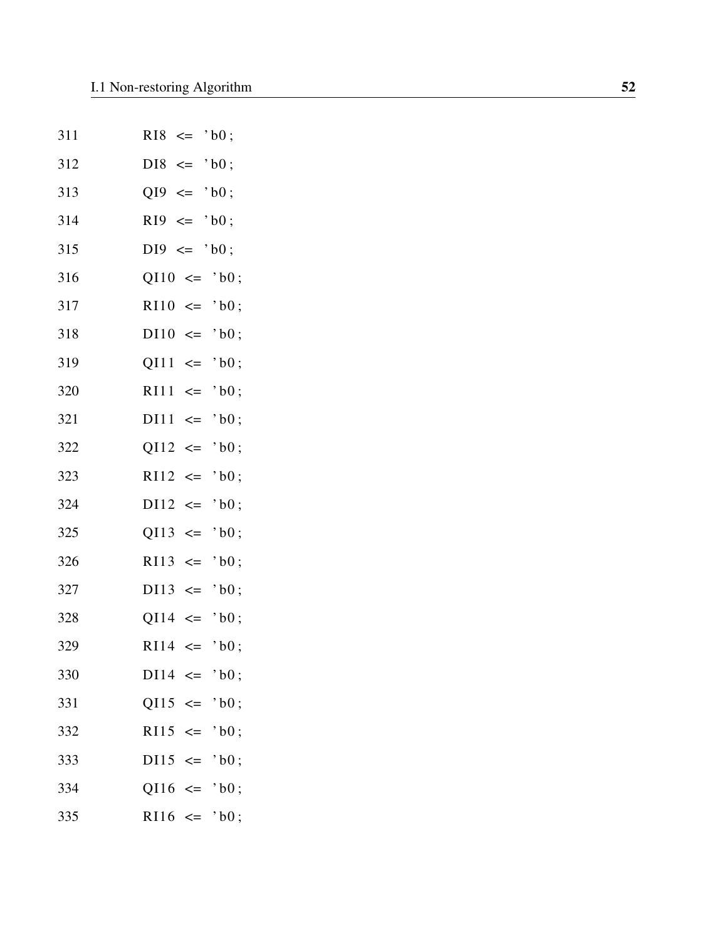| 311 | $'$ b $0$ :<br>$R18 \leq$         |
|-----|-----------------------------------|
| 312 | $DIS \leq 'b0$ ;                  |
| 313 | $QI9 \leq 'b0$ ;                  |
| 314 | $R19 \leq$<br>$'$ b0;             |
| 315 | $'$ b $0$ ;<br>$DI9 \leq$         |
| 316 | $QI10 \leq 'b0;$                  |
| 317 | $R110 \leq$<br>$'$ b $0$ ;        |
| 318 | $'$ b $0$ ;<br>$DI10 \leq$        |
| 319 | $QI11 \leq$<br>$'$ b0;            |
| 320 | $R111 \leq$<br>$'$ b $0$ ;        |
| 321 | $'$ b0;<br>$DI11 \leq$            |
| 322 | $QI12 \leq$<br>$'$ b $0$ ;        |
| 323 | $R112 \leq$<br>$'$ b $0$ ;        |
| 324 | $DI12 \leq$<br>$'$ b $0$ ;        |
| 325 | $QI13 \leq$<br>$'$ b $0$ ;        |
| 326 | $R113 \leq$<br>$'$ b $0$ ;        |
| 327 | $DI13 \leq$<br>$'$ b0;            |
| 328 | $QI14 \leq$<br>$'$ b0;            |
| 329 | $R114 \leq$<br>$'$ b0;            |
| 330 | $DI14 \leq$<br>$^{\circ}$ bO ;    |
| 331 | $QI15 \leq$<br>$^{\circ}$ bO ;    |
| 332 | $R115 \leq$<br>$^{\circ}$ b $0$ ; |
| 333 | $DI15 \leq$<br>$\cdot$ b0 :       |
| 334 | $Q116 \leq$<br>$^{\circ}$ bO ;    |
| 335 | $R116 \leq$<br>$^{\circ}$ bO ;    |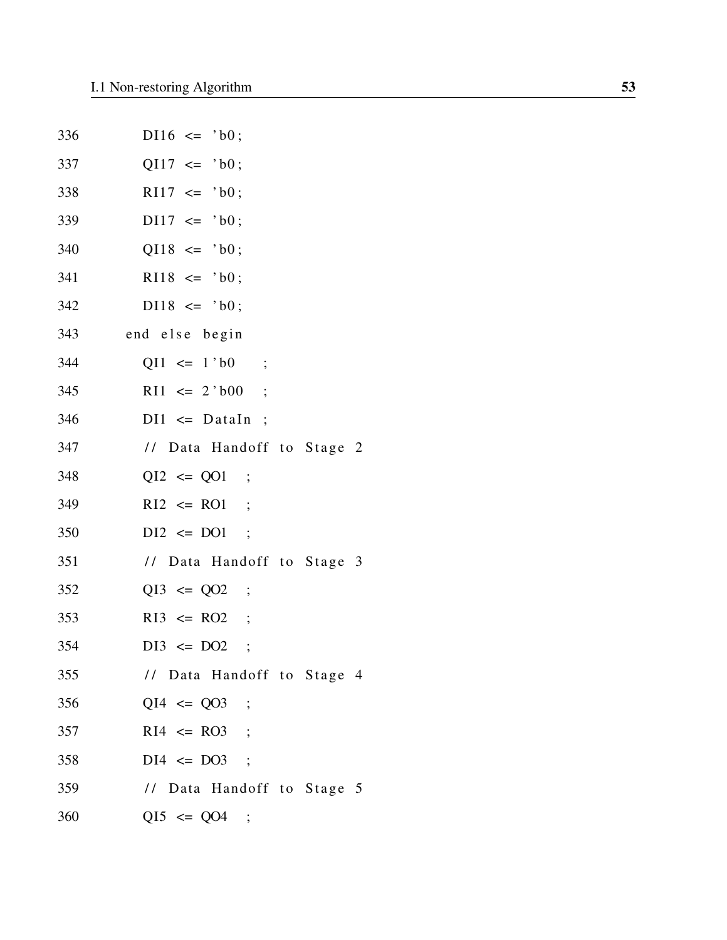| 336 | $D116 \leq 'b0;$           |
|-----|----------------------------|
| 337 | $QI17 \leq 'b0;$           |
| 338 | $R117 \leq 'b0;$           |
| 339 | $D117 \leq 'b0;$           |
| 340 | $QI18 \leq 'b0;$           |
| 341 | $R118 \le 'b0;$            |
| 342 | $D118 \le 'b0;$            |
| 343 | end else begin             |
| 344 | $QI1 \leq 1$ bo ;          |
| 345 | $R11 \leq 2$ bo ;          |
| 346 | $DI1 \leq Dataln$ ;        |
| 347 | // Data Handoff to Stage 2 |
| 348 | $QI2 \le QO1$ ;            |
| 349 | $R12 \leq R01$ ;           |
| 350 | $DI2 \leq DO1$ ;           |
| 351 | // Data Handoff to Stage 3 |
| 352 | $QI3 \le QO2$ ;            |
| 353 | $R13 \leq R02$ ;           |
| 354 | $DI3 \leq DO2$             |
| 355 | // Data Handoff to Stage 4 |
| 356 | $QI4 \le QO3$ ;            |
| 357 | $R14 \leq R03$ ;           |
| 358 | $DI4 \leq DO3$ ;           |
| 359 | // Data Handoff to Stage 5 |
| 360 | $QI5 \le QO4$ ;            |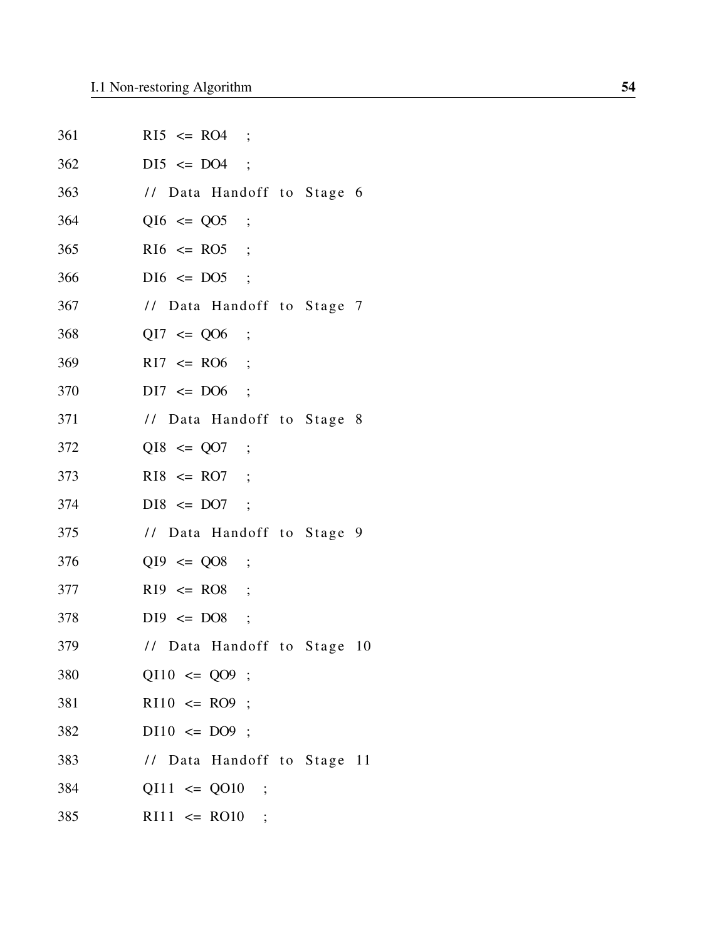| 361 | $R15 \le R04$ ;             |
|-----|-----------------------------|
| 362 | $DI5 \le DO4$ ;             |
| 363 | // Data Handoff to Stage 6  |
| 364 | $QI6 \le QO5$ ;             |
| 365 | $R16 \leq R05$ ;            |
| 366 | $DI6 \leq DO5$ ;            |
| 367 | // Data Handoff to Stage 7  |
| 368 | $QI7 \le Q06$ ;             |
| 369 | $R17 \leq R06$ ;            |
| 370 | $DI7 \leq DO6$ ;            |
| 371 | // Data Handoff to Stage 8  |
| 372 | $QI8 \le QO7$ ;             |
| 373 | $R18 \le R07$ ;             |
| 374 | $DIS \le DO7 ;$             |
| 375 | // Data Handoff to Stage 9  |
| 376 | $QI9 \le Q08$ ;             |
| 377 | $R19 \leq R08$ ;            |
| 378 | $DI9 \leq DO8$ ;            |
| 379 | // Data Handoff to Stage 10 |
| 380 | $QI10 \le QO9$ ;            |
| 381 | $R110 \leq R09$ ;           |
| 382 | $D110 \leq DO9$ ;           |
| 383 | // Data Handoff to Stage 11 |
| 384 | $QI11 \le QO10$ ;           |
| 385 | $R111 \le R010$ ;           |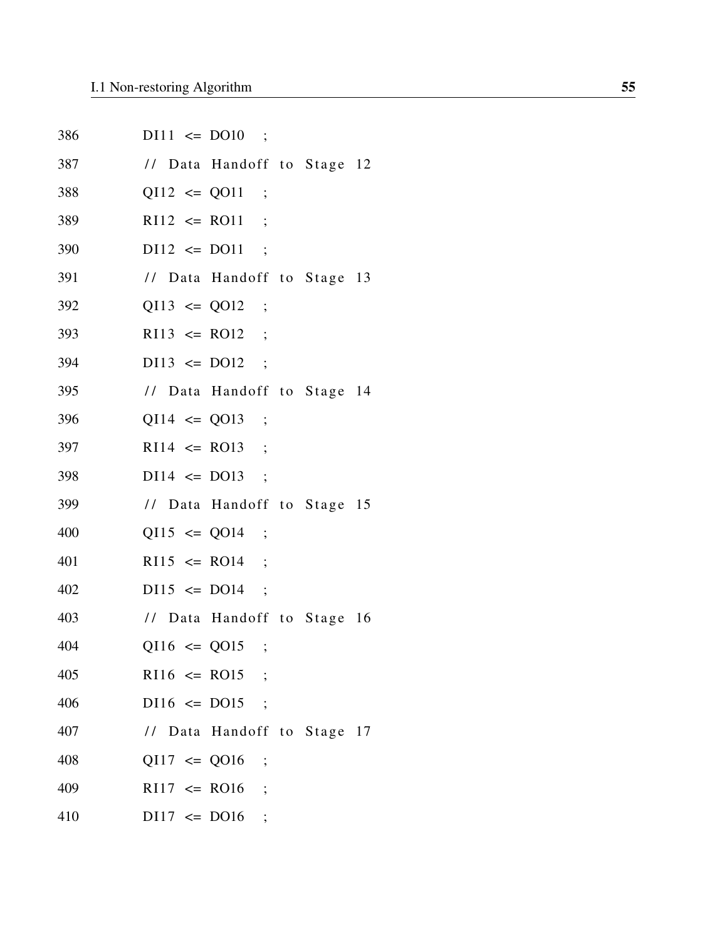| 386 | $D111 \le D010$ ;           |
|-----|-----------------------------|
| 387 | // Data Handoff to Stage 12 |
| 388 | $QI12 \le QO11$ ;           |
| 389 | $R112 \leq R011$ ;          |
| 390 | $D112 \le D011$ ;           |
| 391 | // Data Handoff to Stage 13 |
| 392 | $QI13 \le QO12$ ;           |
| 393 | $R113 \leq R012$ ;          |
| 394 | $D113 \le D012$ ;           |
| 395 | // Data Handoff to Stage 14 |
| 396 | $QI14 \le QO13$ ;           |
| 397 | $R114 \leq R013$ ;          |
| 398 | $DI14 \leq DO13$ ;          |
| 399 | // Data Handoff to Stage 15 |
| 400 | $QI15 \le QO14$ ;           |
| 401 | $R115 \leq R014$ ;          |
| 402 | $D115 \le D014$ ;           |
| 403 | // Data Handoff to Stage 16 |
| 404 | $QI16 \le QO15$ ;           |
| 405 | $R116 \leq R015$ ;          |
| 406 | $DI16 \leq DO15$ ;          |
| 407 | // Data Handoff to Stage 17 |
| 408 | $QI17 \le QO16$ ;           |
| 409 | $R117 \leq R016$ ;          |
| 410 | $DI17 \leq DO16$            |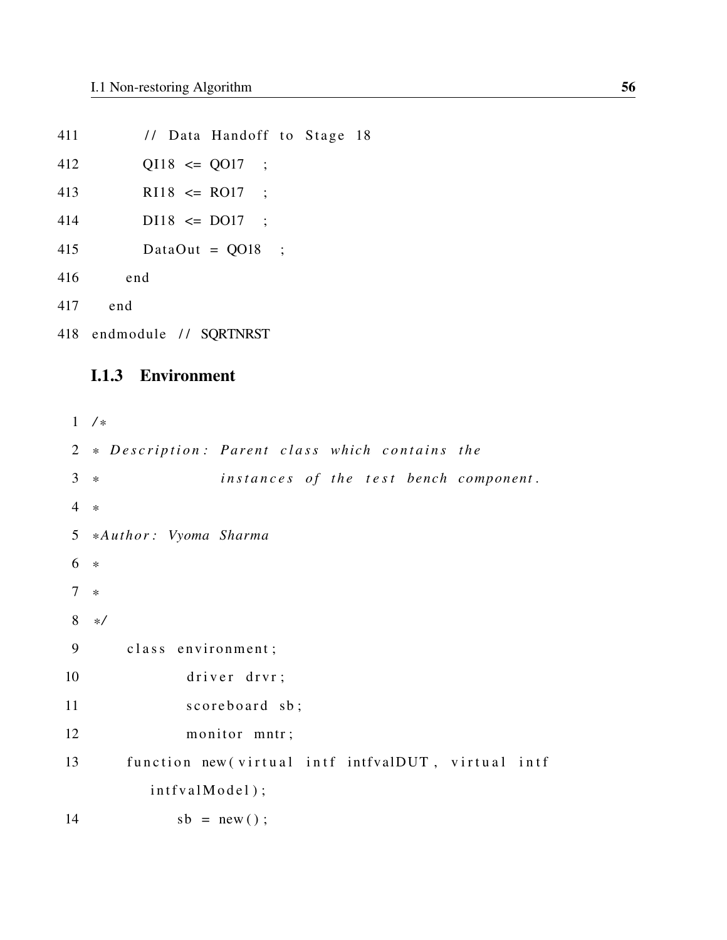| 411 |                           | // Data Handoff to Stage 18 |  |  |
|-----|---------------------------|-----------------------------|--|--|
| 412 | $QI18 \le QO17$ ;         |                             |  |  |
| 413 | $R118 \leq R017$ ;        |                             |  |  |
| 414 | $D118 \leq D017$ ;        |                             |  |  |
| 415 |                           | DataOut = $QO18$ ;          |  |  |
| 416 | end                       |                             |  |  |
|     | 417 end                   |                             |  |  |
|     | 418 endmodule // SQRTNRST |                             |  |  |
|     |                           |                             |  |  |

### I.1.3 Environment

```
1 / *
2 * Description: Parent class which contains the
3 * instances of the test bench component.
4 *
5 * Author : Vyoma Sharma
6 *
7 *
8 * /
9 class environment;
10 driver drvr;
11 scoreboard sb;
12 monitor mntr;
13 function new (virtual intf intfvalDUT, virtual intf
        int f v a l M o d e l ;
14 sb = new();
```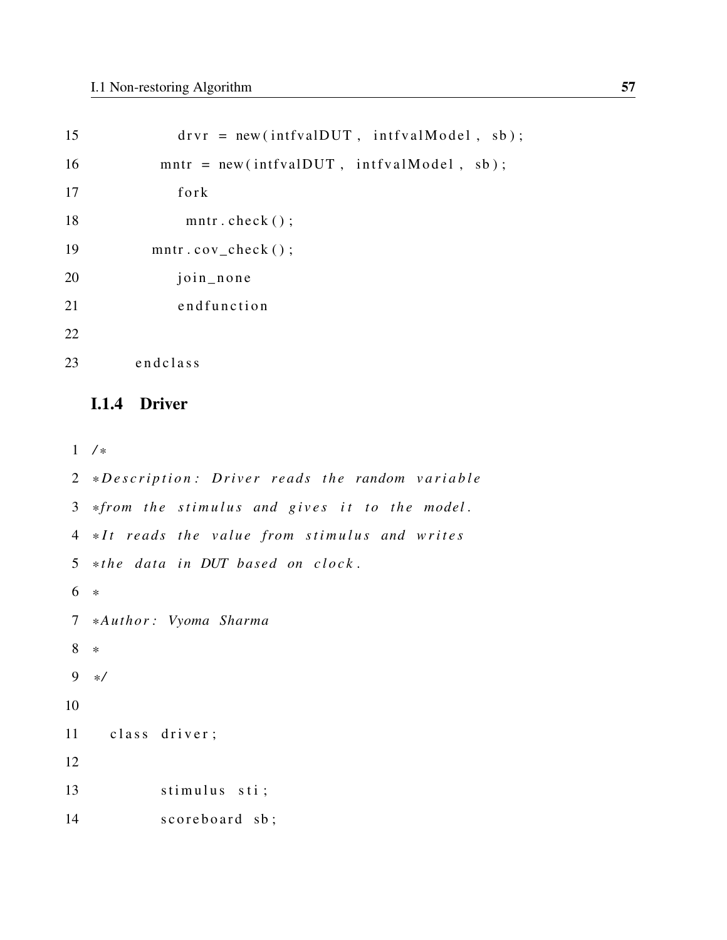| 15 | $drvr = new(intfvalDUT, intfvalModel, sb);$ |
|----|---------------------------------------------|
| 16 | $mntr = new(intfvalDUT, intfvalModel, sb);$ |
| 17 | fork                                        |
| 18 | $m$ ntr.check $()$ ;                        |
| 19 | $m$ ntr.cov_check $()$ ;                    |
| 20 | join_none                                   |
| 21 | endfunction                                 |
| 22 |                                             |
| 23 | endclass                                    |
|    |                                             |

### I.1.4 Driver

1 */ \**

```
2 *Description: Driver reads the random variable
3 *from the stimulus and gives it to the model.
4 *It reads the value from stimulus and writes
5 * the data in DUT based on clock.
6 *
7 * Author : Vyoma Sharma
8 *
9 * /
10
11 class driver;
12
13 stimulus sti;
14 scoreboard sb;
```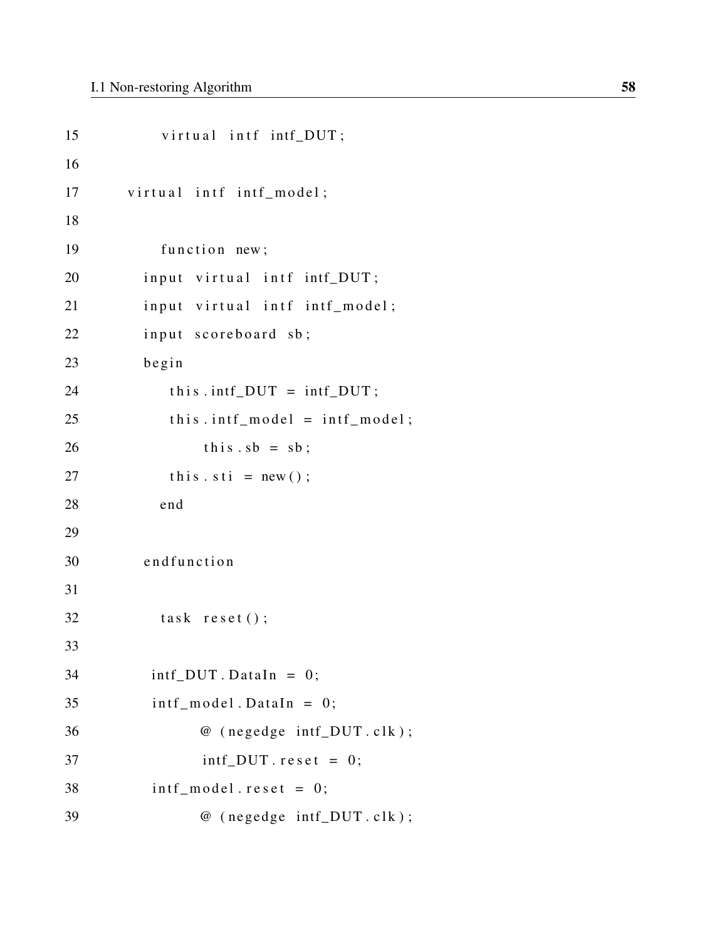```
15 virtual intf intf_DUT;
16
17 virtual intf intf_model;
18
19 function new;
20 input virtual intf intf_DUT;
21 input virtual intf intf_model;
22 input scoreboard sb;
23 begin
24 this . intf_DUT = intf_DUT;
25 this . intf_model = intf_model;
26 this sb = sb;
27 this \text{st } i = \text{new}(x);
28 end
29
30 end function
31
32 task reset ();
33
34 intf_DUT. DataIn = 0;
35 intf_model.DataIn = 0;
36 @ (negedge intf_DUT.clk);
37 intf_DUT . r e s e t = 0;
38 intf_model.reset = 0;
39 @ (negedge intf_DUT.clk);
```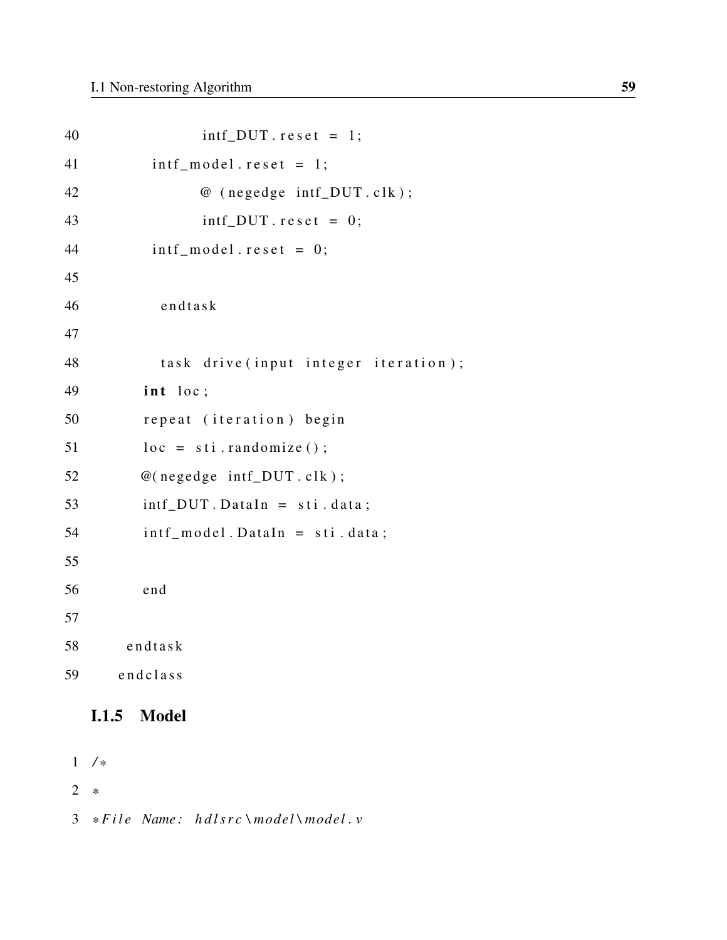| 40 | $int_D U T. \, reset = 1;$            |
|----|---------------------------------------|
| 41 | $int_{model}$ . $reset = 1$ ;         |
| 42 | @ (negedge intf_DUT.clk);             |
| 43 | $int_D U T. \text{reset} = 0;$        |
| 44 | $int_{model}$ . reset = 0;            |
| 45 |                                       |
| 46 | $end$ task                            |
| 47 |                                       |
| 48 | task drive (input integer iteration); |
| 49 | int loc;                              |
| 50 | repeat (iteration) begin              |
| 51 | $loc = sti.randomize()$ ;             |
| 52 | $@(negedge\; intf_DUT. \,clk);$       |
| 53 | $int_DUT$ . DataIn = sti. data;       |
| 54 | $int_{model}$ . DataIn = sti. data;   |
| 55 |                                       |
| 56 | end                                   |
| 57 |                                       |
| 58 | $end$ task                            |
| 59 | endclass                              |

## I.1.5 Model

1 */ \** 2 *\** 3 \*File Name: hdlsrc\model\model.v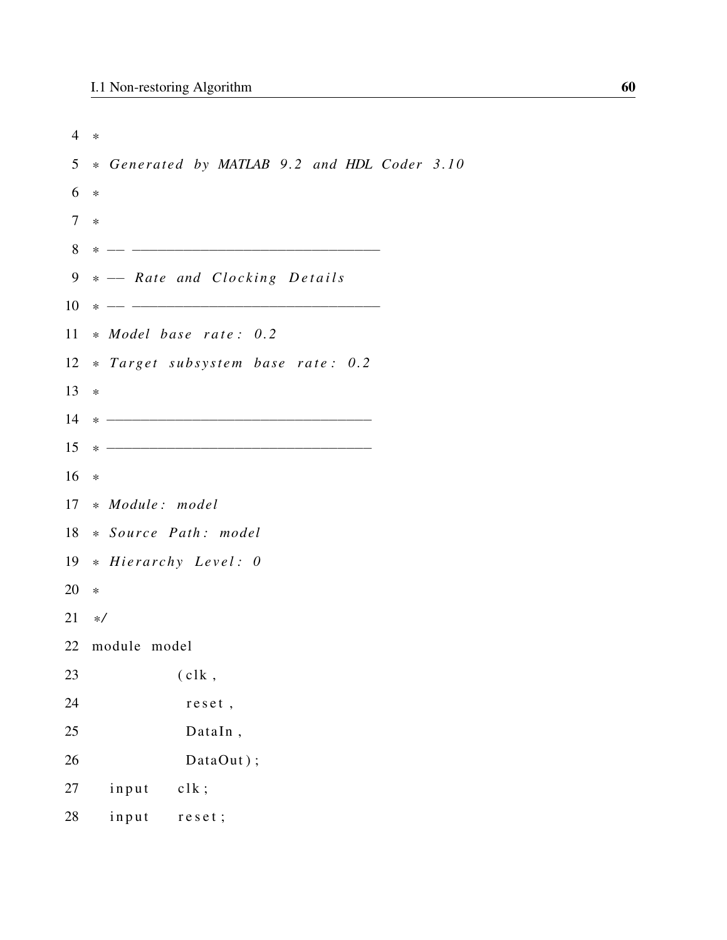| 4       | $\ast$                                                                                                                           |
|---------|----------------------------------------------------------------------------------------------------------------------------------|
| 5       | * Generated by MATLAB 9.2 and HDL Coder 3.10                                                                                     |
| 6       | $\ast$                                                                                                                           |
| $\tau$  | $\ast$                                                                                                                           |
| 8       | $* -$                                                                                                                            |
| 9       | * - Rate and Clocking Details                                                                                                    |
| 10      | <u> 1989 - Johann John Stone, mars et al. 1989 - John Stone, mars et al. 1989 - John Stone, mars et al. 1989 - Joh</u><br>$\ast$ |
| 11      | * Model base rate: 0.2                                                                                                           |
| 12      | * Target subsystem base rate: 0.2                                                                                                |
| 13      | $\ast$                                                                                                                           |
| 14      |                                                                                                                                  |
| 15      |                                                                                                                                  |
| 16      | $\ast$                                                                                                                           |
| 17      | * Module: model                                                                                                                  |
| 18      | * Source Path: model                                                                                                             |
| 19      | * Hierarchy Level: 0                                                                                                             |
| 20      | $\ast$                                                                                                                           |
| $21 */$ |                                                                                                                                  |
| 22      | module model                                                                                                                     |
| 23      | (c1k,                                                                                                                            |
| 24      | reset,                                                                                                                           |
| 25      | DataIn,                                                                                                                          |
| 26      | DataOut);                                                                                                                        |
| 27      | input<br>c1k;                                                                                                                    |
| 28      | input<br>reset;                                                                                                                  |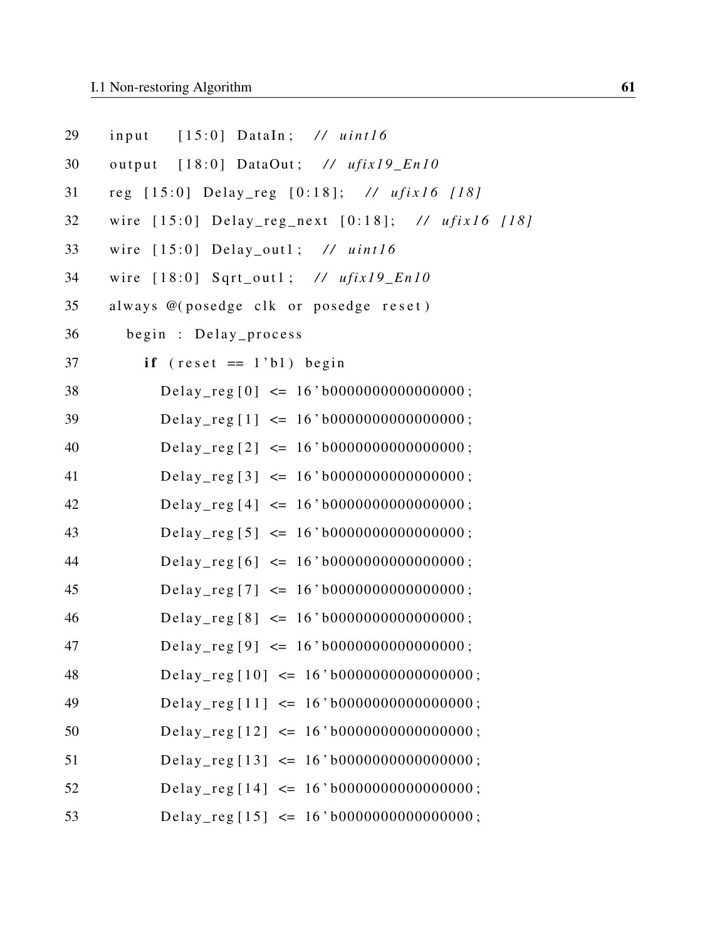| 29 | input [15:0] DataIn; // uint16                    |
|----|---------------------------------------------------|
| 30 | output [18:0] DataOut; // ufix19_En10             |
| 31 | reg [15:0] Delay_reg [0:18]; // ufix16 [18]       |
| 32 | wire [15:0] Delay_reg_next [0:18]; // ufix16 [18] |
| 33 | wire $[15:0]$ Delay_out1; // uint16               |
| 34 | wire $[18:0]$ Sqrt_out1; // ufix19_En10           |
| 35 | always @(posedge clk or posedge reset)            |
| 36 | begin : Delay_process                             |
| 37 | if $(reset == 1'b1)$ begin                        |
| 38 | Delay_reg[0] $\leq$ 16'b0000000000000000;         |
| 39 | Delay_reg[1] $\leq$ 16'b000000000000000;          |
| 40 | Delay_reg [2] $\leq$ 16'b0000000000000000;        |
| 41 | Delay_reg [3] $\leq$ 16'b0000000000000000;        |
| 42 | Delay_reg [4] $\leq$ 16'b0000000000000000;        |
| 43 | Delay_reg [5] $\leq$ 16'b0000000000000000;        |
| 44 | Delay_reg [6] $\leq 16' b000000000000000;$        |
| 45 | Delay_reg[7] $\leq 16' b000000000000000;$         |
| 46 | Delay_reg [8] $\leq$ 16'b0000000000000000;        |
| 47 | Delay_reg [9] $\leq 16'$ b0000000000000000;       |
| 48 | Delay_reg[10] $\leq$ 16'b000000000000000;         |
| 49 | Delay_reg[11] $\leq$ 16'b000000000000000;         |
| 50 | Delay_reg [12] $\leq$ 16'b0000000000000000;       |
| 51 | Delay_reg [13] $\leq$ 16'b0000000000000000;       |
| 52 | Delay_reg [14] $\leq$ 16'b0000000000000000;       |
| 53 | Delay_reg[15] $\leq$ 16'b0000000000000000;        |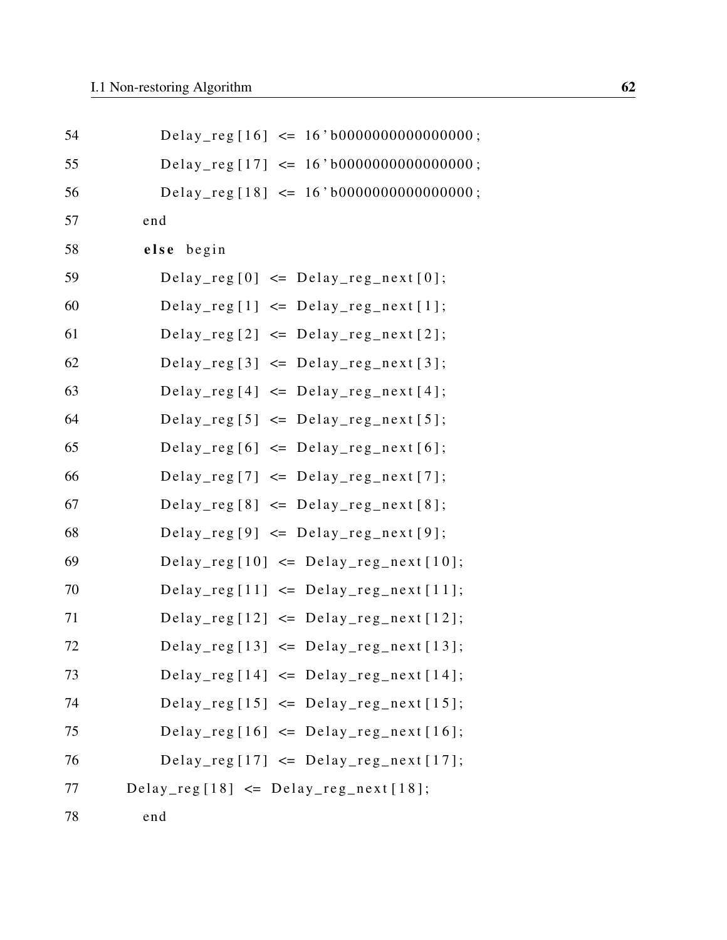| 54 | Delay_reg[16] $\leq$ 16'b000000000000000;     |
|----|-----------------------------------------------|
| 55 | Delay_reg [17] $\leq$ 16'b0000000000000000;   |
| 56 | Delay_reg [18] $\leq$ 16'b0000000000000000;   |
| 57 | end                                           |
| 58 | else begin                                    |
| 59 | Delay_reg[0] $\leq$ Delay_reg_next[0];        |
| 60 | $Delay_{reg}[1] \leq Delay_{reg\_next}[1];$   |
| 61 | $Delay_{reg}[2] \leq Delay_{reg\_next}[2];$   |
| 62 | Delay_reg[3] $\leq$ Delay_reg_next[3];        |
| 63 | Delay_reg $[4] \le$ Delay_reg_next $[4]$ ;    |
| 64 | Delay_reg $[5] \le$ Delay_reg_next $[5]$ ;    |
| 65 | Delay_reg[6] $\leq$ Delay_reg_next[6];        |
| 66 | Delay_reg[7] $\leq$ Delay_reg_next[7];        |
| 67 | $Delay_{reg}[8] \leq Delay_{reg\_next}[8];$   |
| 68 | $Delay_{reg}[9] \leq Delay_{reg\_next}[9];$   |
| 69 | Delay_reg[10] $\leq$ Delay_reg_next[10];      |
| 70 | Delay_reg[11] $\leq$ Delay_reg_next[11];      |
| 71 | $Delay_{reg}[12] \leq Delay_{reg\_next}[12];$ |
| 72 | Delay_reg $[13] \le$ Delay_reg_next $[13]$ ;  |
| 73 | $Delay_{reg}[14] \leq Delay_{reg\_next}[14];$ |
| 74 | Delay_reg[15] $\leq$ Delay_reg_next[15];      |
| 75 | Delay_reg[16] $\leq$ Delay_reg_next[16];      |
| 76 | Delay_reg[17] $\leq$ Delay_reg_next[17];      |
| 77 | Delay_reg[18] $\leq$ Delay_reg_next[18];      |
| 78 | end                                           |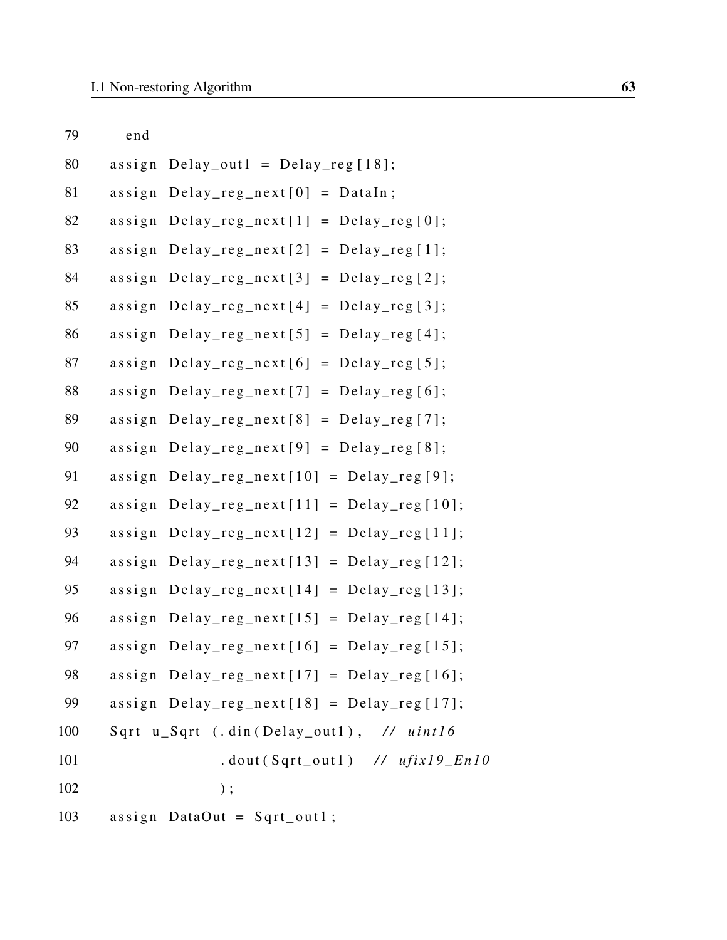| 79  | end                     |                                                      |
|-----|-------------------------|------------------------------------------------------|
| 80  |                         | assign Delay_out1 = Delay_reg[18];                   |
| 81  |                         | $assign$ Delay_reg_next[0] = DataIn;                 |
| 82  | $\frac{a}{\sin \theta}$ | $Delay_{reg\_next}[1] = Delay_{reg}[0];$             |
| 83  |                         | $assign$ $Delay_{reg\_next[2]}$ = $Delay_{reg[1]}$ ; |
| 84  |                         | $assign$ $Delay_{reg\_next[3]}$ = $Delay_{reg[2]}$ ; |
| 85  | $\frac{a s}{i g n}$     | $Delay_{reg\_next[4]} = Delay_{reg[3]}$ ;            |
| 86  | $\frac{a s}{i g n}$     | $Delay_{reg\_next[5]} = Delay_{reg[4]}$ ;            |
| 87  |                         | $assign$ Delay_reg_next[6] = Delay_reg[5];           |
| 88  |                         | $assign$ Delay_reg_next $[7]$ = Delay_reg $[6]$ ;    |
| 89  |                         | $assign$ $Delay_{reg\_next[8]}$ = $Delay_{reg[7]}$ ; |
| 90  |                         | $assign$ Delay_reg_next[9] = Delay_reg[8];           |
| 91  |                         | $assign$ Delay_reg_next $[10]$ = Delay_reg $[9]$ ;   |
| 92  |                         | assign $Delay_{reg\_next[11]} = Delay_{reg[10]}$ ;   |
| 93  |                         | assign $Delay_{reg\_next}[12] = Delay_{reg}[11];$    |
| 94  |                         | $assign$ Delay_reg_next $[13]$ = Delay_reg $[12]$ ;  |
| 95  | $a$ ssign               | $Delay_{reg\_next[14]} = Delay_{reg[13]};$           |
| 96  |                         | assign $Delay_{reg\_next[15]} = Delay_{reg[14]};$    |
| 97  |                         | assign $Delay_{reg\_next}[16] = Delay_{reg}[15];$    |
| 98  |                         | assign $Delay_{reg\_next[17]} = Delay_{reg[16]};$    |
| 99  |                         | assign $Delay_{reg\_next[18]} = Delay_{reg[17]};$    |
| 100 |                         | Sqrt u_Sqrt (.din(Delay_out1), // uint16             |
| 101 |                         | $.dout(Sqrt_out1)$ // $ufix19_En10$                  |
| 102 |                         | );                                                   |
| 103 |                         | assign DataOut = $Sqrt_out1$ ;                       |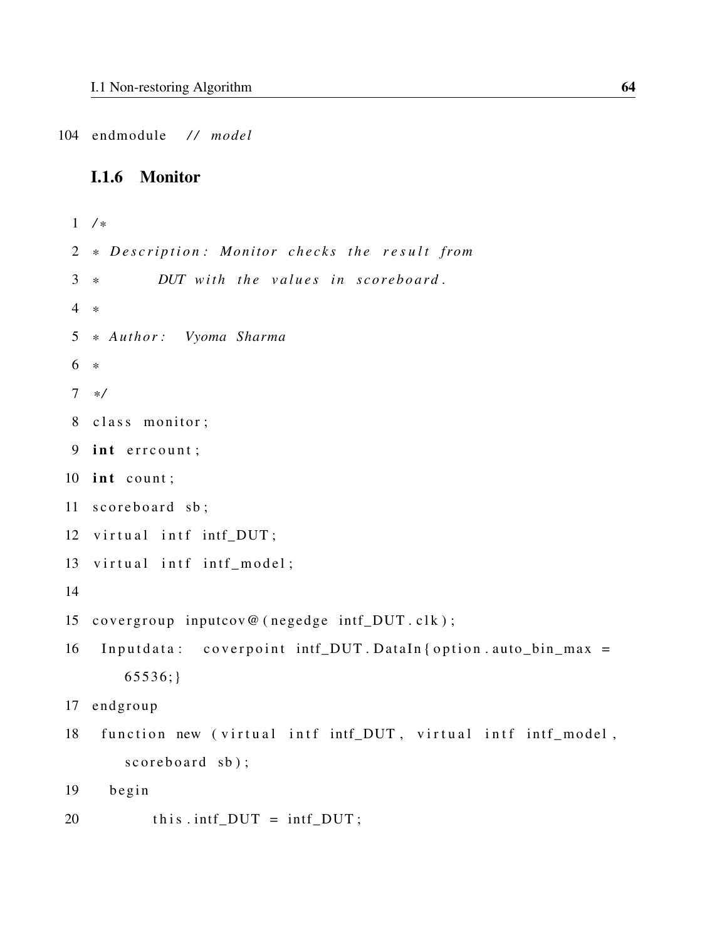104 endmodule */ / model*

#### I.1.6 Monitor

```
1 / *
2 * Description: Monitor checks the result from
3 * DUT with the values in scoreboard.
4 *
5 * Author : Vyoma Sharma
6 *
7 * /
8 class monitor;
9 int err count;
10 int count;
11 scoreboard sb;
12 virtual intf intf_DUT;
13 virtual intf intf_model;
14
15 covergroup inputcov@ (negedge intf_DUT.clk);
16 Inputdata: coverpoint intf_DUT. DataIn { option. auto_bin_max =
      65536;}
17 endgroup
18 function new (virtual intf intf_DUT, virtual intf intf_model,
       scoreboard sb);19 begin
20 this . intf_DUT = intf_DUT;
```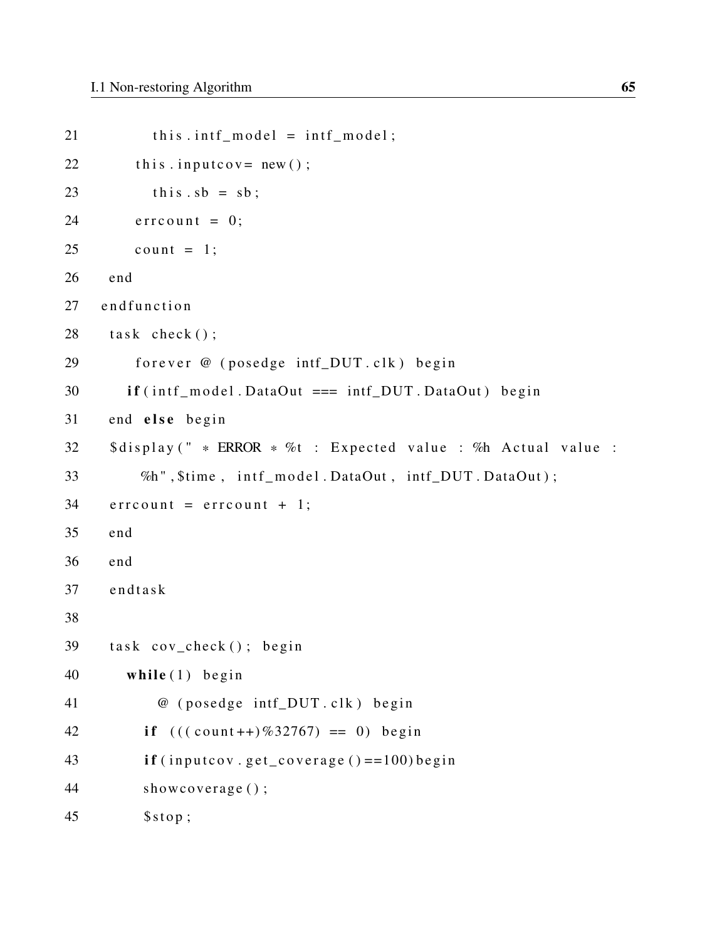```
21 this . intf_model = intf_model;
22 this . input cov = new();
23 this sb = sb;
24 err count = 0;
25 count = 1;
26 end
27 end function
28 task check();
29 forever @ (posedge intf_DUT.clk) begin
30 if (intf_model. DataOut === intf_DUT. DataOut) begin
31 end else begin
32 $display (" * ERROR * %t : Expected value : %h Actual value :
33 %h", $time, intf_model.DataOut, intf_DUT.DataOut);
34 err count = err count + 1;
35 end
36 end
37 endtask
38
39 task cov_check(); begin
40 while (1) begin
41 @ (posedge intf_DUT.clk) begin
42 if (((count++)\%32767) == 0) begin
43 if (inputcov.get_coverage () = =100) begin
44 showcoverage ();
45 $stop;
```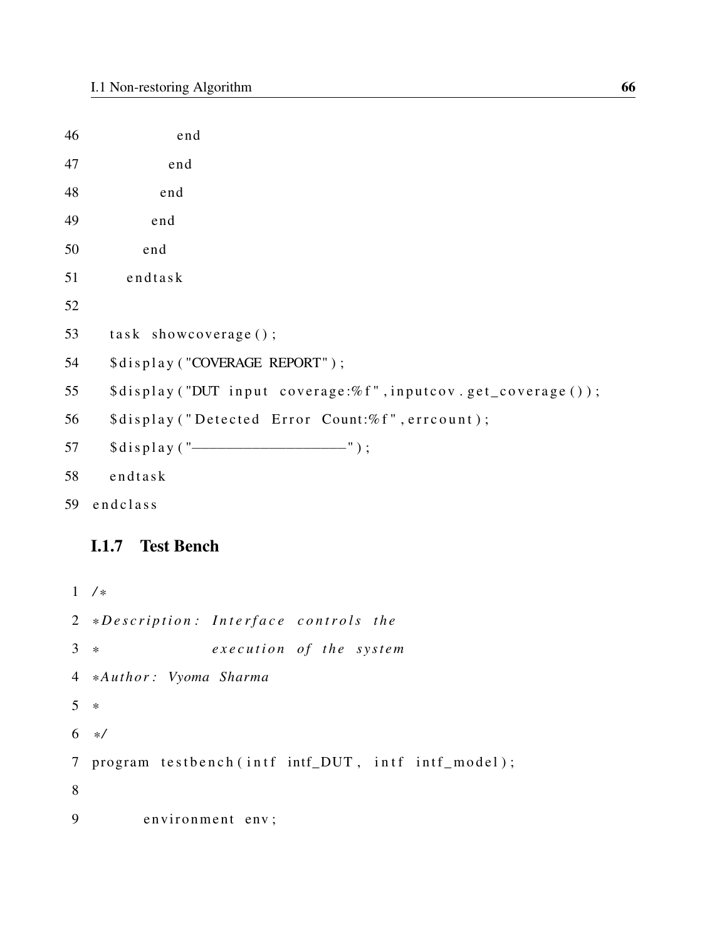46 end 47 end 48 end 49 end 50 end 51 endtask 52  $53$  task showcoverage (); 54 \$ display ("COVERAGE REPORT"); 55 \$display ("DUT input coverage:%f", inputcov.get\_coverage()); 56 \$display ("Detected Error Count:% f", errcount); 57 \$ d i s p l a y ( "–––––––––––––––––" ) ; 58 endtask 59 end class

# I.1.7 Test Bench

1 */ \** 2 \*Description: Interface controls the 3 \* *execution of the system* 4 *\* Author : Vyoma Sharma* 5 *\** 6 *\* /* 7 program testbench (intf intf\_DUT, intf intf\_model); 8 9 environment env;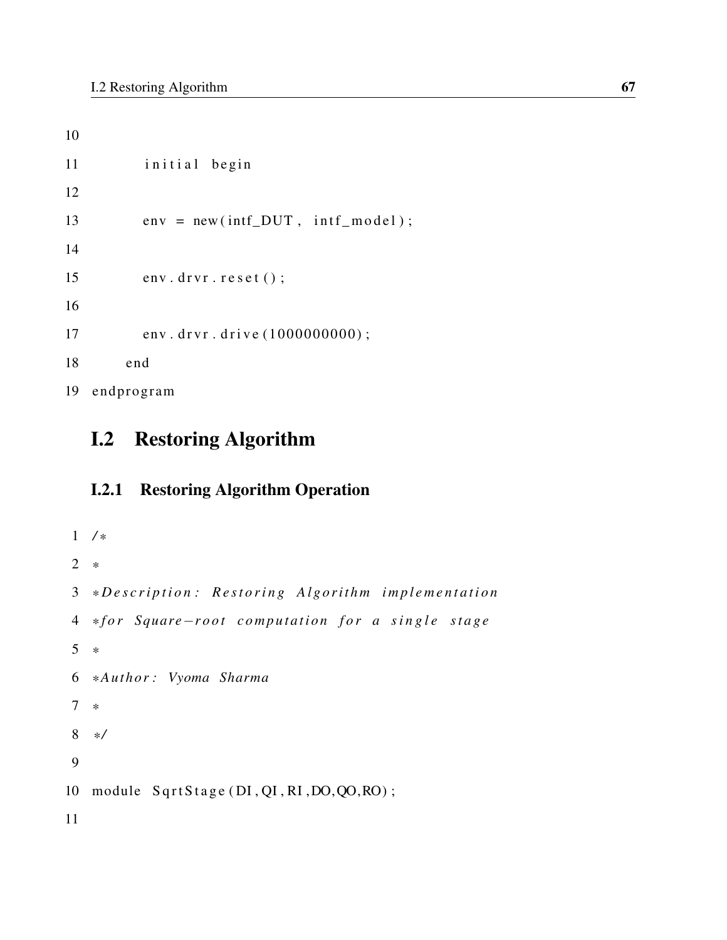```
10
11 initial begin
12
13 env = new (intf_DUT, intf_model);
14
15 env. drvr. reset ();
16
17 env. drvr. drive (1000000000);
18 end
19 endprogram
```
# I.2 Restoring Algorithm

# I.2.1 Restoring Algorithm Operation

```
1 / *
2 *
3 *Description: Restoring Algorithm implementation
4 * f o r Square−r o o t c o m p u t a t i o n f o r a s i n g l e s t a g e
5 *
6 * Author : Vyoma Sharma
7 *
8 * /
9
10 module SqrtStage (DI, QI, RI, DO, QO, RO);
11
```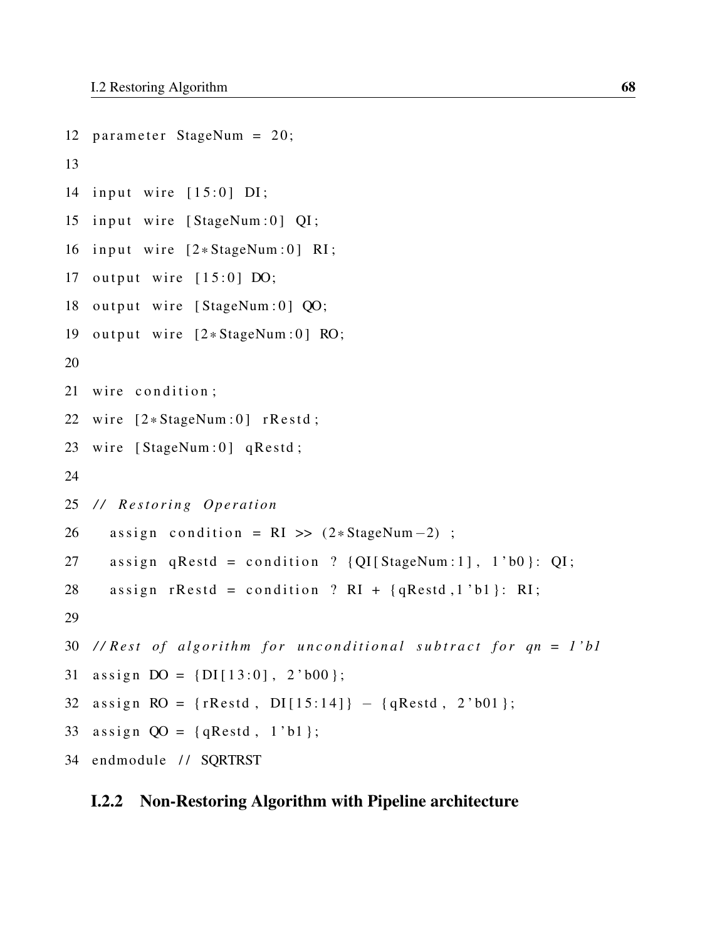```
12 parameter StageNum = 20;
13
14 input wire [15:0] DI;
15 input wire [StageNum:0] QI;
16 input wire [2*StageNum:0] RI;17 output wire [15:0] DO;
18 output wire [StageNum:0] QO;
19 output wire [2*StageNum:0] RO;
20
21 wire condition;
22 wire [2 * StageNum:0] rRestd;
23 wire [StageNum:0] qRestd;
24
25 // Restoring Operation
26 assign condition = RI >> (2 * StageNum - 2);
27 assign qRestd = condition ? \{QI[StageNum:1], 1'b0\}: QI;
28 assign rRestd = condition ? RI + \{qRestd, 1'bl\}: RI;
29
30 // Rest of algorithm for unconditional subtract for qn = 1'bl
31 assign DO = \{DI[13:0], 2'b00\};32 assign RO = {rRestd, DI[15:14]} - {qRestd, 2'b01};33 assign OO = \{qRestd, 1'b1\};34 endmodule // SQRTRST
```
#### I.2.2 Non-Restoring Algorithm with Pipeline architecture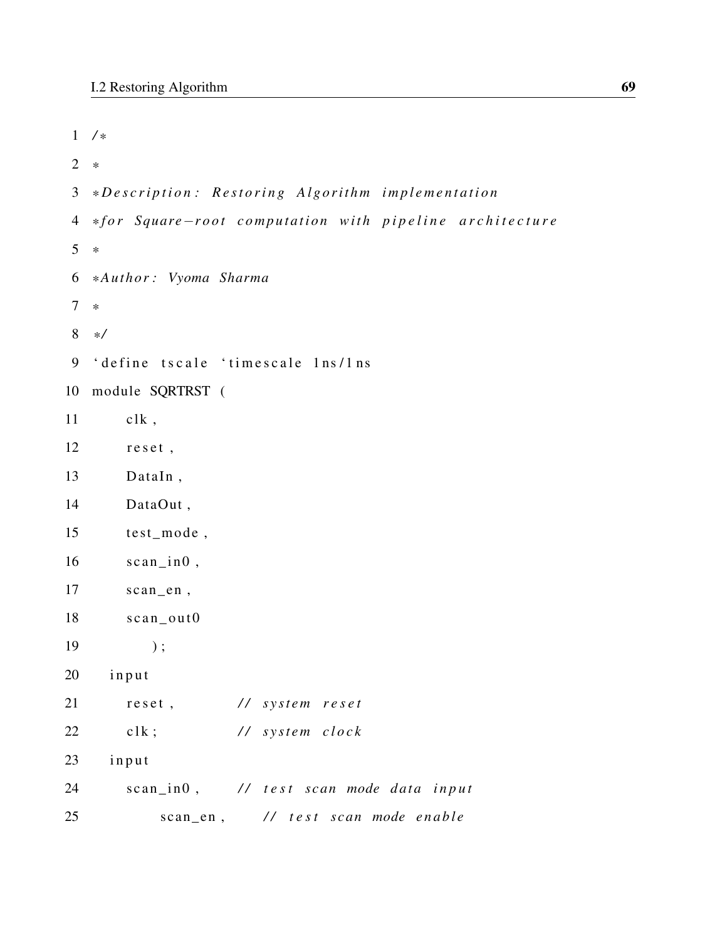```
1 / *
2 *
3 *Description: Restoring Algorithm implementation
4 * f o r Square−r o o t c o m p u t a t i o n w i t h p i p e l i n e a r c h i t e c t u r e
5 *
6 * Author : Vyoma Sharma
7 *
8 * /
9 'define tscale 'timescale 1ns/1ns
10 module SQRTRST (
11 clk,
12 reset,
13 DataIn ,
14 DataOut ,
15 test_mode ,
16 \quad \text{scan} \_\text{in} ,
17 scan_en ,
18 scan\_out019 );
20 input
21 reset, // system reset
22 clk; // system clock
23 input
24 scan_in0, // test scan mode data input
25 scan_en, // test scan mode enable
```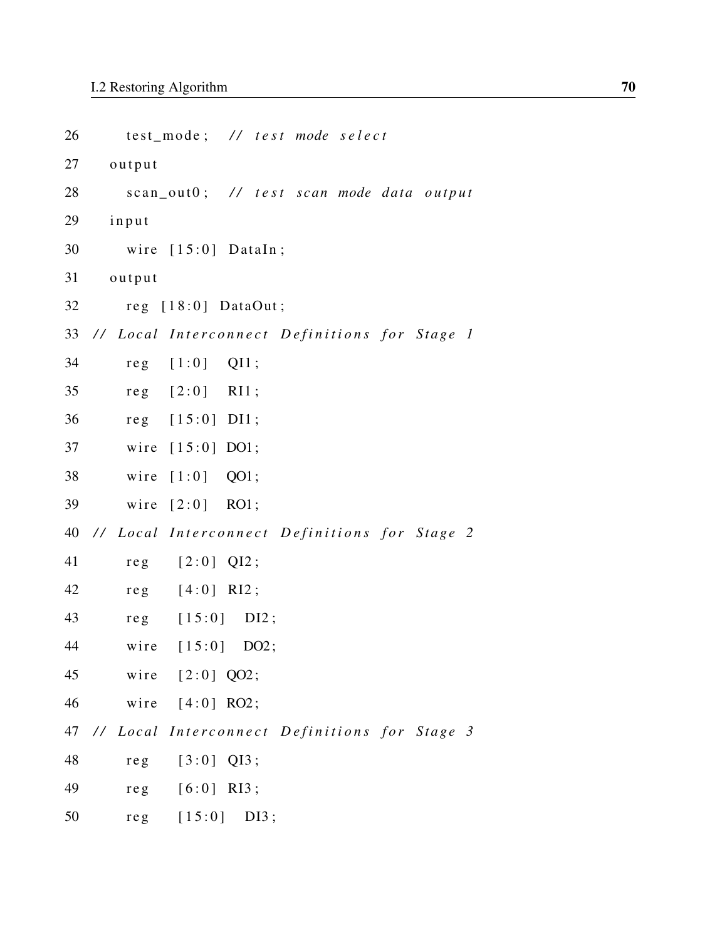| 26 |                                                  | test_mode; // test mode select |         |  |                                          |
|----|--------------------------------------------------|--------------------------------|---------|--|------------------------------------------|
| 27 | output                                           |                                |         |  |                                          |
| 28 |                                                  |                                |         |  | scan_out0; // test scan mode data output |
| 29 | input                                            |                                |         |  |                                          |
| 30 |                                                  | wire $[15:0]$ DataIn;          |         |  |                                          |
| 31 | output                                           |                                |         |  |                                          |
| 32 |                                                  | reg $[18:0]$ DataOut;          |         |  |                                          |
| 33 | // Local Interconnect Definitions for Stage 1    |                                |         |  |                                          |
| 34 |                                                  | $reg$ $[1:0]$                  | $QI1$ ; |  |                                          |
| 35 |                                                  | $reg$ $[2:0]$                  | RI1;    |  |                                          |
| 36 |                                                  | reg [15:0] DII;                |         |  |                                          |
| 37 | wire                                             | $[15:0]$ DO1;                  |         |  |                                          |
| 38 | wire                                             | $[1:0]$                        | QO1;    |  |                                          |
| 39 | wire                                             | $[2:0]$ RO1;                   |         |  |                                          |
| 40 | // Local Interconnect Definitions for Stage 2    |                                |         |  |                                          |
| 41 | $re$ g                                           | $[2:0]$ QI2;                   |         |  |                                          |
| 42 | reg                                              | $[4:0]$ RI2;                   |         |  |                                          |
| 43 |                                                  | $reg$ [15:0] DI2;              |         |  |                                          |
| 44 |                                                  | wire $[15:0]$ DO2;             |         |  |                                          |
|    | 45 wire [2:0] QO2;                               |                                |         |  |                                          |
|    | 46                                               | wire $[4:0]$ RO2;              |         |  |                                          |
|    | 47 // Local Interconnect Definitions for Stage 3 |                                |         |  |                                          |
| 48 |                                                  | $reg$ [3:0] QI3;               |         |  |                                          |
| 49 |                                                  | $reg$ [6:0] RI3;               |         |  |                                          |
| 50 |                                                  | $reg [15:0]$ DI3;              |         |  |                                          |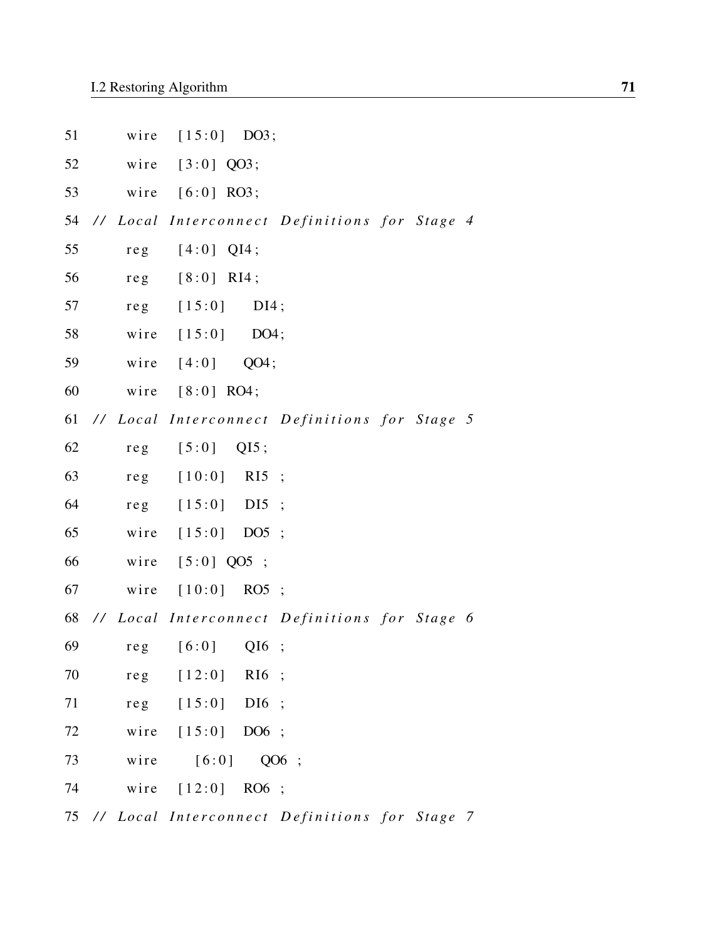| 51     |                 | wire $[15:0]$ DO3;                               |
|--------|-----------------|--------------------------------------------------|
| 52     |                 | wire $[3:0]$ QO3;                                |
| 53     |                 | wire $[6:0]$ RO3;                                |
| 54     |                 | // Local Interconnect Definitions for Stage 4    |
| 55     | re <sub>g</sub> | $[4:0]$ QI4;                                     |
| 56     | re <sub>g</sub> | $[8:0]$ RI4;                                     |
| 57     |                 | $reg$ $[15:0]$<br>$DI4$ ;                        |
| 58     |                 | wire $[15:0]$ DO4;                               |
| 59     |                 | wire $[4:0]$<br>QO4;                             |
| 60     |                 | wire $[8:0]$ RO4;                                |
| 61     |                 | // Local Interconnect Definitions for Stage 5    |
| 62     | re <sub>g</sub> | $[5:0]$ QI5;                                     |
| 63     | re <sub>g</sub> | $[10:0]$ RI5;                                    |
| 64     |                 | reg [15:0] DI5 ;                                 |
| 65     |                 | wire [15:0] DO5 ;                                |
| 66     |                 | wire [5:0] QO5 ;                                 |
| 67     |                 | wire [10:0] RO5 ;                                |
|        |                 | 68 // Local Interconnect Definitions for Stage 6 |
| 69     |                 | $reg$ $[6:0]$<br>$QI6$ ;                         |
| 70     |                 | $reg$ $[12:0]$<br>$R16$ ;                        |
| 71     |                 | $reg$ $[15:0]$<br>$DI6$ ;                        |
| $72\,$ |                 | wire [15:0] DO6 ;                                |
| 73     | wire            | [6:0]<br>QO6 ;                                   |
| 74     |                 | wire [12:0] RO6 ;                                |
|        |                 |                                                  |

75 // Local Interconnect Definitions for Stage 7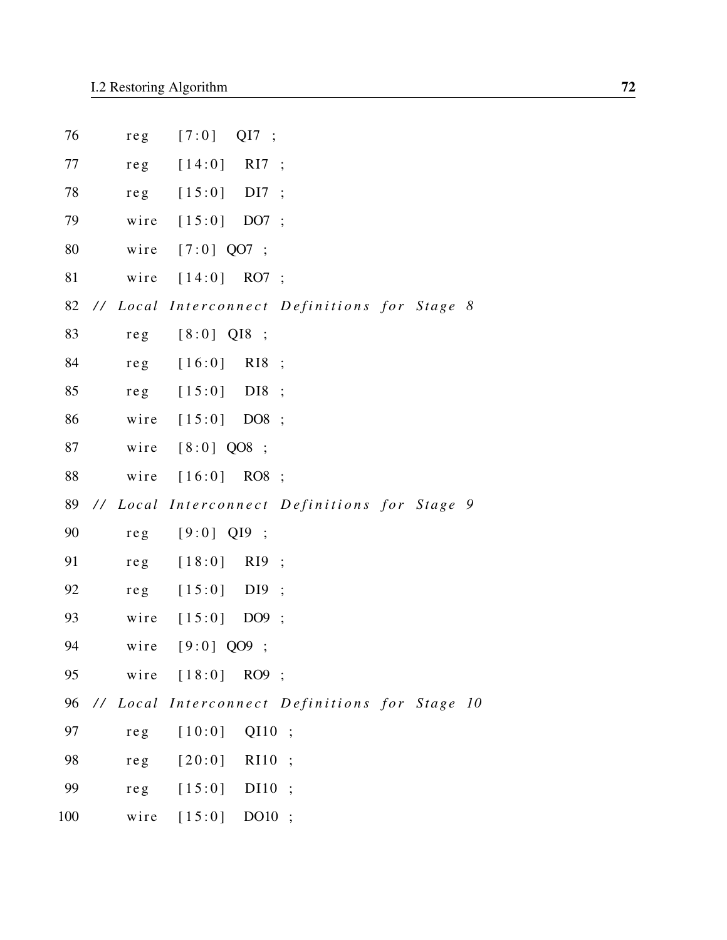| 76  | reg             | $[7:0]$<br>QI7<br>$\ddots$                     |  |
|-----|-----------------|------------------------------------------------|--|
| 77  | reg             | [14:0]<br>RI7<br>$\ddots$                      |  |
| 78  | reg             | [15:0]<br>DI <sub>7</sub><br>$\ddots$          |  |
| 79  | wire            | [15:0]<br>DO7;                                 |  |
| 80  | wire            | $[7:0]$ QO7 ;                                  |  |
| 81  | wire            | [14:0]<br>$RO7$ ;                              |  |
| 82  |                 | // Local Interconnect Definitions for Stage 8  |  |
| 83  | reg             | $[8:0]$ QI8 ;                                  |  |
| 84  | re <sub>g</sub> | [16:0]<br>R <sub>I8</sub><br>$\ddots$          |  |
| 85  | re <sub>g</sub> | [15:0]<br>D <sub>I</sub> 8<br>$\ddots$         |  |
| 86  | wire            | [15:0]<br>DO8;                                 |  |
| 87  | wire            | $[8:0]$ QO8 ;                                  |  |
| 88  | wire            | [16:0]<br>$RO8$ ;                              |  |
| 89  |                 | // Local Interconnect Definitions for Stage 9  |  |
| 90  | reg             | $[9:0]$ Q19<br>$\ddots$                        |  |
| 91  | reg             | [18:0]<br>R <sub>I9</sub><br>$\cdot$           |  |
| 92  | re <sub>g</sub> | [15:0]<br>D <sub>I9</sub><br>$\cdot$ ;         |  |
| 93  | wire            | [15:0]<br>DO9;                                 |  |
| 94  | wire            | $[9:0]$ QO9 ;                                  |  |
| 95  | wire            | $[18:0]$<br>RO9 ;                              |  |
| 96  |                 | // Local Interconnect Definitions for Stage 10 |  |
| 97  | re <sub>g</sub> | QI10<br>[10:0]<br>$\ddot{\cdot}$               |  |
| 98  | $re$ g          | [20:0]<br>R <sub>10</sub><br>$\ddot{\cdot}$    |  |
| 99  | reg             | [15:0]<br>DI10<br>$\ddot{\cdot}$               |  |
| 100 | wire            | $[15:0]$ DO10;                                 |  |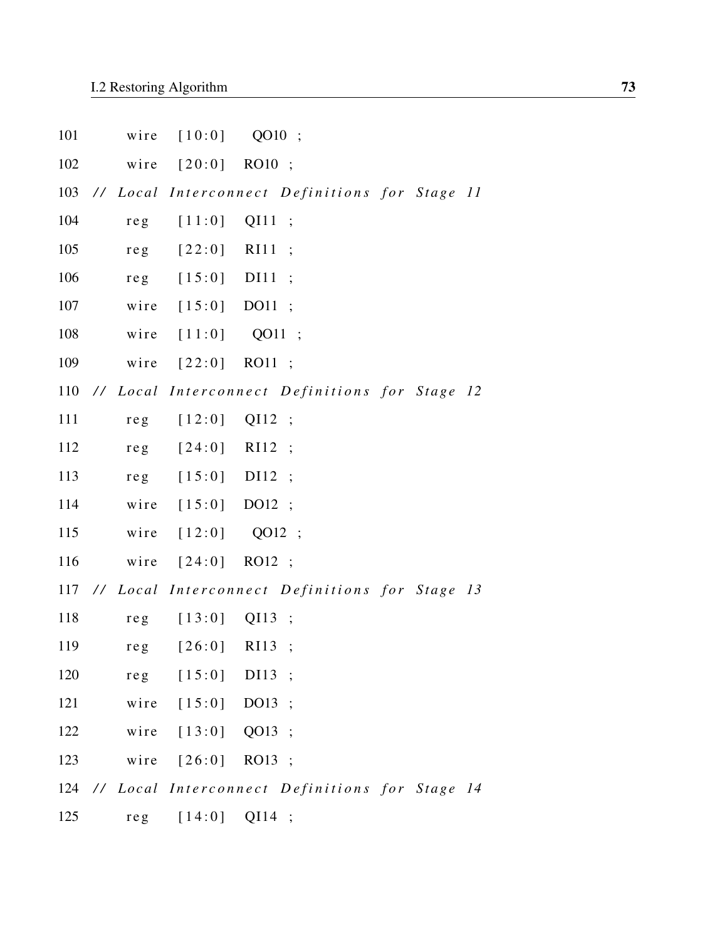| 101 | wire            | [10:0]             | $QO10$ ;         |                                                    |  |  |
|-----|-----------------|--------------------|------------------|----------------------------------------------------|--|--|
| 102 | wire            | $[20:0]$ RO10;     |                  |                                                    |  |  |
| 103 |                 |                    |                  | // Local Interconnect Definitions for Stage 11     |  |  |
| 104 | re <sub>g</sub> | [11:0]             | QI11             | $\ddots$                                           |  |  |
| 105 | re <sub>g</sub> | $[22:0]$           | R <sub>111</sub> | $\ddots$                                           |  |  |
| 106 | re <sub>g</sub> | $[15:0]$ DI11      |                  | $\ddots$                                           |  |  |
| 107 | wire            | $[15:0]$ DO11      |                  | $\cdot$                                            |  |  |
| 108 | wire            | [11:0]             | QO11 ;           |                                                    |  |  |
| 109 | wire            | $[22:0]$ RO11;     |                  |                                                    |  |  |
|     |                 |                    |                  | 110 // Local Interconnect Definitions for Stage 12 |  |  |
| 111 | re <sub>g</sub> | $[12:0]$           | QI12             | $\cdot$ ;                                          |  |  |
| 112 | re <sub>g</sub> | $[24:0]$           | R <sub>12</sub>  | $\cdot$                                            |  |  |
| 113 | reg             | $[15:0]$ DI12      |                  | $\cdot$                                            |  |  |
| 114 | wire            | $[15:0]$ DO12;     |                  |                                                    |  |  |
| 115 | wire            | $[12:0]$           | QO12 ;           |                                                    |  |  |
| 116 | wire            | $[24:0]$ RO12;     |                  |                                                    |  |  |
|     |                 |                    |                  | 117 // Local Interconnect Definitions for Stage 13 |  |  |
| 118 | re <sub>g</sub> | $[13:0]$ QI13 ;    |                  |                                                    |  |  |
| 119 | $re$ g          | $[26:0]$ RI13      |                  | $\cdot$                                            |  |  |
| 120 |                 | $reg [15:0]$ DI13; |                  |                                                    |  |  |
| 121 |                 | wire [15:0] DO13 ; |                  |                                                    |  |  |
| 122 |                 | wire [13:0] QO13 ; |                  |                                                    |  |  |
| 123 |                 | wire [26:0] RO13;  |                  |                                                    |  |  |
|     |                 |                    |                  | 124 // Local Interconnect Definitions for Stage 14 |  |  |
| 125 |                 | reg [14:0] QI14 ;  |                  |                                                    |  |  |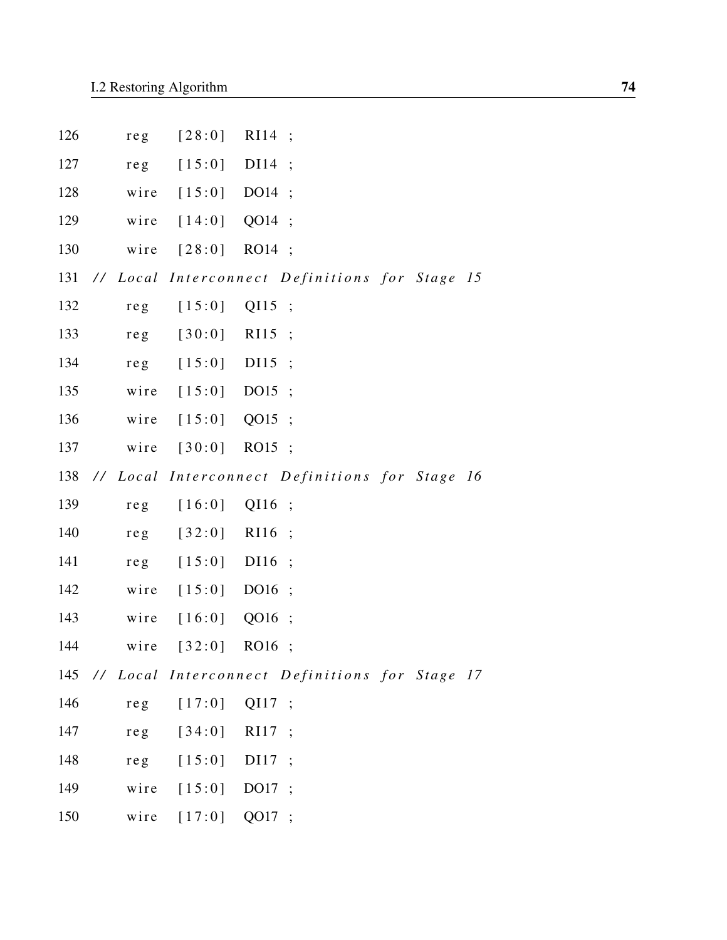| 126 | re <sub>g</sub> | [28:0]         | R <sub>I</sub> 14                                  |  |
|-----|-----------------|----------------|----------------------------------------------------|--|
| 127 | re <sub>g</sub> | [15:0]         | DI14<br>$\ddot{\phantom{1}}$                       |  |
| 128 | wire            | [15:0]         | DO14                                               |  |
| 129 | wire            | [14:0]         | QO14                                               |  |
| 130 | wire            | $[28:0]$       | RO14 ;                                             |  |
| 131 |                 |                | // Local Interconnect Definitions for Stage 15     |  |
| 132 | re <sub>g</sub> | [15:0]         | QI15<br>$\cdot$                                    |  |
| 133 | re <sub>g</sub> | [30:0]         | R <sub>I15</sub><br>$\cdot$                        |  |
| 134 | re <sub>g</sub> | [15:0]         | DI15<br>$\cdot$                                    |  |
| 135 | wire            | [15:0]         | $DO15$ ;                                           |  |
| 136 | wire            | [15:0]         | QO15 ;                                             |  |
| 137 | wire            | [30:0]         | RO15 ;                                             |  |
| 138 |                 |                | // Local Interconnect Definitions for Stage 16     |  |
| 139 | $re$ g          | [16:0]         | $QI16$ ;                                           |  |
| 140 | re <sub>g</sub> | [32:0]         | R <sub>I16</sub><br>$\ddots$                       |  |
| 141 | re <sub>g</sub> | [15:0]         | DI16<br>$\ddots$                                   |  |
| 142 | wire            | [15:0]         | DO16<br>$\ddot{\cdot}$                             |  |
| 143 | wire            | [16:0]         | QO16<br>$\ddot{\cdot}$                             |  |
| 144 | wire            | $[32:0]$       | <b>RO16</b><br>$\ddot{\cdot}$                      |  |
|     |                 |                | 145 // Local Interconnect Definitions for Stage 17 |  |
| 146 |                 | $reg$ $[17:0]$ | QI17 ;                                             |  |
| 147 |                 | reg $[34:0]$   | RI17 ;                                             |  |
| 148 |                 | $reg$ [15:0]   | DI17 ;                                             |  |
| 149 |                 | wire $[15:0]$  | DO17 ;                                             |  |
| 150 |                 | wire [17:0]    | QO17 ;                                             |  |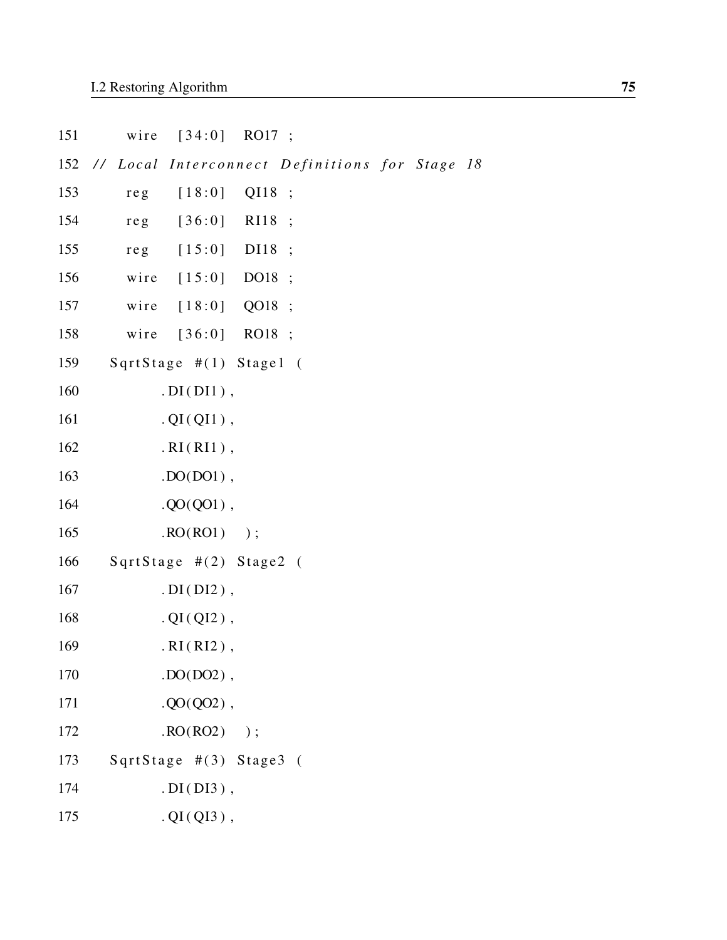| 151 | wire [34:0] RO17 ;                        |                 |  |
|-----|-------------------------------------------|-----------------|--|
|     | 152 // Local Interconnect Definitions for |                 |  |
| 153 | reg $[18:0]$                              | QI18 ;          |  |
| 154 | reg [36:0] RI18 ;                         |                 |  |
| 155 | reg [15:0] DI18 ;                         |                 |  |
| 156 | wire [15:0] DO18;                         |                 |  |
| 157 | wire [18:0] QO18 ;                        |                 |  |
| 158 | wire                                      | $[36:0]$ RO18 ; |  |
| 159 | SqrtStage $\#(1)$ Stage1 (                |                 |  |
| 160 | $.DI(DI1)$ ,                              |                 |  |
| 161 | $. QI(QI1)$ ,                             |                 |  |
| 162 | $.RI(RI1)$ ,                              |                 |  |
| 163 | $.$ DO(DO1),                              |                 |  |
| 164 | $. QO(QO1)$ ,                             |                 |  |
| 165 | $\text{RO}(RO1)$ );                       |                 |  |
| 166 | SqrtStage $\#(2)$ Stage2 (                |                 |  |
| 167 | $.DI(DI2)$ ,                              |                 |  |
| 168 | $. QI(QI2)$ ,                             |                 |  |
| 169 | $.RI(RI2)$ ,                              |                 |  |
| 170 | $.$ DO(DO2),                              |                 |  |
| 171 | $. QO(QO2)$ ,                             |                 |  |
| 172 | $\text{RO}(RO2)$ );                       |                 |  |
| 173 | SqrtStage #(3) Stage3 (                   |                 |  |
| 174 | $. DI(DI3)$ ,                             |                 |  |
| 175 | $. QI(QI3)$ ,                             |                 |  |

 $Stage 18$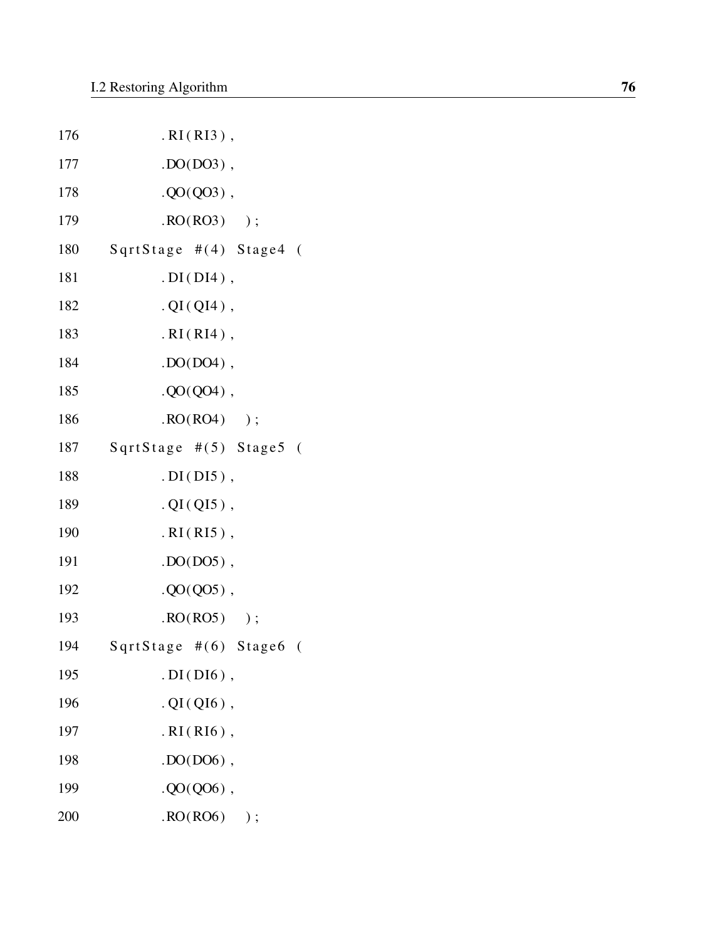| 176 | $.RI(RI3)$ ,              |
|-----|---------------------------|
| 177 | $.$ DO(DO3),              |
| 178 | $. QO(QO3)$ ,             |
| 179 | $\text{RO}(RO3)$ );       |
| 180 | SqrtStage $#(4)$ Stage4 ( |
| 181 | $. DI(DI4)$ ,             |
| 182 | $. QI(QI4)$ ,             |
| 183 | $.RI(RI4)$ ,              |
| 184 | $. DO(DO4)$ ,             |
| 185 | $. QO(QO4)$ ,             |
| 186 | $\text{RO}(RO4)$ );       |
| 187 | SqrtStage #(5) Stage5 (   |
| 188 | $. DI(DI5)$ ,             |
| 189 | $. QI(QI5)$ ,             |
| 190 | $.RI(RI5)$ ,              |
| 191 | $.$ DO(DO5),              |
| 192 | $. QO(QO5)$ ,             |
| 193 | $\text{RO}(RO5)$ );       |
| 194 | SqrtStage #(6) Stage6 (   |
| 195 | $. DI(DI6)$ ,             |
| 196 | $. QI(QI6)$ ,             |
| 197 | $.RI(RI6)$ ,              |
| 198 | $.$ DO(DO6),              |
| 199 | $. QO(QO6)$ ,             |
| 200 | RO(RO6)<br>$)$ ;          |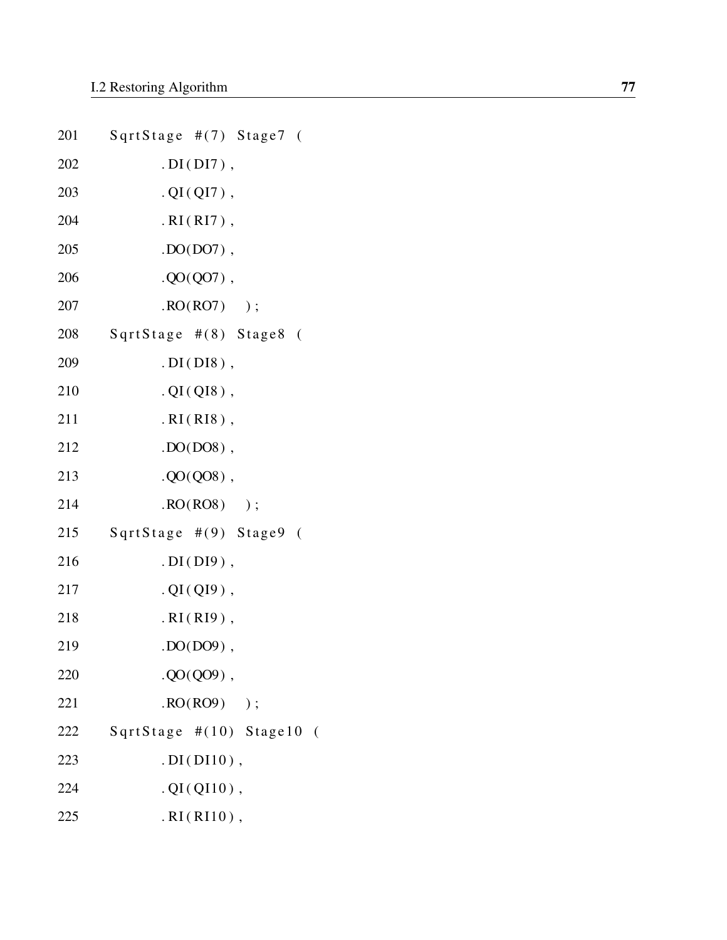|     | 201 SqrtStage #(7) Stage7 ( |
|-----|-----------------------------|
| 202 | $. DI(DI)$ ,                |
| 203 | $. QI(QI7)$ ,               |
| 204 | $.RI(RI7)$ ,                |
| 205 | $. DO(DO7)$ ,               |
| 206 | $. QO(QO7)$ ,               |
| 207 | $\text{RO}(RO7)$ );         |
| 208 | SqrtStage #(8) Stage8 (     |
| 209 | $. DI(DI8)$ ,               |
| 210 | $. QI(QI8)$ ,               |
| 211 | $.RI(RI8)$ ,                |
| 212 | $. DO(D08)$ ,               |
| 213 | $. QO(QO8)$ ,               |
| 214 | $\text{RO}(RO8)$ );         |
| 215 | SqrtStage #(9) Stage9 (     |
| 216 | $.DI(DI9)$ ,                |
| 217 | $. QI(QI9)$ ,               |
| 218 | $.RI(RI9)$ ,                |
| 219 | $. DO(DO9)$ ,               |
| 220 | $. QO(QO9)$ ,               |
| 221 | $\cdot$ RO(RO9) );          |
| 222 | SqrtStage #(10) Stage10 (   |
| 223 | $. DI(DI10)$ ,              |
| 224 | $. QI(QI10)$ ,              |
| 225 | $.RI(RI10)$ ,               |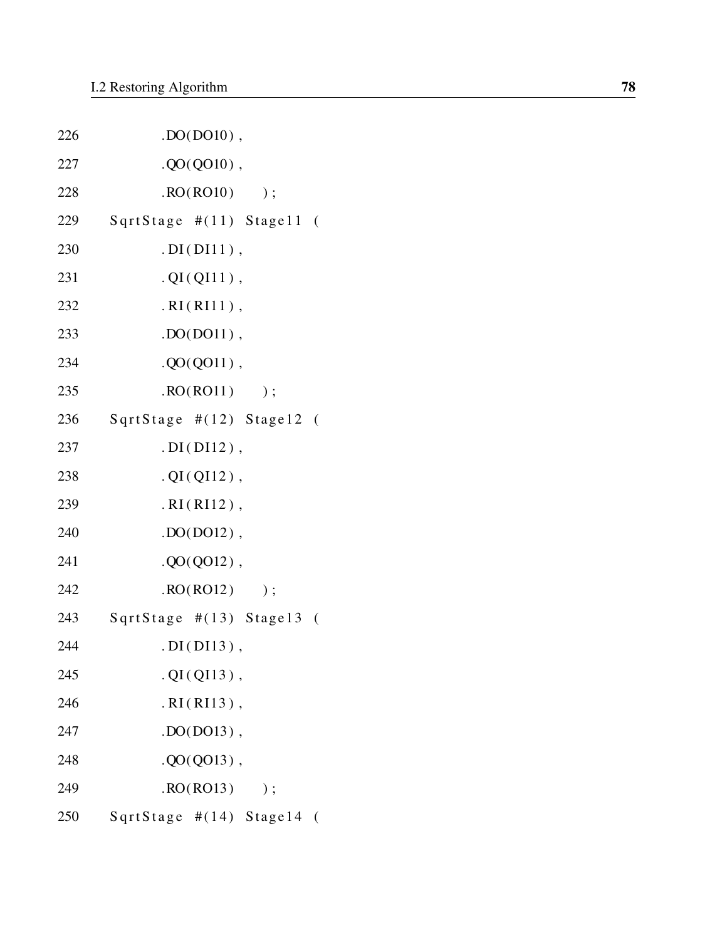| 226 | $DO(DO10)$ ,                 |
|-----|------------------------------|
| 227 | $. QO(QO10)$ ,               |
| 228 | $\text{RO}(\text{RO10})$ );  |
| 229 | SqrtStage #(11) Stage11 (    |
| 230 | $. DI(DI11)$ ,               |
| 231 | $. QI(QI11)$ ,               |
| 232 | .RI(RI11),                   |
| 233 | $DO(D011)$ ,                 |
| 234 | $. QO(QO11)$ ,               |
| 235 | $. RO(RO11)$ ;               |
| 236 | SqrtStage #(12) Stage12 (    |
| 237 | $.DI(DI12)$ ,                |
| 238 | $. QI(QI12)$ ,               |
| 239 | $.RI(RI12)$ ,                |
| 240 | $DO(D012)$ ,                 |
| 241 | $. QO(QO12)$ ,               |
| 242 | $\text{RO}(\text{RO12})$ );  |
| 243 | SqrtStage $\#(13)$ Stage13 ( |
| 244 | $. DI(DI13)$ ,               |
| 245 | $. QI(QI13)$ ,               |
| 246 | $.RI(RI13)$ ,                |
| 247 | $.$ DO(DO13),                |
| 248 | $. QO(QO13)$ ,               |
| 249 | RO(RO13)<br>);               |
| 250 | SqrtStage $\#(14)$ Stage14 ( |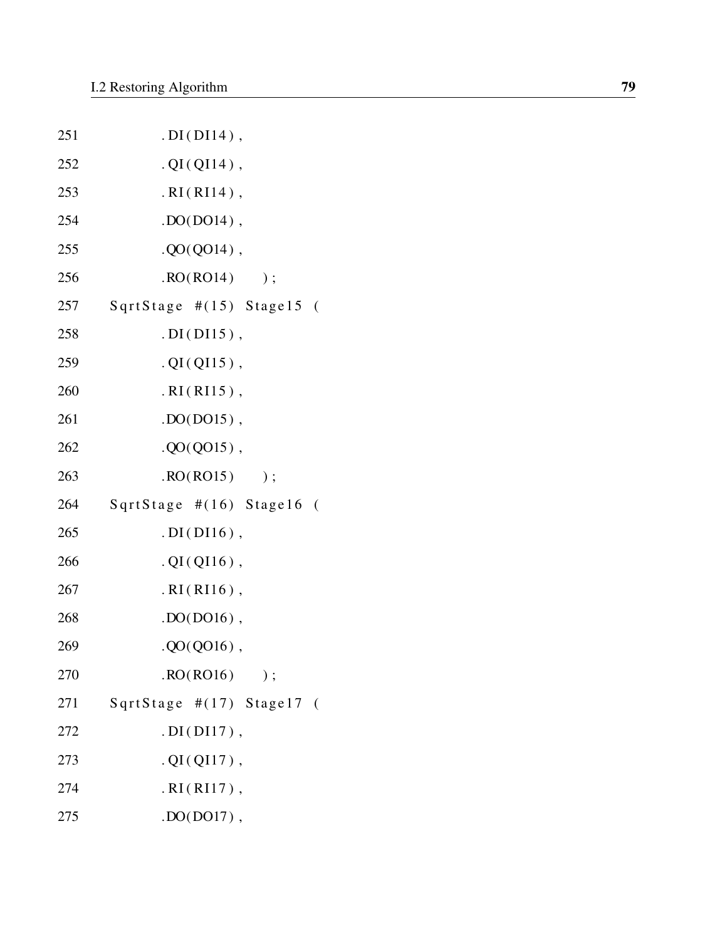| 251 | $. DI(DI14)$ ,               |
|-----|------------------------------|
| 252 | $. QI(QI14)$ ,               |
| 253 | $.RI(RI14)$ ,                |
| 254 | $DO(DO14)$ ,                 |
| 255 | $. QO(QO14)$ ,               |
| 256 | RO(RO14)<br>);               |
| 257 | SqrtStage $\#(15)$ Stage15 ( |
| 258 | $. DI(DI15)$ ,               |
| 259 | $. QI(QI15)$ ,               |
| 260 | $.RI(RI15)$ ,                |
| 261 | $.$ DO(DO15),                |
| 262 | $. QO(Q015)$ ,               |
| 263 | RO(RO15)<br>);               |
| 264 | SqrtStage $\#(16)$ Stage16 ( |
| 265 | $. DI(DI16)$ ,               |
| 266 | $. QI(QI16)$ ,               |
| 267 | $.RI(RI16)$ ,                |
| 268 | $DO(DO16)$ ,                 |
| 269 | $. QO(QO16)$ ,               |
| 270 | RO(RO16)<br>$)$ ;            |
| 271 | SqrtStage #(17) Stage17 (    |
| 272 | $. DI(DI17)$ ,               |
| 273 | $. QI(QI17)$ ,               |
| 274 | $.RI(RI17)$ ,                |
| 275 | $.$ DO(DO17),                |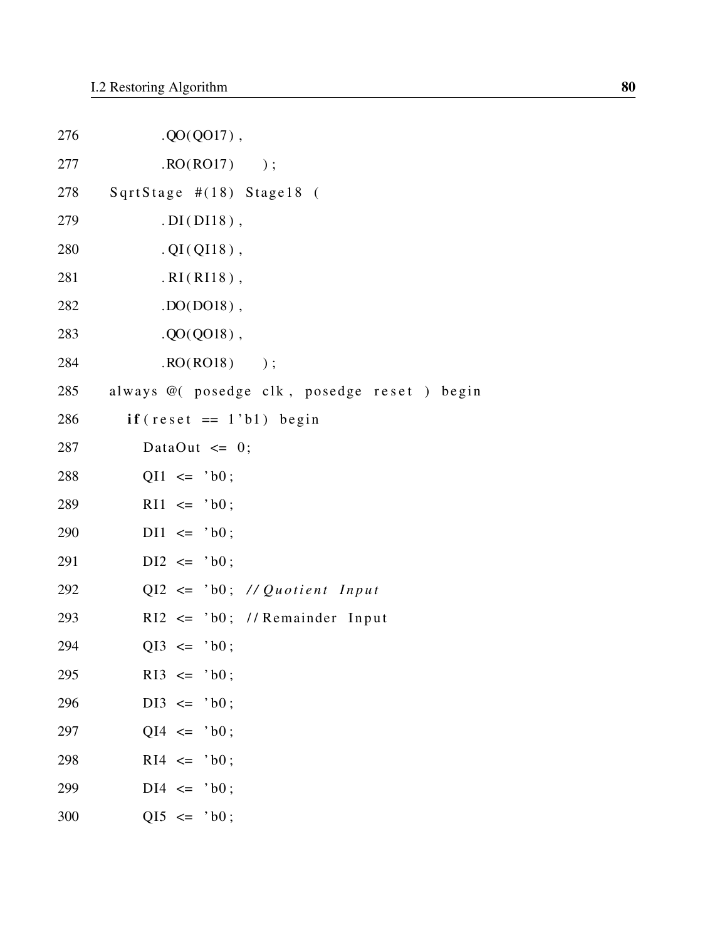| 276 | $. QO(Q017)$ ,                               |
|-----|----------------------------------------------|
| 277 | $\text{RO}(\text{RO17})$ );                  |
| 278 | SqrtStage $\#(18)$ Stage18 (                 |
| 279 | $. DI(DI18)$ ,                               |
| 280 | $. QI(QI18)$ ,                               |
| 281 | $.RI(RI18)$ ,                                |
| 282 | $.$ DO(DO18),                                |
| 283 | $. QO(QO18)$ ,                               |
| 284 | $\text{RO}(RO18)$ );                         |
| 285 | always @( posedge clk, posedge reset ) begin |
| 286 | $if (reset == 1'b1) begin$                   |
| 287 | DataOut $\leq 0$ ;                           |
| 288 | $QI1 \leq 'b0;$                              |
| 289 | $R11 \leq 'b0;$                              |
| 290 | $D11 \leq 'b0;$                              |
| 291 | $DI2 \leq 'b0;$                              |
| 292 | $QI2 \leq 'b0;$ // Quotient Input            |
| 293 | $R12 \leq 'b0$ ; //Remainder Input           |
| 294 | $QI3 \leq 'b0$ ;                             |
| 295 | $R13 \leq 'b0;$                              |
| 296 | $DI3 \leq 'b0;$                              |
| 297 | $QI4 \leq 'b0;$                              |
| 298 | $R14 \leq 'b0$ ;                             |
| 299 | $DI4 \leq 'b0;$                              |
| 300 | $QI5 \leq 'b0;$                              |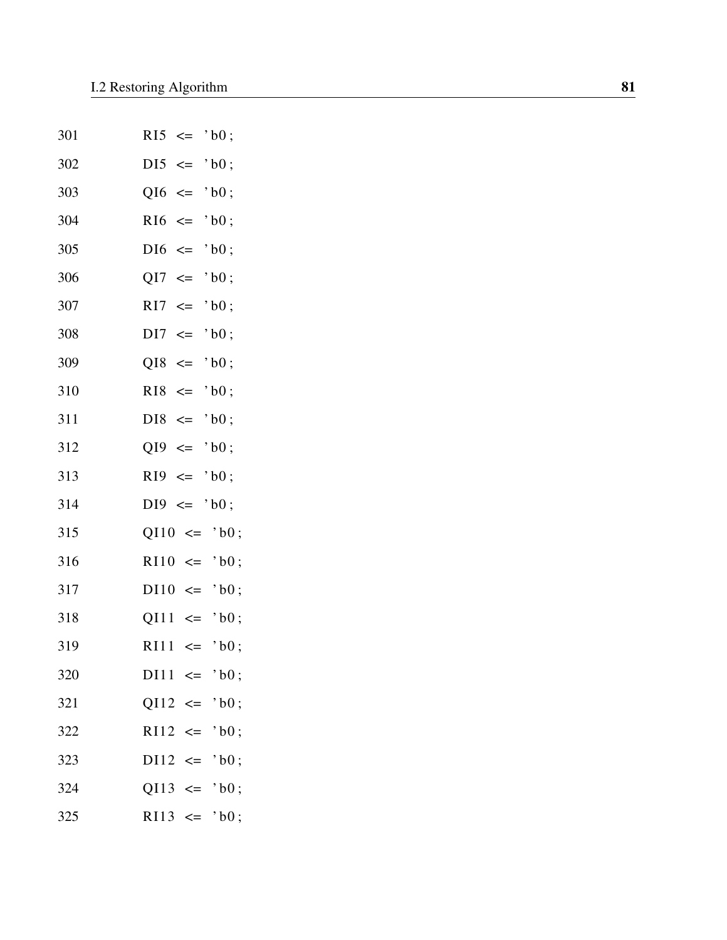| 301 | $R15 \leq$<br>$'$ b $0$ ;     |
|-----|-------------------------------|
| 302 | $DI5 \leq$<br>$'$ b $0$ ;     |
| 303 | $QI6 \leq$<br>$'$ b $0$ ;     |
| 304 | $R16 \leq$<br>$'$ b $0$ ;     |
| 305 | $DI6 \leq$<br>$'$ b $0$ ;     |
| 306 | $QI7 \leq$<br>$'$ b $0$ ;     |
| 307 | $RI7 \leq$<br>$'$ b0;         |
| 308 | $DI7 \leq$<br>$'$ b $0$ ;     |
| 309 | $QI8 \leq$<br>$'$ b $0$ ;     |
| 310 | $R18 \leq$<br>$'$ b $0$ ;     |
| 311 | $DI8 \leq$<br>$'$ b $0$ ;     |
| 312 | $QI9 \leq$<br>$'$ b $0$ ;     |
| 313 | $R19 \leq$<br>$'$ b $0$ ;     |
| 314 | $DI9 \leq$<br>$'$ b $0$ ;     |
| 315 | $QI10 \leq 'b0;$              |
| 316 | $R110 \le - ^{\circ}$ b0;     |
| 317 | $D110 \leq 'b0;$              |
| 318 | $QI11 \leq 'b0;$              |
| 319 | RI11<br>$'$ b $0$ ;<br>$\leq$ |
| 320 | $D111 \leq 'b0;$              |
| 321 | $QI12 \leq 'b0;$              |
| 322 | $R112 \le - ^{\circ}$ b0;     |
| 323 | $D112 \le - ^{\circ}$ b0;     |
| 324 | $QI13 \leq$<br>$'$ b $0$ ;    |
| 325 | RI13 $\leq$ 'b0;              |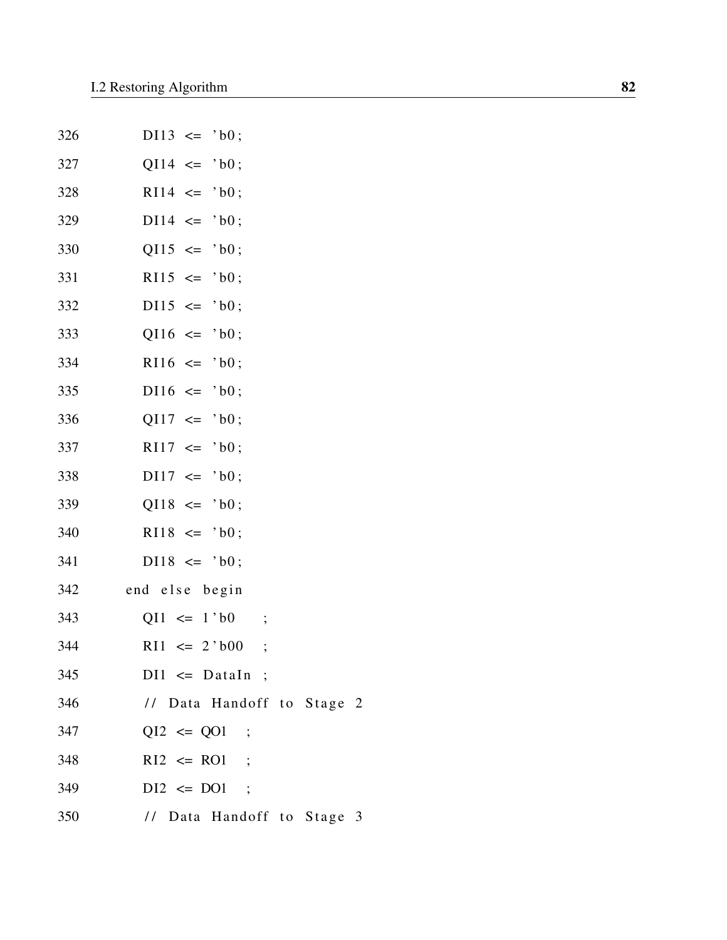| 326 | $D113 \leq 'b0;$           |  |
|-----|----------------------------|--|
| 327 | $QI14 \leq 'b0;$           |  |
| 328 | $R114 \leq 'b0;$           |  |
| 329 | $D114 \le 'b0;$            |  |
| 330 | $QI15 \leq 'b0;$           |  |
| 331 | $R115 \leq v 10;$          |  |
| 332 | $D115 \leq 'b0;$           |  |
| 333 | $Q116$ <= $'bb$ ;          |  |
| 334 | $R116 \le 'b0;$            |  |
| 335 | $D116 \le 'b0;$            |  |
| 336 | $QI17 \leq 'b0;$           |  |
| 337 | $R117 \le 'b0;$            |  |
| 338 | $D117 \leq 'b0;$           |  |
| 339 | $QI18 \leq 'b0;$           |  |
| 340 | $R118 \le 'b0;$            |  |
| 341 | $D118 \le y 10$ ;          |  |
| 342 | end else begin             |  |
| 343 | $QI1 \leq 1$ bo ;          |  |
| 344 | $R11 \le 2' b00$ ;         |  |
| 345 | $DI1 \leq Dataln$ ;        |  |
| 346 | // Data Handoff to Stage 2 |  |
| 347 | $QI2 \le QO1$ ;            |  |
| 348 | $R12 \leq R01$ ;           |  |
| 349 | $DI2 \leq DO1$ ;           |  |
| 350 | // Data Handoff to Stage 3 |  |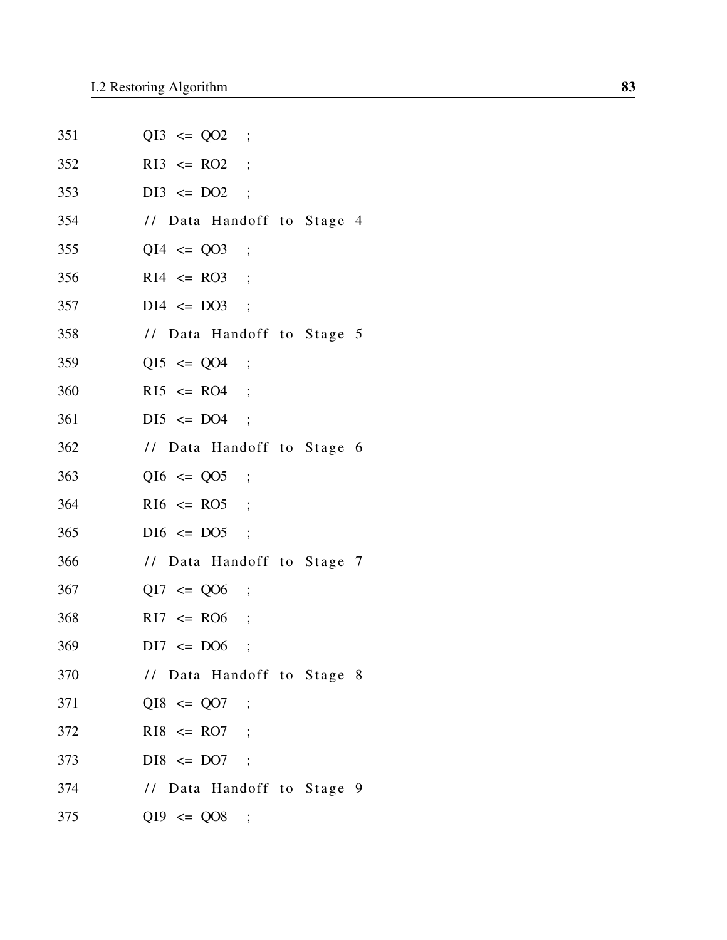| 351 | $QI3 \le QO2$ ;            |
|-----|----------------------------|
| 352 | $R13 \leq R02$ ;           |
| 353 | $DI3 \leq DO2$ ;           |
| 354 | // Data Handoff to Stage 4 |
| 355 | $QI4 \le QO3$ ;            |
| 356 | $R14 \leq R03$ ;           |
| 357 | $DI4 \leq DO3$ ;           |
| 358 | // Data Handoff to Stage 5 |
| 359 | $QI5 \le QO4$ ;            |
| 360 | $R15 \leq R04$ ;           |
| 361 | $DI5 \le DO4$ ;            |
| 362 | // Data Handoff to Stage 6 |
| 363 | $Q16 \le Q05$ ;            |
| 364 | $R16 \leq R05$ ;           |
| 365 | $DI6 \leq DO5$ ;           |
| 366 | // Data Handoff to Stage 7 |
| 367 | $QI7 \le Q06$ ;            |
| 368 | $R17 \leq R06$ ;           |
| 369 | $DI7 \le DO6$ ;            |
| 370 | // Data Handoff to Stage 8 |
| 371 | $QI8 \le QO7$ ;            |
| 372 | $R18 \leq R07$ ;           |
| 373 | $DIS \le DO7 ;$            |
| 374 | // Data Handoff to Stage 9 |
| 375 | $QI9 \le Q08$ ;            |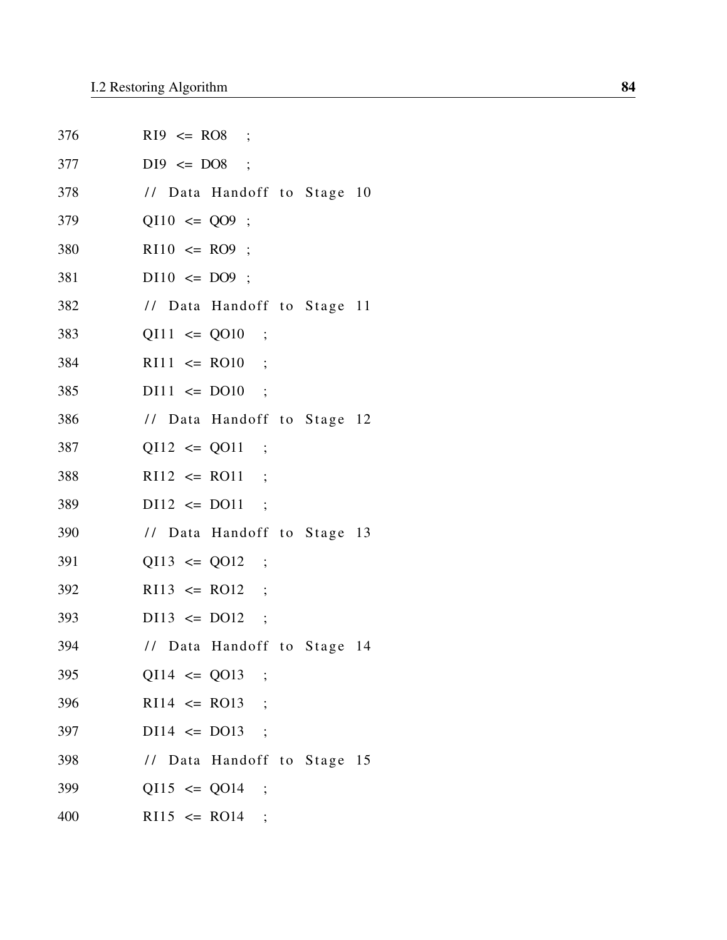| 376 | $R19 \leq R08$ ;            |
|-----|-----------------------------|
| 377 | $D19 \leq DO8$ ;            |
| 378 | // Data Handoff to Stage 10 |
| 379 | $QI10 \le QO9$ ;            |
| 380 | $R110 \leq R09$ ;           |
| 381 | $D110 \leq DO9$ ;           |
| 382 | // Data Handoff to Stage 11 |
| 383 | $QI11 \le QO10$ ;           |
| 384 | $R111 \le R010$ ;           |
| 385 | $D111 \le D010$ ;           |
| 386 | // Data Handoff to Stage 12 |
| 387 | $QI12 \le QO11$ ;           |
| 388 | $R112 \le R011$ ;           |
| 389 | $D112 \le D011$ ;           |
| 390 | // Data Handoff to Stage 13 |
| 391 | $QI13 \le QO12$ ;           |
| 392 | $R113 \leq R012$ ;          |
| 393 | $D113 \le D012$ ;           |
| 394 | // Data Handoff to Stage 14 |
| 395 | $QI14 \le QO13$ ;           |
| 396 | $R114 \leq R013$ ;          |
| 397 | $DI14 \leq DO13$ ;          |
| 398 | // Data Handoff to Stage 15 |
| 399 | $Q115 \le Q014$ ;           |
| 400 | $R115 \leq R014$ ;          |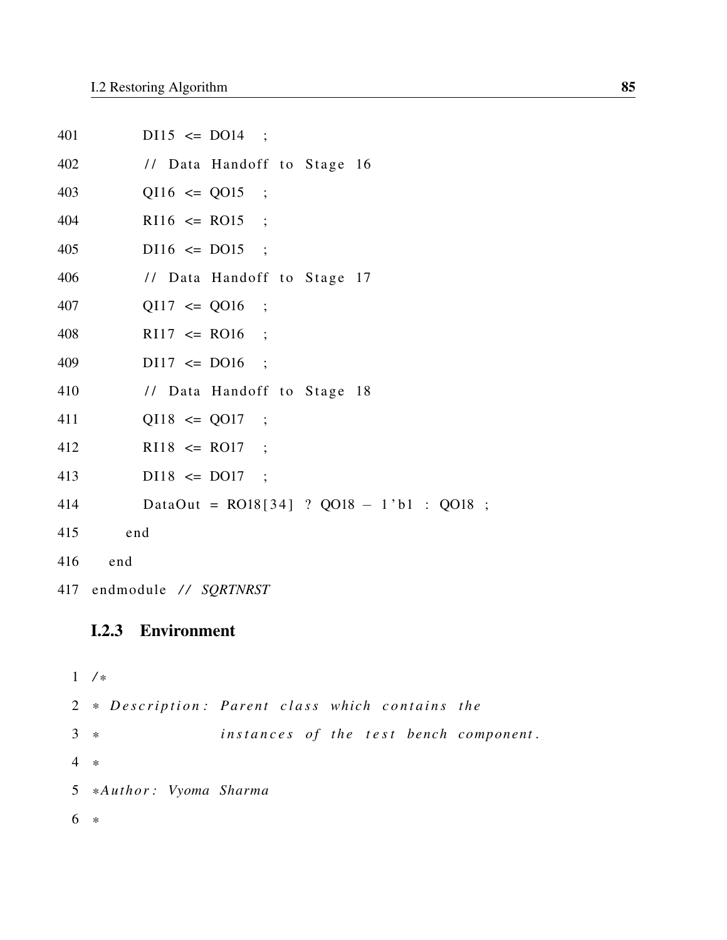| 401 | $D115 \le D014$ ;                               |
|-----|-------------------------------------------------|
| 402 | // Data Handoff to Stage 16                     |
| 403 | $QI16 \le QO15$ ;                               |
| 404 | $R116 \leq R015$ ;                              |
| 405 | $D116 \leq D015$ ;                              |
| 406 | // Data Handoff to Stage 17                     |
| 407 | $QI17 \le QO16$ ;                               |
| 408 | $R117 \leq R016$ ;                              |
| 409 | $D117 \le D016$ ;                               |
| 410 | // Data Handoff to Stage 18                     |
| 411 | $QI18 \le QO17$ ;                               |
| 412 | $R118 \leq R017$ ;                              |
| 413 | $D118 \leq D017$ ;                              |
| 414 | DataOut = $RO18[34]$ ? $QO18 - 1$ b1 : $QO18$ ; |
| 415 | end                                             |
| 416 | end                                             |
|     | 417 endmodule // SQRTNRST                       |

### I.2.3 Environment

```
1 / *
2 * Description: Parent class which contains the
3 * instances of the test bench component.
4 *
5 * Author : Vyoma Sharma
6 *
```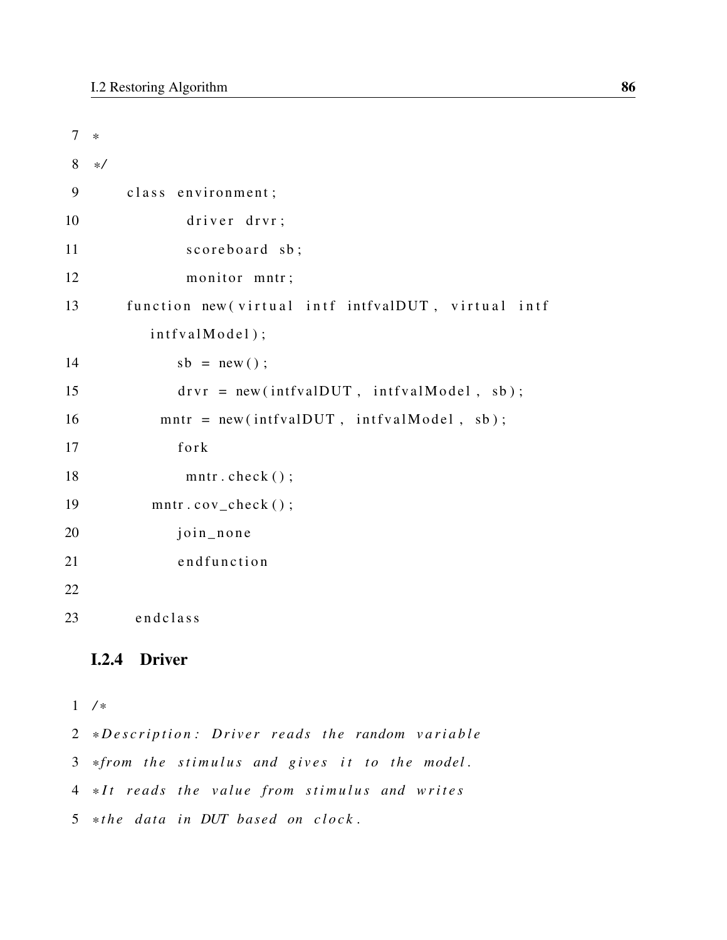```
7 *
8 * /
9 class environment;
10 d river d rvr;
11 scoreboard sb;
12 monitor mntr;
13 function new (virtual intf intfvalDUT, virtual intf
        int f v a l Model ;
14 sb = new ();
15 drvr = new (intfvalDUT, intfvalModel, sb);
16 mntr = new (intfvalDUT, intfvalModel, sb);
17 for k
18 mntr.check();
19 mntr.cov_check();
20 join_none
21 end function
22
23 end class
```
#### I.2.4 Driver

```
1 / *
```
2 \*Description: Driver reads the random variable 3 \*from the stimulus and gives it to the model. 4 \*It reads the value from stimulus and writes 5 \*the data in DUT based on clock.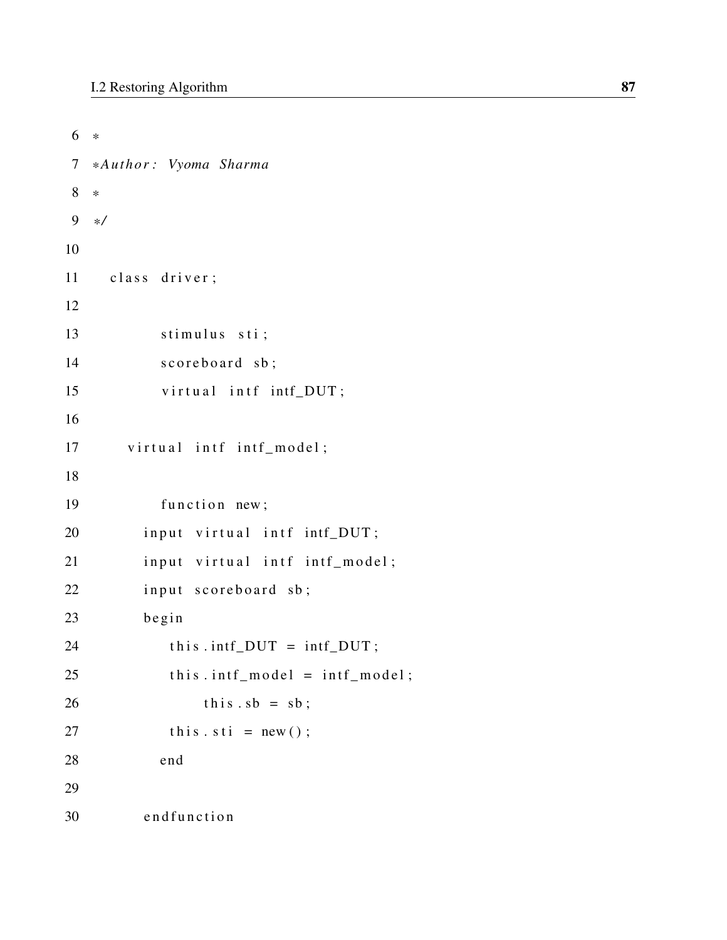```
6 *
7 * Author : Vyoma Sharma
8 *
9 * /
10
11 class driver;
12
13 stimulus sti;
14 scoreboard sb;
15 virtual intf intf_DUT;
16
17 virtual intf intf_model;
18
19 function new;
20 input virtual intf intf_DUT;
21 input virtual intf intf_model;
22 input scoreboard sb;
23 begin
24 this . intf_DUT = intf_DUT;
25 this . intf_model = intf_model;
26 this sb = sb;
27 this \text{st } i = \text{new}(x);
28 end
29
30 end function
```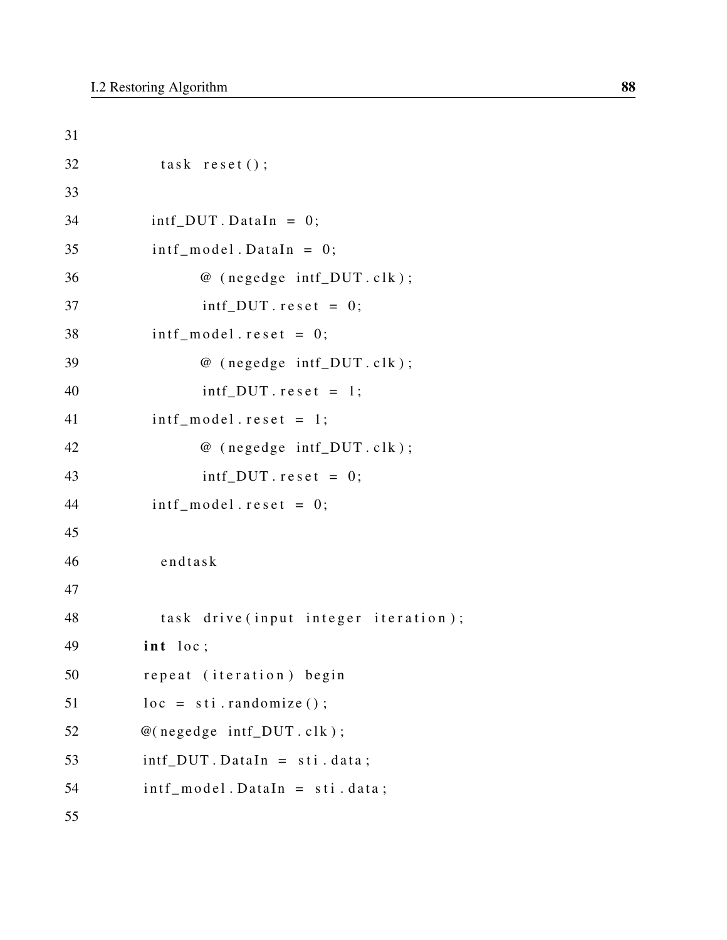```
31
32 task reset ();
33
34 intf_DUT. DataIn = 0;
35 intf_model.DataIn = 0;
36 @ (negedge intf_DUT.clk);
37 intf_DUT . r e s e t = 0;
38 intf model.reset = 0;
39 @ (negedge intf_DUT.clk);
40 int\_DUT \text{.} \text{reset} = 1;
41 intf_model.reset = 1;
42 @ (negedge intf_DUT.clk);
43 int\_DUT \text{. reset} = 0;
44 intf model.reset = 0;
45
46 endtask
47
48 task drive (input integer iteration);
49 int loc;
50 repeat (iteration) begin
51 \qquad \qquad loc = sti.randomize ();
52 \textcircled{e} (negedge intf_DUT.clk);
53 int_D U T. DataIn = sti. data;
54 intf_model. DataIn = sti. data;
55
```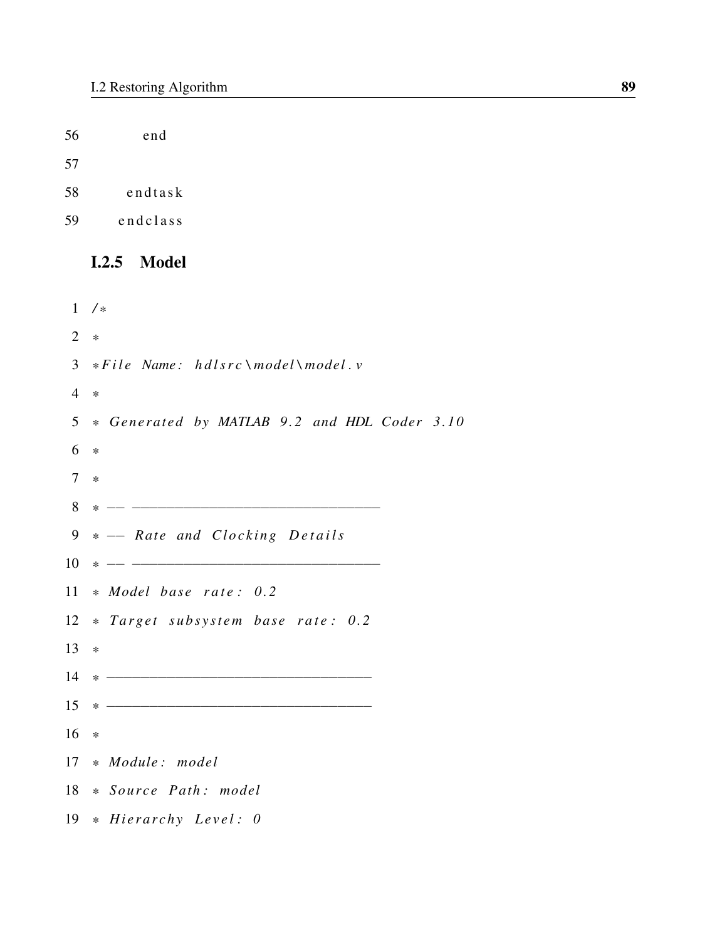56 end

57

- 58 endtask
- 59 end class

#### I.2.5 Model

1 */ \** 2 *\** 3 \* *File Name: hdlsrc* \model\model. v 4 *\** 5 *\* Generated by MATLAB 9 . 2 and HDL Coder 3 . 1 0* 6 *\** 7 *\** 8 *\** −− −−−−−−−−−−−−−−−−−−−−−−−−−−−−− 9 \* -- Rate and Clocking Details 10 *\** −− −−−−−−−−−−−−−−−−−−−−−−−−−−−−− 11 \* *Model base rate:* 0.2 12 \* *Target subsystem base rate:* 0.2 13 *\** 14 *\** −−−−−−−−−−−−−−−−−−−−−−−−−−−−−−− 15 *\** −−−−−−−−−−−−−−−−−−−−−−−−−−−−−−− 16 *\** 17 *\* Module : model* 18 *\* Source Path : model* 19 \* *Hierarchy Level: 0*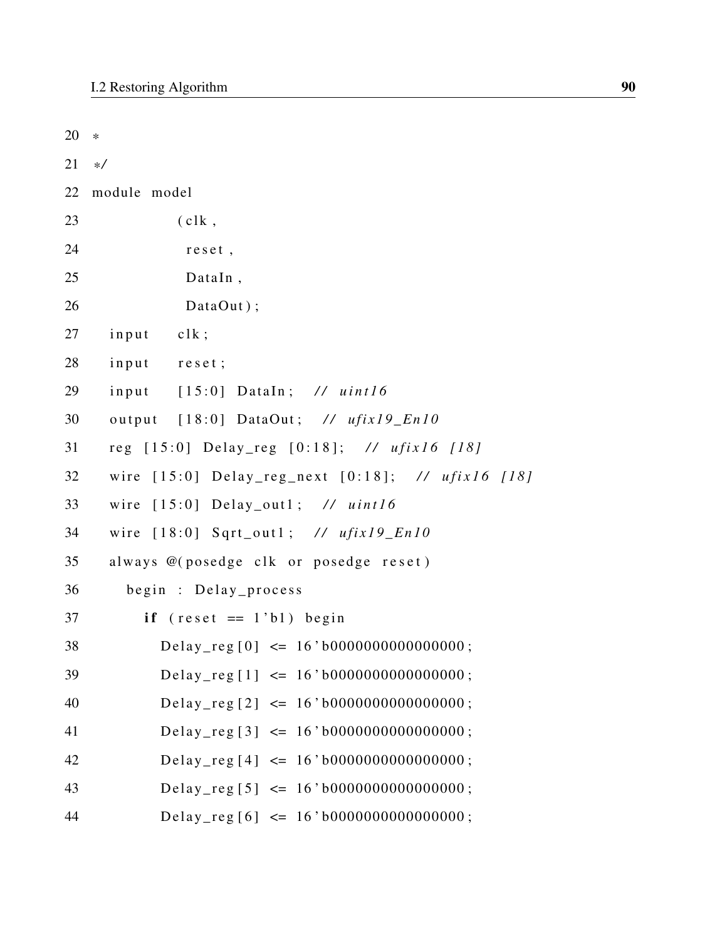| 20 | $\ast$                                                 |
|----|--------------------------------------------------------|
| 21 | $\ast/$                                                |
| 22 | module model                                           |
| 23 | c                                                      |
| 24 | reset,                                                 |
| 25 | DataIn,                                                |
| 26 | DataOut);                                              |
| 27 | input<br>clk;                                          |
| 28 | input<br>reset;                                        |
| 29 | $[15:0]$ DataIn; // uint16<br>input                    |
| 30 | output [18:0] DataOut; // ufix19_En10                  |
| 31 | reg [15:0] Delay_reg [0:18]; // ufix16 [18]            |
| 32 | wire $[15:0]$ Delay_reg_next $[0:18]$ ; // ufix16 [18] |
| 33 | wire $[15:0]$ Delay_out1; // uint16                    |
| 34 | wire $[18:0]$ Sqrt_out1; // ufix19_En10                |
| 35 | always @(posedge clk or posedge reset)                 |
| 36 | begin : Delay_process                                  |
| 37 | if $(reset == 1'b1)$ begin                             |
| 38 | Delay_reg $[0] \le 16$ 'b0000000000000000;             |
| 39 | Delay_reg [1] $\leq 16' b000000000000000;$             |
| 40 | Delay_reg $[2] \le 16$ 'b0000000000000000;             |
| 41 | Delay_reg [3] $\leq$ 16'b0000000000000000;             |
| 42 | Delay_reg [4] $\leq 16' b000000000000000;$             |
| 43 | Delay_reg [5] $\leq$ 16'b0000000000000000;             |
| 44 | Delay_reg[6] $\leq$ 16'b0000000000000000;              |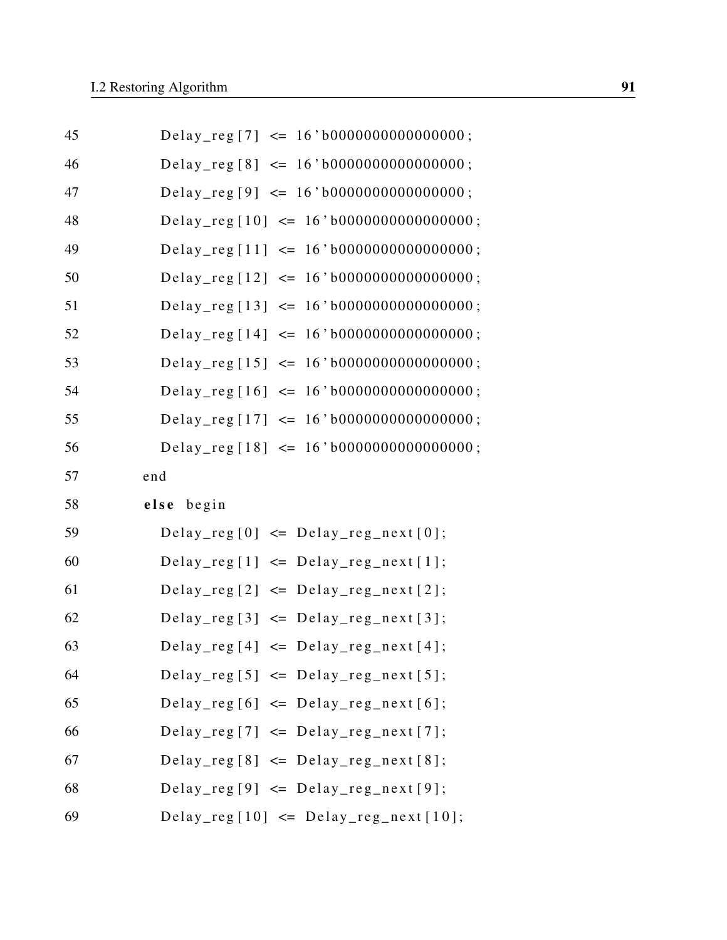| 45 | Delay_reg[7] $\leq 16' b000000000000000;$   |
|----|---------------------------------------------|
| 46 | Delay_reg[8] $\leq 16' b000000000000000;$   |
| 47 | Delay_reg [9] $\leq$ 16'b0000000000000000;  |
| 48 | Delay_reg[10] $\leq$ 16'b000000000000000;   |
| 49 | Delay_reg [11] $\leq$ 16'b0000000000000000; |
| 50 | Delay_reg [12] $\leq$ 16'b0000000000000000; |
| 51 | Delay_reg [13] $\leq$ 16'b000000000000000;  |
| 52 | Delay_reg[14] $\leq$ 16'b0000000000000000;  |
| 53 | Delay_reg [15] $\leq$ 16'b0000000000000000; |
| 54 | Delay_reg[16] $\leq 16'$ b0000000000000000; |
| 55 | Delay_reg [17] $\leq$ 16'b0000000000000000; |
| 56 | Delay_reg [18] $\leq$ 16'b0000000000000000; |
| 57 | end                                         |
| 58 | else begin                                  |
| 59 | Delay_reg[0] $\leq$ Delay_reg_next[0];      |
|    |                                             |
| 60 | $Delay_{reg}[1] \leq Delay_{reg\_next}[1];$ |
| 61 | $Delay_{reg}[2] \leq Delay_{reg\_next}[2];$ |
| 62 | $Delay_{reg}[3] \leq Delay_{reg\_next}[3];$ |
| 63 | $Delay_{reg}[4] \leq Delay_{reg\_next}[4];$ |
| 64 | $Delay_{reg}[5] \leq Delay_{reg\_next}[5];$ |
| 65 | Delay_reg[6] $\leq$ Delay_reg_next[6];      |
| 66 | Delay_reg[7] $\leq$ Delay_reg_next[7];      |
| 67 | $Delay_{reg}[8] \leq Delay_{reg\_next}[8];$ |
| 68 | $Delay_{reg}[9] \leq Delay_{reg\_next}[9];$ |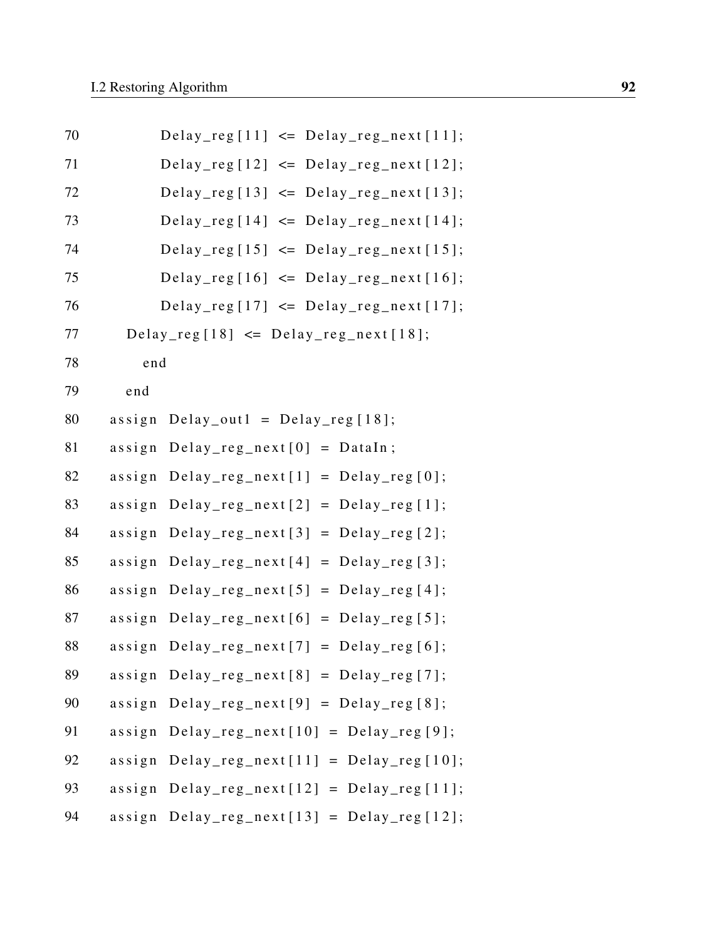| 70 | $Delay_{reg}[11] \leq Delay_{reg\_next}[11];$          |
|----|--------------------------------------------------------|
| 71 | Delay_reg[12] $\leq$ Delay_reg_next[12];               |
| 72 | Delay_reg[13] $\leq$ Delay_reg_next[13];               |
| 73 | Delay_reg[14] $\leq$ Delay_reg_next[14];               |
| 74 | Delay_reg[15] $\leq$ Delay_reg_next[15];               |
| 75 | Delay_reg[16] $\leq$ Delay_reg_next[16];               |
| 76 | Delay_reg[17] $\leq$ Delay_reg_next[17];               |
| 77 | Delay_reg[18] $\leq$ Delay_reg_next[18];               |
| 78 | end                                                    |
| 79 | end                                                    |
| 80 | $assign$ Delay_out1 = Delay_reg[18];                   |
| 81 | $Delay_{reg\_next[0]} = DataIn;$<br>$a$ ssign          |
| 82 | $Delay_{reg\_next[1]} = Delay_{reg[0]}$<br>$a$ ssign   |
| 83 | $Delay_{reg\_next[2]} = Delay_{reg[1]}$ ;<br>$a$ ssign |
| 84 | $Delay_{reg\_next[3]} = Delay_{reg[2]};$<br>assign     |
| 85 | $Delay_{reg\_next[4]} = Delay_{reg[3]}$ ;<br>$a$ ssign |
| 86 | $Delay_{reg\_next[5]} = Delay_{reg[4]};$<br>assign     |
| 87 | $Delay_{reg\_next[6]} = Delay_{reg[5]}$<br>$a$ ssign   |
| 88 | $Delay_{reg\_next}[7] = Delay_{reg}[6];$<br>$a$ ssign  |
| 89 | $assign$ $Delay_{reg\_next[8]}$ = $Delay_{reg[7]}$ ;   |
| 90 | $assign$ $Delay_{reg\_next[9]}$ = $Delay_{reg[8]}$ ;   |
| 91 | $assign$ Delay_reg_next $[10]$ = Delay_reg $[9]$ ;     |
| 92 | assign $Delay_{reg\_next}[11] = Delay_{reg}[10];$      |
| 93 | assign $Delay_{reg\_next}[12] = Delay_{reg}[11];$      |
| 94 | assign $Delay_{reg\_next}[13] = Delay_{reg}[12];$      |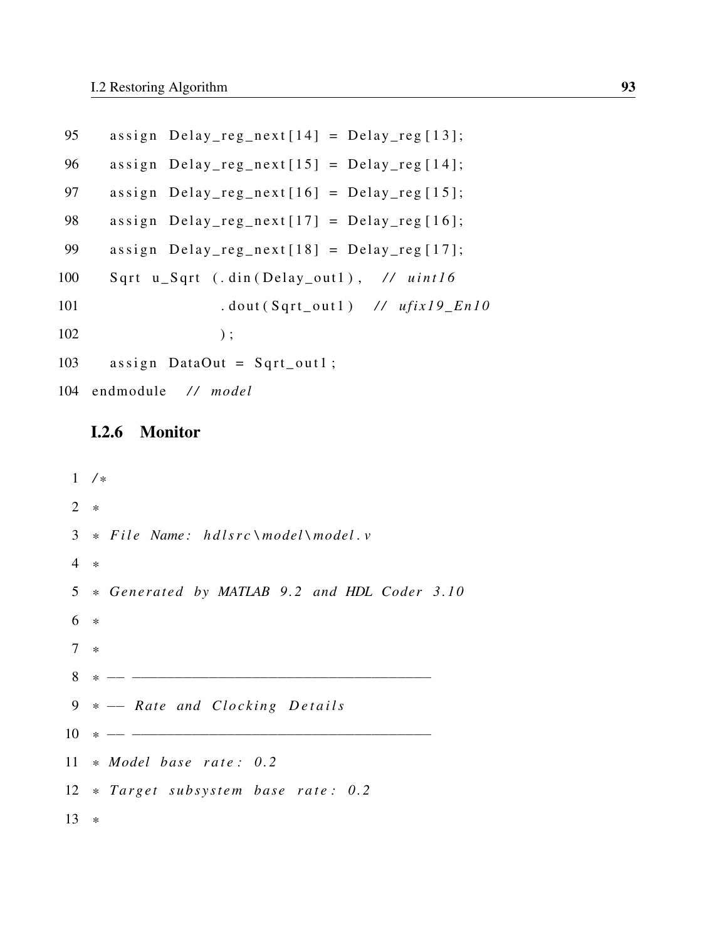```
95 assign Delay_reg_next[14] = Delay_reg[13];
96 assign Delay_reg_next [15] = Delay_reg [14];
97 assign Delay\_reg\_next[16] = Delay\_reg[15];98 assign Delay\_reg\_next[17] = Delay\_reg[16];99 assign Delay\_reg\_next[18] = Delay\_reg[17];100 Sqrt u_Sqrt (.din (Delay_out1), // uint16
101 . dout (Sqrt_out1) // ufix19_En10
102 );
103 assign DataOut = Sqrt_out1;
104 endmodule / / model
```
# I.2.6 Monitor

```
1 / *
2 *
3 * File Name: hdlsrc \model\model. v
4 *
5 * Generated by MATLAB 9 . 2 and HDL Coder 3 . 1 0
6 *
7 *
8 * −− −−−−−−−−−−−−−−−−−−−−−−−−−−−−−−−−−−−
9 * -- Rate and Clocking Details
10 * −− −−−−−−−−−−−−−−−−−−−−−−−−−−−−−−−−−−−
11 * Model base rate: 0.2
12 * Target subsystem base rate: 0.2
13 *
```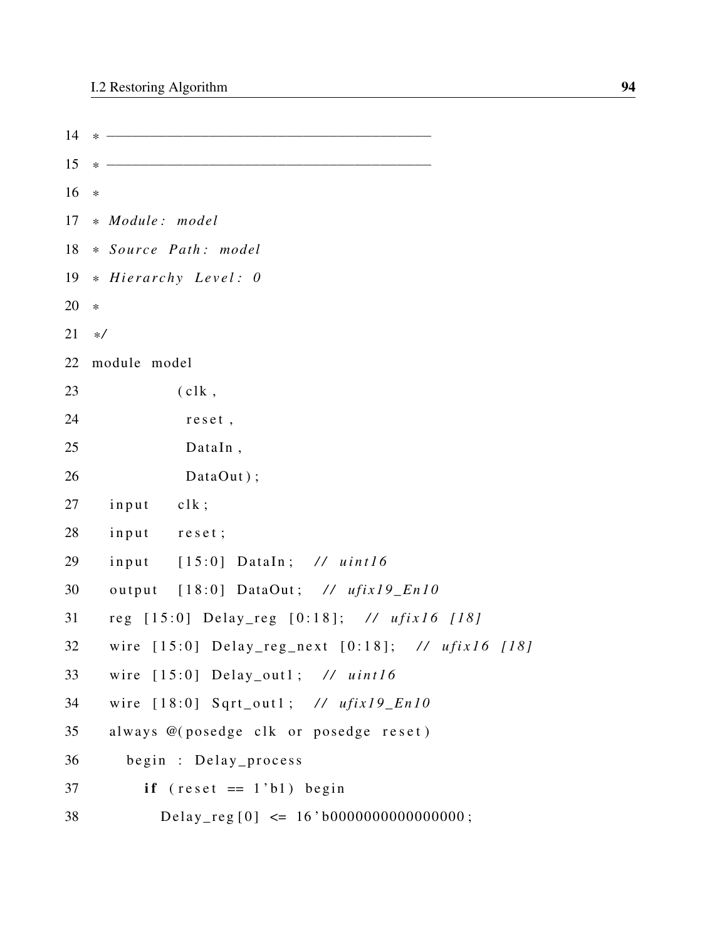| 14 |                                                          |
|----|----------------------------------------------------------|
| 15 |                                                          |
| 16 | $\ast$                                                   |
| 17 | * Module: model                                          |
| 18 | * Source Path: model                                     |
| 19 | * Hierarchy Level: 0                                     |
| 20 | $\ast$                                                   |
| 21 | $\ast/$                                                  |
| 22 | module model                                             |
| 23 | $(c1k$ ,                                                 |
| 24 | reset,                                                   |
| 25 | DataIn,                                                  |
| 26 | DataOut);                                                |
| 27 | input clk;                                               |
| 28 | input reset;                                             |
| 29 | input [15:0] DataIn; // uint16                           |
| 30 | output [18:0] DataOut; // ufix19_En10                    |
| 31 | reg [15:0] Delay_reg [0:18]; // ufix16 [18]              |
| 32 | wire $[15:0]$ Delay_reg_next $[0:18]$ ; // $ufix16$ [18] |
| 33 | wire $[15:0]$ Delay_out1; // uint16                      |
| 34 | wire $[18:0]$ Sqrt_out1; // ufix19_En10                  |
| 35 | always @(posedge clk or posedge reset)                   |
| 36 | begin : Delay_process                                    |
| 37 | if $(reset == 1'b1)$ begin                               |
| 38 | Delay_reg[0] $\leq 16' b000000000000000;$                |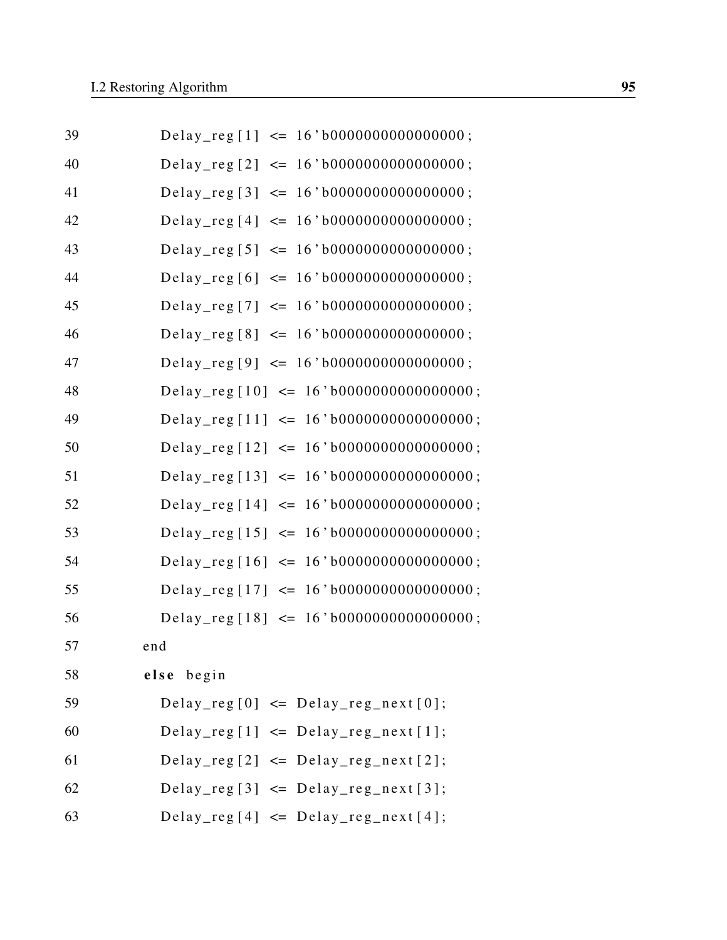| 39 | Delay_reg[1] $\leq$ 16'b0000000000000000;   |
|----|---------------------------------------------|
| 40 | Delay_reg [2] $\leq$ 16'b0000000000000000;  |
| 41 | Delay_reg [3] $\leq 16' b000000000000000;$  |
| 42 | Delay_reg [4] $\leq 16' b000000000000000;$  |
| 43 | Delay_reg [5] $\leq$ 16'b0000000000000000;  |
| 44 | Delay_reg[6] $\leq$ 16'b0000000000000000;   |
| 45 | Delay_reg[7] $\leq$ 16'b0000000000000000;   |
| 46 | Delay_reg [8] $\leq$ 16'b0000000000000000;  |
| 47 | Delay_reg [9] $\leq$ 16'b0000000000000000;  |
| 48 | Delay_reg[10] $\leq$ 16'b0000000000000000;  |
| 49 | Delay_reg[11] $\leq$ 16'b0000000000000000;  |
| 50 | Delay_reg[12] $\leq$ 16'b0000000000000000;  |
| 51 | Delay_reg [13] $\leq$ 16'b0000000000000000; |
| 52 | Delay_reg [14] $\leq 16' b000000000000000;$ |
| 53 | Delay_reg [15] $\leq 16' b000000000000000;$ |
| 54 | Delay_reg[16] $\leq 16'$ b0000000000000000; |
| 55 | Delay_reg[17] $\leq 16'$ b0000000000000000; |
| 56 | Delay_reg [18] $\leq$ 16'b000000000000000;  |
| 57 | end                                         |
| 58 | else begin                                  |
| 59 | Delay_reg[0] $\leq$ Delay_reg_next[0];      |
| 60 | $Delay_{reg}[1] \leq Delay_{reg\_next}[1];$ |
| 61 | $Delay_{reg}[2] \leq Delay_{reg\_next}[2];$ |
| 62 | $Delay_{reg}[3] \leq Delay_{reg\_next}[3];$ |
| 63 | Delay_reg[4] $\leq$ Delay_reg_next[4];      |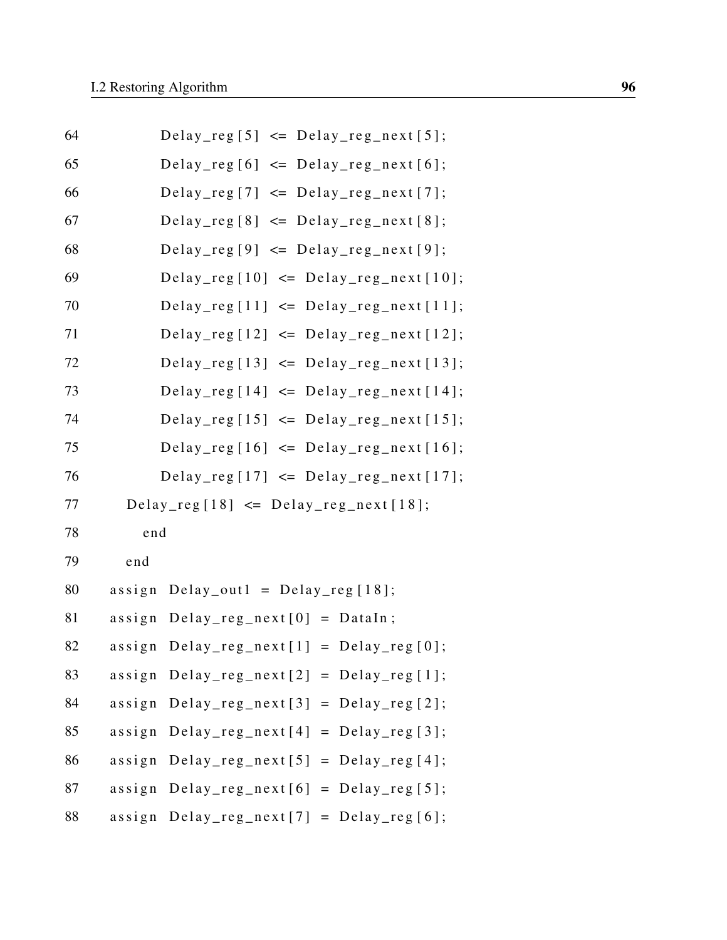| 64 | $Delay_{reg}[5] \leq Delay_{reg\_next}[5];$             |  |
|----|---------------------------------------------------------|--|
| 65 | $Delay_{reg}[6] \leq Delay_{reg\_next}[6];$             |  |
| 66 | Delay_reg[7] $\leq$ Delay_reg_next[7];                  |  |
| 67 | $Delay_{reg}[8] \leq Delay_{reg\_next}[8];$             |  |
| 68 | $Delay_{reg}[9] \leq Delay_{reg\_next}[9];$             |  |
| 69 | Delay_reg[10] $\leq$ Delay_reg_next[10];                |  |
| 70 | Delay_reg[11] $\leq$ Delay_reg_next[11];                |  |
| 71 | Delay_reg[12] $\leq$ Delay_reg_next[12];                |  |
| 72 | Delay_reg[13] $\leq$ Delay_reg_next[13];                |  |
| 73 | Delay_reg[14] $\leq$ Delay_reg_next[14];                |  |
| 74 | Delay_reg[15] $\leq$ Delay_reg_next[15];                |  |
| 75 | Delay_reg[16] $\leq$ Delay_reg_next[16];                |  |
| 76 | Delay_reg[17] $\leq$ Delay_reg_next[17];                |  |
| 77 | $Delay_{reg}[18] \leq Delay_{reg\_next}[18];$           |  |
| 78 | end                                                     |  |
| 79 | end                                                     |  |
| 80 | $Delay_out1 = Delay_reg[18];$<br>assign                 |  |
| 81 | $\text{Delay\_reg\_next}[0] = \text{DataIn};$<br>assign |  |
| 82 | $assign$ $Delay_{reg\_next[1]}$ = $Delay_{reg[0]}$ ;    |  |
| 83 | assign $Delay_{reg\_next}[2] = Delay_{reg}[1];$         |  |
| 84 | $assign$ $Delay_{reg\_next[3]}$ = $Delay_{reg[2]}$ ;    |  |
| 85 | assign $Delay_{reg\_next[4]} = Delay_{reg[3]};$         |  |
| 86 | assign $Delay_{reg\_next}[5] = Delay_{reg}[4];$         |  |
| 87 | assign $Delay_{reg\_next[6]} = Delay_{reg[5]};$         |  |
| 88 | assign $Delay_{reg\_next}[7] = Delay_{reg}[6];$         |  |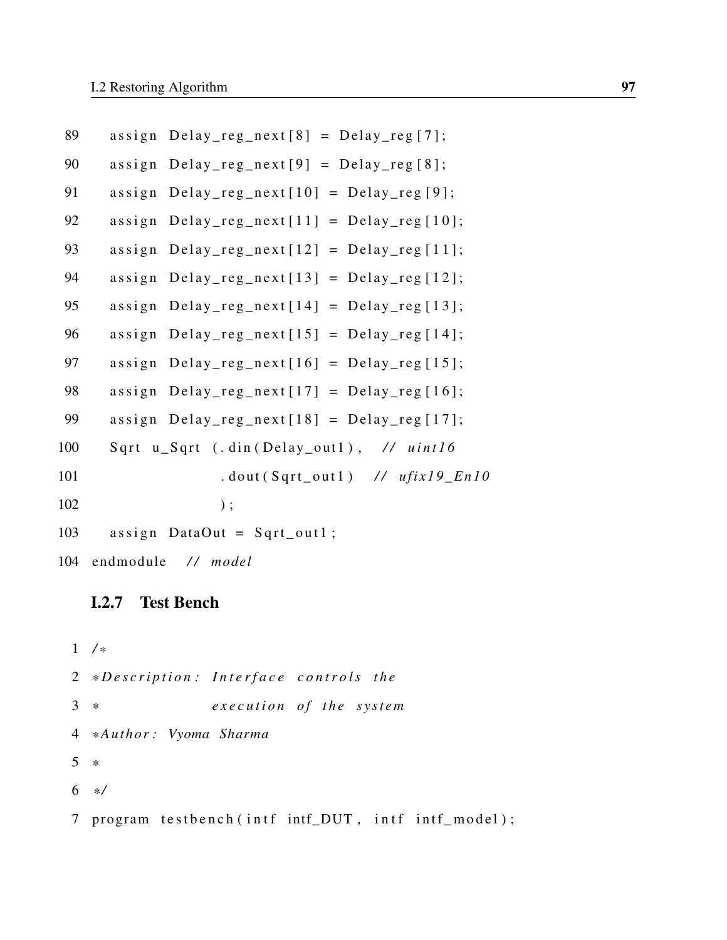```
89 assign Delay_reg_next[8] = Delay_reg[7];
90 assign Delay_reg_next [9] = Delay_reg [8];
91 assign Delay_reg_next [10] = Delay_reg [9];
92 assign Delay_reg_next [11] = Delay_reg [10];
93 assign Delay\_reg\_next[12] = Delay\_reg[11];94 assign Delay_reg_next[13] = Delay_reg[12];
95 assign Delay_reg_next [14] = Delay_reg [13];
96 assign Delay reg next [15] = Delay reg [14];
97 assign Delay\_reg\_next[16] = Delay\_reg[15];98 assign Delay\_reg\_next[17] = Delay\_reg[16];99 assign Delay_reg_next [18] = Delay_reg [17];
100 S q rt u _ S q rt (. d in ( D e l a y _ o u t 1) , // u in t 16
101 . dout (Sqrt_out1) // ufix19_En10
102 );
103 assign DataOut = Sqrt_out1;
104 endmodule / / model
```
#### I.2.7 Test Bench

1 */ \** 2 \*Description: Interface controls the 3 \* *execution of the system* 4 *\* Author : Vyoma Sharma* 5 *\** 6 *\* /* 7 program testbench (intf intf\_DUT, intf intf\_model);